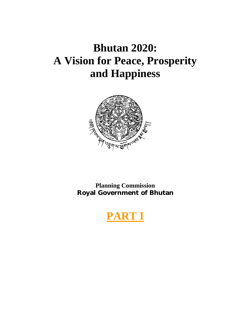# **Bhutan 2020: A Vision for Peace, Prosperity and Happiness**



**Planning Commission Royal Government of Bhutan** 

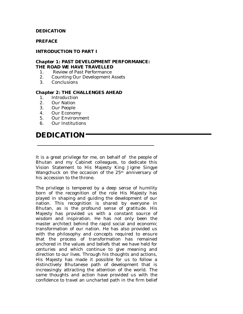### **DEDICATION**

### **PREFACE**

### **INTRODUCTION TO PART I**

#### *Chapter 1***: PAST DEVELOPMENT PERFORMANCE: THE ROAD WE HAVE TRAVELLED**

- 1. Review of Past Performance
- 2. Counting Our Development Assets
- 3. Conclusions

### *Chapter 2***: THE CHALLENGES AHEAD**

- 1. Introduction
- 2. Our Nation
- 3. Our People
- 4. Our Economy
- 5. Our Environment
- 6. Our Institutions

### **DEDICATION**

It is a great privilege for me, on behalf of the people of Bhutan and my Cabinet colleagues, to dedicate this Vision Statement to His Majesty King Jigme Singye Wangchuck on the occasion of the 25<sup>th</sup> anniversary of his accession to the throne.

The privilege is tempered by a deep sense of humility born of the recognition of the role His Majesty has played in shaping and guiding the development of our nation. This recognition is shared by everyone in Bhutan, as is the profound sense of gratitude. His Majesty has provided us with a constant source of wisdom and inspiration. He has not only been the master architect behind the rapid social and economic transformation of our nation. He has also provided us with the philosophy and concepts required to ensure that the process of transformation has remained anchored in the values and beliefs that we have held for centuries and which continue to give meaning and direction to our lives. Through his thoughts and actions, His Majesty has made it possible for us to follow a distinctively Bhutanese path of development that is increasingly attracting the attention of the world. The same thoughts and action have provided us with the confidence to travel an uncharted path in the firm belief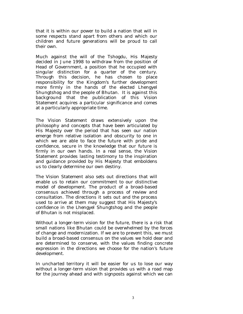that it is within our power to build a nation that will in some respects stand apart from others and which our children and future generations will be proud to call their own.

Much against the will of the Tshogdu, His Majesty decided in June 1998 to withdraw from the position of Head of Government, a position that he occupied with singular distinction for a quarter of the century. Through this decision, he has chosen to place responsibility for the Kingdom's further development more firmly in the hands of the elected Lhengyel Shungtshog and the people of Bhutan. It is against this background that the publication of this Vision Statement acquires a particular significance and comes at a particularly appropriate time.

The Vision Statement draws extensively upon the philosophy and concepts that have been articulated by His Majesty over the period that has seen our nation emerge from relative isolation and obscurity to one in which we are able to face the future with pride and confidence, secure in the knowledge that our future is firmly in our own hands. In a real sense, the Vision Statement provides lasting testimony to the inspiration and guidance provided by His Majesty that emboldens us to clearly determine our own destiny.

The Vision Statement also sets out directions that will enable us to retain our commitment to our distinctive model of development. The product of a broad-based consensus achieved through a process of review and consultation. The directions it sets out and the process used to arrive at them may suggest that His Majesty's confidence in the Lhengyel Shungtshog and the people of Bhutan is not misplaced.

Without a longer-term vision for the future, there is a risk that small nations like Bhutan could be overwhelmed by the forces of change and modernization. If we are to prevent this, we must build a broad-based consensus on the values we hold dear and are determined to conserve, with the values finding concrete expression in the directions we choose for the nation's future development.

In uncharted territory it will be easier for us to lose our way without a longer-term vision that provides us with a road map for the journey ahead and with signposts against which we can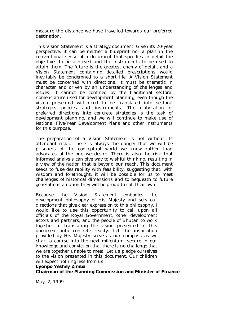measure the distance we have travelled towards our preferred destination.

This Vision Statement is a strategy document. Given its 20-year perspective, it can be neither a blueprint nor a plan in the conventional sense of a document that specifies in detail the objectives to be achieved and the instruments to be used to attain them. The future is the greatest enemy of detail, and a Vision Statement containing detailed prescriptions would inevitably be condemned to a short life. A Vision Statement must be concerned with directions. It must be thematic in character and driven by an understanding of challenges and issues. It cannot be confined by the traditional sectoral nomenclature used for development planning, even though the vision presented will need to be translated into sectoral strategies policies and instruments. The elaboration of preferred directions into concrete strategies is the task of development planning, and we will continue to make use of National Five-Year Development Plans and other instruments for this purpose.

The preparation of a Vision Statement is not without its attendant risks. There is always the danger that we will be prisoners of the conceptual world we know rather than advocates of the one we desire. There is also the risk that informed analysis can give way to wishful thinking, resulting in a view of the nation that is beyond our reach. This document seeks to fuse desirability with feasibility, suggesting that, with wisdom and forethought, it will be possible for us to meet challenges of historical dimensions and to bequeath to future generations a nation they will be proud to call their own.

Because the Vision Statement embodies the development philosophy of His Majesty and sets out directions that give clear expression to this philosophy, I would like to use this opportunity to call upon all officials of the Royal Government, other development actors and partners, and the people of Bhutan to work together in translating the vision presented in this document into concrete reality. Let the inspiration provided by His Majesty serve as our compass as we chart a course into the next millenium, secure in our knowledge and conviction that there is no challenge that we are together unable to meet. Let us pledge ourselves to the vision presented in this document. Our children will expect nothing less from us.

### **Lyonpo Yeshey Zimba**

### **Chairman of the Planning Commission and Minister of Finance**

May, 2, 1999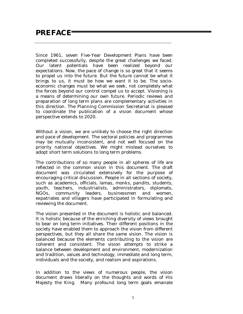### **PREFACE**

Since 1961, seven Five-Year Development Plans have been completed successfully, despite the great challenges we faced. Our latent potentials have been realized beyond our expectations. Now, the pace of change is so great that it seems to propel us into the future. But the future cannot be what it brings to us, it must be how we want it to be. The socioeconomic changes must be what we seek, not completely what the forces beyond our control compel us to accept. Visioning is a means of determining our own future. Periodic reviews and preparation of long term plans are complementary activities in this direction. The Planning Commission Secretariat is pleased to coordinate the publication of a vision document whose perspective extends to 2020.

Without a vision, we are unlikely to choose the right direction and pace of development. The sectoral policies and programmes may be mutually inconsistent, and not well focused on the priority national objectives. We might mislead ourselves to adopt short term solutions to long term problems.

The contributions of so many people in all spheres of life are reflected in the common vision in this document. The draft document was circulated extensively for the purpose of encouraging critical discussion. People in all sections of society, such as academics, officials, lamas, monks, pandits, students, youth, teachers, industrialists, administrators, diplomats, NGOs, community leaders, businessmen and women, expatriates and villagers have participated in formulating and reviewing the document.

The vision presented in the document is holistic and balanced. It is holistic because of the enriching diversity of views brought to bear on long term initiatives. Their different positions in the society have enabled them to approach the vision from different perspectives, but they all share the same vision. The vision is balanced because the elements contributing to the vision are coherent and consistent. The vision attempts to strike a balance between development and environment, modernization and tradition, values and technology, immediate and long term, individuals and the society, and realism and aspirations.

In addition to the views of numerous people, the vision document draws liberally on the thoughts and words of His Majesty the King. Many profound long term goals emanate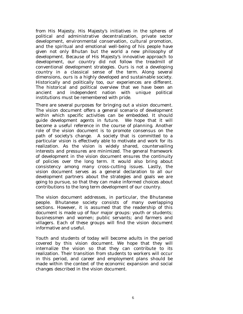from His Majesty. His Majesty's initiatives in the spheres of political and administrative decentralization, private sector development, environmental conservation, cultural promotion, and the spiritual and emotional well-being of his people have given not only Bhutan but the world a new philosophy of development. Because of His Majesty's innovative approach to development, our country did not follow the treadmill of conventional development strategies. Ours is not a developing country in a classical sense of the term. Along several dimensions, ours is a highly developed and sustainable society. Historically and politically too, our experiences are different. The historical and political overview that we have been an ancient and independent nation with unique political institutions must be remembered with pride.

There are several purposes for bringing out a vision document. The vision document offers a general scenario of development within which specific activities can be embedded. It should guide development agents in future. We hope that it will become a useful reference in the course of planning. Another role of the vision document is to promote consensus on the path of society's change. A society that is committed to a particular vision is effectively able to motivate and work for its realization. As the vision is widely shared, countervailing interests and pressures are minimized. The general framework of development in the vision document ensures the continuity of policies over the long term. It would also bring about consistency among many cross-cutting issues. Lastly, the vision document serves as a general declaration to all our development partners about the strategies and goals we are going to pursue, so that they can make informed choices about contributions to the long term development of our country.

The vision document addresses, in particular, the Bhutanese people. Bhutanese society consists of many overlapping sections. However, it is assumed that the readership of this document is made up of four major groups: youth or students; businessmen and women; public servants; and farmers and villagers. Each of these groups will find the vision document informative and useful.

Youth and students of today will become adults in the period covered by this vision document. We hope that they will internalize the vision so that they can contribute to its realization. Their transition from students to workers will occur in this period, and career and employment plans should be made within the context of the economic expansion and social changes described in the vision document.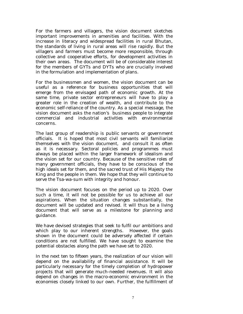For the farmers and villagers, the vision document sketches important improvements in amenities and facilities. With the increase in literacy and widespread facilities in rural Bhutan, the standards of living in rural areas will rise rapidly. But the villagers and farmers must become more responsible, through collective and cooperative efforts, for development activities in their own areas. The document will be of considerable interest for the members of GYTs and DYTs who are crucially involved in the formulation and implementation of plans.

For the businessmen and women, the vision document can be useful as a reference for business opportunities that will emerge from the envisaged path of economic growth. At the same time, private sector entrepreneurs will have to play a greater role in the creation of wealth, and contribute to the economic self-reliance of the country. As a special message, the vision document asks the nation's business people to integrate commercial and industrial activities with environmental concerns.

The last group of readership is public servants or government officials. It is hoped that most civil servants will familiarize themselves with the vision document, and consult it as often as it is necessary. Sectoral policies and programmes must always be placed within the larger framework of idealism and the vision set for our country. Because of the sensitive roles of many government officials, they have to be conscious of the high ideals set for them, and the sacred trust of His Majesty the King and the people in them. We hope that they will continue to serve the Tsa-wa-sum with integrity and honour.

The vision document focuses on the period up to 2020. Over such a time, it will not be possible for us to achieve all our aspirations. When the situation changes substantially, the document will be updated and revised. It will thus be a living document that will serve as a milestone for planning and guidance.

We have devised strategies that seek to fulfil our ambitions and which play to our inherent strengths. However, the goals shown in the document could be adversely affected if certain conditions are not fulfilled. We have sought to examine the potential obstacles along the path we have set to 2020.

In the next ten to fifteen years, the realization of our vision will depend on the availability of financial assistance. It will be particularly necessary for the timely completion of hydropower projects that will generate much-needed revenues. It will also depend on changes in the macro-economic environment in the economies closely linked to our own. Further, the fulfillment of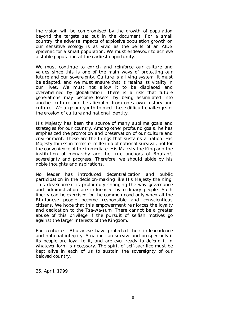the vision will be compromised by the growth of population beyond the targets set out in the document. For a small country, the adverse impacts of explosive population growth on our sensitive ecology is as vivid as the perils of an AIDS epidemic for a small population. We must endeavour to achieve a stable population at the earliest opportunity.

We must continue to enrich and reinforce our culture and values since this is one of the main ways of protecting our future and our sovereignty. Culture is a living system. It must be adapted, and we must ensure that it retains its vitality in our lives. We must not allow it to be displaced and overwhelmed by globalization. There is a risk that future generations may become losers, by being assimilated into another culture and be alienated from ones own history and culture. We urge our youth to meet these difficult challenges of the erosion of culture and national identity.

His Majesty has been the source of many sublime goals and strategies for our country. Among other profound goals, he has emphasized the promotion and preservation of our culture and environment. These are the things that sustains a nation. His Majesty thinks in terms of millennia of national survival, not for the convenience of the immediate. His Majesty the King and the institution of monarchy are the true anchors of Bhutan's sovereignty and progress. Therefore, we should abide by his noble thoughts and aspirations.

No leader has introduced decentralization and public participation in the decision-making like His Majesty the King. This development is profoundly changing the way governance and administration are influenced by ordinary people. Such liberty can be exercised for the common good only when all the Bhutanese people become responsible and conscientious citizens. We hope that this empowerment reinforces the loyalty and dedication to the *Tsa-wa-sum*. There cannot be a greater abuse of this privilege if the pursuit of selfish motives go against the larger interests of the Kingdom.

For centuries, Bhutanese have protected their independence and national integrity. A nation can survive and prosper only if its people are loyal to it, and are ever ready to defend it in whatever form is necessary. The spirit of self-sacrifice must be kept alive in each of us to sustain the sovereignty of our beloved country.

25, April, 1999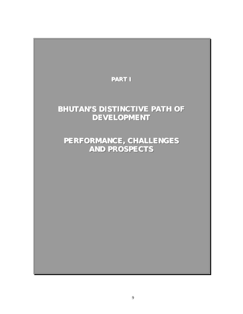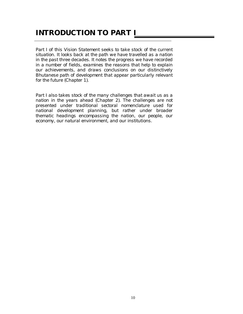### **INTRODUCTION TO PART I**

*Part I of this Vision Statement seeks to take stock of the current situation. It looks back at the path we have travelled as a nation in the past three decades. It notes the progress we have recorded in a number of fields, examines the reasons that help to explain our achievements, and draws conclusions on our distinctively Bhutanese path of development that appear particularly relevant for the future (Chapter 1).* 

*Part I also takes stock of the many challenges that await us as a nation in the years ahead (Chapter 2). The challenges are not presented under traditional sectoral nomenclature used for national development planning, but rather under broader thematic headings encompassing the nation, our people, our economy, our natural environment, and our institutions.*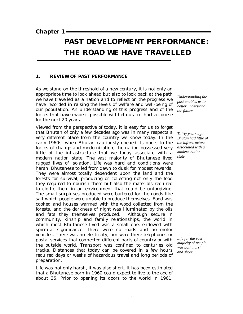*Chapter 1* 

## **PAST DEVELOPMENT PERFORMANCE: THE ROAD WE HAVE TRAVELLED**

### **1. REVIEW OF PAST PERFORMANCE**

As we stand on the threshold of a new century, it is not only an appropriate time to look ahead but also to look back at the path we have travelled as a nation and to reflect on the progress we have recorded in raising the levels of welfare and well-being of our population. An understanding of this progress and of the forces that have made it possible will help us to chart a course for the next 20 years.

Viewed from the perspective of today, it is easy for us to forget that Bhutan of only a few decades ago was in many respects a very different place from the country we know today. In the early 1960s, when Bhutan cautiously opened its doors to the forces of change and modernization, the nation possessed very little of the infrastructure that we today associate with a modern nation state. The vast majority of Bhutanese lived rugged lives of isolation. Life was hard and conditions were harsh. Bhutanese toiled from dawn to dusk for modest rewards. They were almost totally dependent upon the land and the forests for survival, producing or collecting not only the food they required to nourish them but also the materials required to clothe them in an environment that could be unforgiving. The small surpluses produced were bartered for the goods like salt which people were unable to produce themselves. Food was cooked and houses warmed with the wood collected from the forests, and the darkness of night was illuminated by the oils and fats they themselves produced. Although secure in community, kinship and family relationships, the world in which most Bhutanese lived was a small one, endowed with spiritual significance. There were no roads and no motor vehicles. There was no electricity, nor were there telephones or postal services that connected different parts of country or with the outside world. Transport was confined to centuries old tracks. Distances that today can be covered in a few hours required days or weeks of hazardous travel and long periods of preparation.

Life was not only harsh, it was also short. It has been estimated that a Bhutanese born in 1960 could expect to live to the age of about 35. Prior to opening its doors to the world in 1961,

*Understanding the past enables us to better understand the future.* 

*Thirty years ago, Bhutan had little of the infrastructure associated with a modern nation state.* 

*Life for the vast majority of people was both harsh and short.*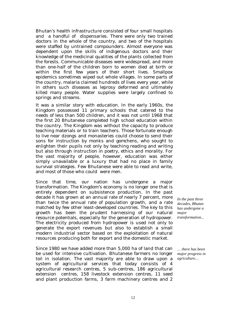Bhutan's health infrastructure consisted of four small hospitals and a handful of dispensaries. There were only two trained doctors in the whole of the country, and two of the hospitals were staffed by untrained compounders. Almost everyone was dependent upon the skills of indigenous doctors and their knowledge of the medicinal qualities of the plants collected from the forests. Communicable diseases were widespread, and more than one-half of the children born to women died at birth or within the first few years of their short lives. Smallpox epidemics sometimes wiped out whole villages. In some parts of the country, malaria claimed hundreds of lives every year, while in others such diseases as leprosy deformed and ultimately killed many people. Water supplies were largely confined to springs and streams.

It was a similar story with education. In the early 1960s, the Kingdom possessed 11 primary schools that catered to the needs of less than 500 children, and it was not until 1968 that the first 20 Bhutanese completed high school education within the country. The Kingdom was without the capacity to produce teaching materials or to train teachers. Those fortunate enough to live near *dzongs* and monasteries could choose to send their sons for instruction by monks and g*omchens*, who sought to enlighten their pupils not only by teaching reading and writing but also through instruction in poetry, ethics and morality. For the vast majority of people, however, education was either simply unavailable or a luxury that had no place in family survival strategies. Few Bhutanese were able to read and write, and most of those who could were men.

Since that time, our nation has undergone a major transformation. The Kingdom's economy is no longer one that is entirely dependent on subsistence production. In the past decade it has grown at an annual rate of nearly 7 percent, more than twice the annual rate of population growth, and a rate matched by few other least-developed countries. The key to this growth has been the prudent harnessing of our natural resource potentials, especially for the generation of hydropower. The electricity produced from hydropower is used not only to generate the export revenues but also to establish a small modern industrial sector based on the exploitation of natural resources producing both for export and the domestic market.

Since 1980 we have added more than 5,000 ha of land that can be used for intensive cultivation. Bhutanese farmers no longer toil in isolation. The vast majority are able to draw upon a system of agricultural services that today consists of 4 agricultural research centres, 5 sub-centres, 186 agricultural extension centres, 158 livestock extension centres, 11 seed and plant production farms, 3 farm machinery centres and 2

*In the past three decades, Bhutan has undergone a major transformation...* 

*… there has been major progress in agriculture…*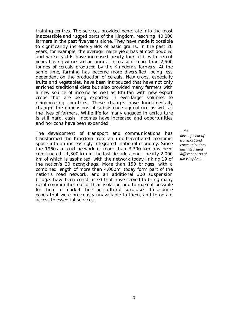training centres. The services provided penetrate into the most inaccessible and rugged parts of the Kingdom, reaching 40,000 farmers in the past five years alone. They have made it possible to significantly increase yields of basic grains. In the past 20 years, for example, the average maize yield has almost doubled and wheat yields have increased nearly four-fold, with recent years having witnessed an annual increase of more than 2,500 tonnes of cereals produced by the Kingdom's farmers. At the same time, farming has become more diversified, being less dependent on the production of cereals. New crops, especially fruits and vegetables, have been introduced that have not only enriched traditional diets but also provided many farmers with a new source of income as well as Bhutan with new export crops that are being exported in ever-larger volumes to neighbouring countries. These changes have fundamentally changed the dimensions of subsistence agriculture as well as the lives of farmers. While life for many engaged in agriculture is still hard, cash incomes have increased and opportunities and horizons have been expanded.

The development of transport and communications has transformed the Kingdom from an undifferentiated economic space into an increasingly integrated national economy. Since the 1960s a road network of more than 3,300 km has been constructed - 1,300 km in the last decade alone - nearly 2,000 km of which is asphalted, with the network today linking 19 of the nation's 20 d*zongkhags*. More than 150 bridges, with a combined length of more than 4,000m, today form part of the nation's road network, and an additional 300 suspension bridges have been constructed that have served to bring many rural communities out of their isolation and to make it possible for them to market their agricultural surpluses, to acquire goods that were previously unavailable to them, and to obtain access to essential services.

*…the development of transport and communications has integrated different parts of the Kingdom..*.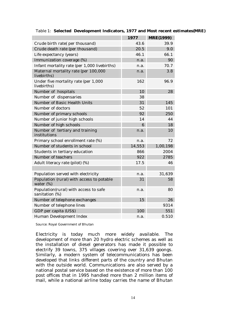|                                                           | 1977   | <b>MRE(1999)</b> |
|-----------------------------------------------------------|--------|------------------|
| Crude birth rate(per thousand)                            | 43.6   | 39.9             |
| Crude death rate (per thousand)                           | 20.5   | 9.0              |
| Life expectancy (years)                                   | 46.1   | 66.1             |
| Immunization coverage (%)                                 | n.a.   | 90               |
| Infant mortality rate (per 1,000 livebirths)              | n.a.   | 70.7             |
| Maternal mortality rate (per 100,000<br>livebirths)       | n.a.   | 3.8              |
| Under five mortality rate (per 1,000<br>livebirths)       | 162    | 96.9             |
| Number of hospitals                                       | 10     | 28               |
| Number of dispensaries                                    | 38     |                  |
| Number of Basic Health Units                              | 31     | 145              |
| Number of doctors                                         | 52     | 101              |
| Number of primary schools                                 | 92     | 250              |
| Number of junior high schools                             | 14     | 44               |
| Number of high schools                                    | 6      | 18               |
| Number of tertiary and training<br>institutions           | n.a.   | 10               |
| Primary school enrollment rate (%)                        | n.a.   | 72               |
| Number of students in school                              | 14,553 | 1,00,198         |
| Students in tertiary education                            | 866    | 2004             |
| Number of teachers                                        | 922    | 2785             |
| Adult literacy rate (pilot) (%)                           | 17.5   | 46               |
|                                                           |        |                  |
| Population served with electricity                        | n.a.   | 31,639           |
| Population (rural) with access to potable<br>water $(\%)$ | 31     | 58               |
| Population(rural) with access to safe<br>sanitation (%)   | n.a.   | 80               |
| Number of telephone exchanges                             | 15     | 26               |
| Number of telephone lines                                 |        | 9314             |
| GDP per capita (US\$)                                     | 100    | 551              |
| Human Development Index                                   | n.a.   | 0.510            |

#### Table 1: **Selected Development Indicators, 1977 and Most recent estimates(MRE)**

Source: Royal Government of Bhutan

Electricity is today much more widely available. The development of more than 20 hydro electric schemes as well as the installation of diesel generators has made it possible to electrify 39 towns, 375 villages covering over 31,639 goongs. Similarly, a modern system of telecommunications has been developed that links different parts of the country and Bhutan with the outside world. Communications are also served by a national postal service based on the existence of more than 100 post offices that in 1995 handled more than 2 million items of mail, while a national airline today carries the name of Bhutan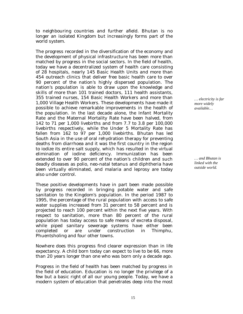to neighbouring countries and further afield. Bhutan is no longer an isolated Kingdom but increasingly forms part of the world system.

The progress recorded in the diversification of the economy and the development of physical infrastructure has been more than matched by progress in the social sectors. In the field of health, today we have a decentralized system of health care consisting of 28 hospitals, nearly 145 Basic Health Units and more than 454 outreach clinics that deliver free basic health care to over 90 percent of the nation's highly dispersed population. The nation's population is able to draw upon the knowledge and skills of more than 101 trained doctors, 111 health assistants, 355 trained nurses, 154 Basic Health Workers and more than 1,000 Village Health Workers. These developments have made it possible to achieve remarkable improvements in the health of the population. In the last decade alone, the Infant Mortality Rate and the Maternal Mortality Rate have been halved, from 142 to 71 per 1,000 livebirths and from 7.7 to 3.8 per 100,000 livebirths respectively, while the Under 5 Mortality Rate has fallen from 162 to 97 per 1,000 livebirths. Bhutan has led South Asia in the use of oral rehydration therapy for preventing deaths from diarrhoea and it was the first country in the region to iodize its entire salt supply, which has resulted in the virtual elimination of iodine deficiency. Immunization has been extended to over 90 percent of the nation's children and such deadly diseases as polio, neo-natal tetanus and diphtheria have been virtually eliminated, and malaria and leprosy are today also under control.

These positive developments have in part been made possible by progress recorded in bringing potable water and safe sanitation to the Kingdom's population. In the period 1987 to 1995, the percentage of the rural population with access to safe water supplies increased from 31 percent to 58 percent and is projected to reach 100 percent within the next five years. With respect to sanitation, more than 80 percent of the rural population has today access to safe means of excreta disposal, while piped sanitary sewerage systems have either been completed or are under construction in Thimphu, Phuentsholing and four other towns.

Nowhere does this progress find clearer expression than in life expectancy. A child born today can expect to live to be 66, more than 20 years longer than one who was born only a decade ago.

Progress in the field of health has been matched by progress in the field of education. Education is no longer the privilege of a few but a basic right of all our young people. Today, we have a modern system of education that penetrates deep into the most

*… electricity is far more widely available…* 

*… and Bhutan is linked with the outside world.*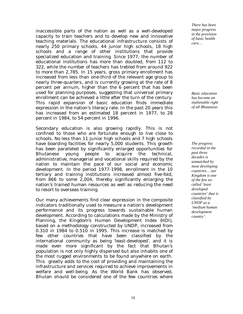inaccessible parts of the nation as well as a well-developed capacity to train teachers and to develop new and innovative teaching materials. The educational infrastructure consists of nearly 250 primary schools, 44 junior high schools, 18 high schools and a range of other institutions that provide specialized education and training. Since 1977, the number of educational institutions has more than doubled, from 112 to 322, while the number of teachers has trebled from around 922 to more than 2,785. In 15 years, gross primary enrollment has increased from less than one-third of the relevant age group to nearly three-quarters, and is currently growing at the rate of 8 percent per annum, higher than the 6 percent that has been used for planning purposes, suggesting that universal primary enrollment can be achieved a little after the turn of the century. This rapid expansion of basic education finds immediate expression in the nation's literacy rate. In the past 20 years this has increased from an estimated 18 percent in 1977, to 28 percent in 1984, to 54 percent in 1996.

Secondary education is also growing rapidly. This is not confined to those who are fortunate enough to live close to schools. No less than 11 junior high schools and 7 high schools have boarding facilities for nearly 5,000 students. This growth has been paralleled by significantly enlarged opportunities for Bhutanese young people to acquire the technical, administrative, managerial and vocational skills required by the nation to maintain the pace of our social and economic development. In the period 1977-1998, enrollment in the 10 tertiary and training institutions increased almost five-fold, from 866 to some 2,004, thereby significantly enlarging the nation's trained human resources as well as reducing the need to resort to overseas training.

Our many achievements find clear expression in the composite indicators traditionally used to measure a nation's development performance and its progress towards sustainable human development. According to calculations made by the Ministry of Planning, the Kingdom's Human Development Index (HDI), based on a methodology constructed by UNDP, increased from 0.310 in 1984 to 0.510 in 1995. This increase is matched by few other countries that have been classified by the international community as being 'least-developed', and it is made even more significant by the fact that Bhutan's population is not only highly dispersed but also inhabits one of the most rugged environments to be found anywhere on earth. This greatly adds to the cost of providing and maintaining the infrastructure and services required to achieve improvements in welfare and well-being. As the World Bank has observed, Bhutan should be considered one of the few countries where

*There has been major progress in the provision of basic health care…* 

*Basic education has become an inalienable right of all Bhutanese.*

*The progress recorded in the past three decades is unmatched by most developing countries… our Kingdom is one of the few socalled 'least developed countries' that is classified by UNDP as a 'medium human development country'.*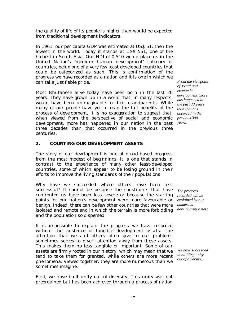the quality of life of its people is higher than would be expected from traditional development indicators.

In 1961, our per capita GDP was estimated at US\$ 51, then the lowest in the world. Today it stands at US\$ 551, one of the highest in South Asia. Our HDI of 0.510 would place us in the United Nation's 'medium human development' category of countries, being one of a very few least developed countries that could be categorized as such. This is confirmation of the progress we have recorded as a nation and it is one in which we can take justifiable pride.

Most Bhutanese alive today have been born in the last 20 years. They have grown up in a world that, in many respects, would have been unimaginable to their grandparents. While many of our people have yet to reap the full benefits of the process of development, it is no exaggeration to suggest that, when viewed from the perspective of social and economic development, more has happened in our nation in the past *years.*  three decades than that occurred in the previous three centuries.

### **2. COUNTING OUR DEVELOPMENT ASSETS**

The story of our development is one of broad-based progress from the most modest of beginnings. It is one that stands in contrast to the experience of many other least-developed countries, some of which appear to be losing ground in their efforts to improve the living standards of their populations.

Why have we succeeded where others have been less successful? It cannot be because the constraints that have confronted us have been less severe or because the starting points for our nation's development were more favourable or benign. Indeed, there can be few other countries that were more isolated and remote and in which the terrain is more forbidding and the population so dispersed.

It is impossible to explain the progress we have recorded without the existence of tangible development assets. The attention that we and others often give to our problems sometimes serves to divert attention away from these assets. This makes them no less tangible or important. Some of our assets are firmly rooted in our history, which may mean that we tend to take them for granted, while others are more recent phenomena. Viewed together, they are more numerous than we sometimes imagine.

*First*, we have built unity out of diversity. This unity was not preordained but has been achieved through a process of nation

*From the viewpoint of social and economic development, more has happened in the past 30 years than that has occurred in the previous 300* 

*The progress recorded can be explained by our numerous development assets* 

*We have succeeded in building unity out of diversity.*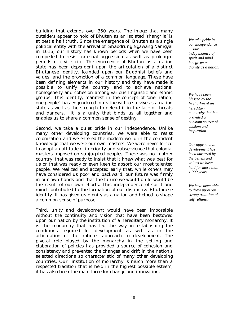building that extends over 350 years. The image that many outsiders appear to hold of Bhutan as an isolated 'shangrila' is at best a half truth. Since the emergence of Bhutan as a single political entity with the arrival of Shabdrung Ngawang Namgyal in 1616, our history has known periods when we have been compelled to resist external aggression as well as prolonged periods of civil strife. The emergence of Bhutan as a nation state has been dependent upon the articulation of a distinct Bhutanese identity, founded upon our Buddhist beliefs and values, and the promotion of a common language. These have been defining elements in our history and they have made it possible to unify the country and to achieve national homogeneity and cohesion among various linguistic and ethnic groups. This identity, manifest in the concept of 'one nation, one people', has engendered in us the will to survive as a nation state as well as the strength to defend it in the face of threats and dangers. It is a unity that binds us all together and enables us to share a common sense of destiny.

*Second*, we take a quiet pride in our independence. Unlike many other developing countries, we were able to resist colonization and we entered the modern world in the confident knowledge that we were our own masters. We were never forced to adopt an attitude of inferiority and subservience that colonial masters imposed on subjugated peoples. There was no 'mother country' that was ready to insist that it knew what was best for us or that was ready or even keen to absorb our most talented people. We realized and accepted early that, while others may have considered us poor and backward, our future was firmly in our own hands and that the future we would build would be the result of our own efforts. This independence of spirit and mind contributed to the formation of our distinctive Bhutanese identity. It has given us dignity as a nation and helped to shape a common sense of purpose.

*Third*, unity and development would have been impossible without the continuity and vision that have been bestowed upon our nation by the institution of a hereditary monarchy. It is the monarchy that has led the way in establishing the conditions required for development as well as in the articulation of the nation's approach to development. The pivotal role played by the monarchy in the setting and elaboration of policies has provided a source of cohesion and consistency and prevented the changes and drift in the nation's selected directions so characteristic of many other developing countries. Our institution of monarchy is much more than a respected tradition that is held in the highest possible esteem, it has also been the main force for change and innovation.

*We take pride in our independence … our independence of spirit and mind has given us dignity as a nation.*

*We have been blessed by the institution of an hereditary monarchy that has provided a constant source of wisdom and inspiration.* 

*Our approach to development has been nurtured by the beliefs and values we have held for more than 1,000 years.* 

*We have been able to draw upon our strong tradition of self-reliance.*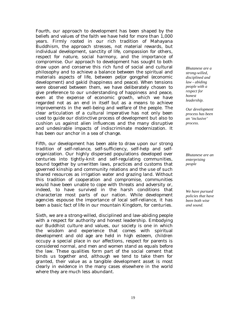*Fourth*, our approach to development has been shaped by the beliefs and values of the faith we have held for more than 1,000 years. Firmly rooted in our rich tradition of Mahayana Buddhism, the approach stresses, not material rewards, but individual development, sanctity of life, compassion for others, respect for nature, social harmony, and the importance of compromise. Our approach to development has sought to both draw upon and conserve this rich fund of social and cultural philosophy and to achieve a balance between the spiritual and materials aspects of life, between *peljor gongphel* (economic development) and *gakid* (happiness and peace). When tensions were observed between them, we have deliberately chosen to give preference to our understanding of happiness and peace, even at the expense of economic growth, which we have regarded not as an end in itself but as a means to achieve improvements in the well-being and welfare of the people. The clear articulation of a cultural imperative has not only been used to guide our distinctive process of development but also to cushion us against alien influences and the many disruptive and undesirable impacts of indiscriminate modernization. It has been our anchor in a sea of change.

*Fifth*, our development has been able to draw upon our strong tradition of self-reliance, self-sufficiency, self-help and selforganization. Our highly dispersed populations developed over centuries into tightly-knit and self-regulating communities, bound together by unwritten laws, practices and customs that governed kinship and community relations and the use of such shared resources as irrigation water and grazing land. Without this tradition of cooperation and compromise, communities would have been unable to cope with threats and adversity or, indeed, to have survived in the harsh conditions that characterize most parts of our nation. While development agencies espouse the importance of local self-reliance, it has been a basic fact of life in our mountain Kingdom, for centuries.

*Sixth*, we are a strong-willed, disciplined and law-abiding people with a respect for authority and honest leadership. Embodying our Buddhist culture and values, our society is one in which the wisdom and experience that comes with spiritual development and old age are held in high esteem, children occupy a special place in our affections, respect for parents is considered normal, and men and women stand as equals before the law. These qualities form part of the social cement that binds us together and, although we tend to take them for granted, their value as a tangible development asset is most clearly in evidence in the many cases elsewhere in the world where they are much less abundant.

*Bhutanese are a strong-willed, disciplined and law - abiding people with a respect for honest leadership.* 

*Our development process has been an 'inclusive' process.* 

*Bhutanese are an enterprising people* 

*We have pursued policies that have been both wise and sound.*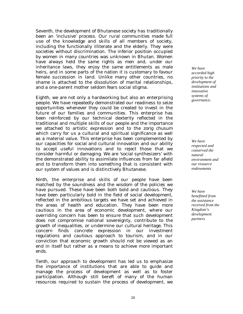*Seventh*, the development of Bhutanese society has traditionally been an 'inclusive' process. Our rural communities made full use of the knowledge and skills of all members of society, including the functionally illiterate and the elderly. They were societies without discrimination. The inferior position occupied by women in many countries was unknown in Bhutan. Women have always held the same rights as men and, under our inheritance laws, they enjoy the same entitlements as male heirs, and in some parts of the nation it is customary to favour female succession in land. Unlike many other countries, no shame is attached to the dissolution of marital relationships, and a one-parent mother seldom fears social stigma.

*Eighth*, we are not only a hardworking but also an enterprising people. We have repeatedly demonstrated our readiness to seize opportunities whenever they could be created to invest in the future of our families and communities. This enterprise has been reinforced by our technical dexterity reflected in the traditional and multiple skills of our people and the importance we attached to artistic expression and to the *zorig chusum* which carry for us a cultural and spiritual significance as well as a material value. This enterprise has been complemented by our capacities for social and cultural innovation and our ability to accept useful innovations and to reject those that we consider harmful or damaging. We are 'social synthesizers' with the demonstrated ability to assimilate influences from far afield and to transform them into something that is consistent with our system of values and is distinctively Bhutanese.

*Ninth*, the enterprise and skills of our people have been matched by the soundness and the wisdom of the policies we have pursued. These have been both bold and cautious. They have been particularly bold in the field of social development, reflected in the ambitious targets we have set and achieved in the areas of health and education. They have been more cautious in the area of economic development, where our overriding concern has been to ensure that such development does not compromise national sovereignty, contribute to the growth of inequalities, or undermine our cultural heritage. This concern finds concrete expression in our investment regulations and cautious approach to tourism, and in our conviction that economic growth should not be viewed as an end in itself but rather as a means to achieve more important ends.

*Tenth*, our approach to development has led us to emphasize the importance of institutions that are able to guide and manage the process of development as well as to foster participation. Although still bereft of many of the human resources required to sustain the process of development, we

*We have accorded high priority to the development of institutions and innovative systems of governance.* 

*We have respected and conserved the natural environment and our resource endowments* 

*We have benefitted from the assistance received from the Kingdom's development partners*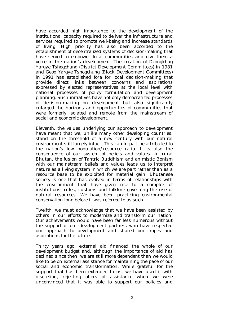have accorded high importance to the development of the institutional capacity required to deliver the infrastructure and services required to promote well-being and increase standards of living. High priority has also been accorded to the establishment of decentralized systems of decision-making that have served to empower local communities and give them a voice in the nation's development. The creation of *Dzongkhag Yargye Tshogchung* (District Development Committees) in 1981 and *Geog Yargye Tshogchung* (Block Development Committees) in 1991 has established fora for local decision-making that provide direct links between concerns and aspirations expressed by elected representatives at the local level with national processes of policy formulation and development planning. Such initiatives have not only democratized processes of decision-making on development but also significantly enlarged the horizons and opportunities of communities that were formerly isolated and remote from the mainstream of social and economic development.

*Eleventh*, the values underlying our approach to development have meant that we, unlike many other developing countries, stand on the threshold of a new century with our natural environment still largely intact. This can in part be attributed to the nation's low population/resource ratio. It is also the consequence of our system of beliefs and values. In rural Bhutan, the fusion of Tantric Buddhism and animistic Bonism with our mainstream beliefs and values leads us to interpret nature as a living system in which we are part rather than as a resource base to be exploited for material gain. Bhutanese society is one that has evolved in terms of relationships with the environment that have given rise to a complex of institutions, rules, customs and folklore governing the use of natural resources. We have been practicing environmental conservation long before it was referred to as such.

*Twelfth*, we must acknowledge that we have been assisted by others in our efforts to modernize and transform our nation. Our achievements would have been far less numerous without the support of our development partners who have respected our approach to development and shared our hopes and aspirations for the future.

Thirty years ago, external aid financed the whole of our development budget and, although the importance of aid has declined since then, we are still more dependent than we would like to be on external assistance for maintaining the pace of our social and economic transformation. While grateful for the support that has been extended to us, we have used it with discretion, rejecting offers of assistance when we were unconvinced that it was able to support our policies and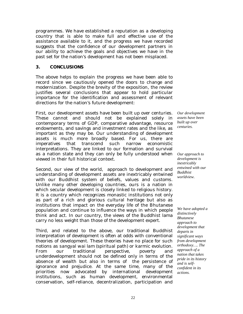programmes. We have established a reputation as a developing country that is able to make full and effective use of the assistance available to it, and the progress we have recorded suggests that the confidence of our development partners in our ability to achieve the goals and objectives we have in the past set for the nation's development has not been misplaced.

### **3. CONCLUSIONS**

The above helps to explain the progress we have been able to record since we cautiously opened the doors to change and modernization. Despite the brevity of the exposition, the review justifies several conclusions that appear to hold particular importance for the identification and assessment of relevant directions for the nation's future development:

*First*, our development assets have been built up over centuries. These cannot and should not be explained solely in contemporary terms of GDP, comparative advantage, resource endowments, and savings and investment rates and the like, as important as they may be. Our understanding of development assets is much more broadly based. For us, there are imperatives that transcend such narrow economistic interpretations. They are linked to our formation and survival as a nation state and they can only be fully understood when viewed in their full historical context.

*Second*, our view of the world, approach to development and understanding of development assets are inextricably entwined with our Buddhist system of beliefs, values and customs. Unlike many other developing countries, ours is a nation in which secular development is closely linked to religious history. It is a country which recognizes monastic institutions not only as part of a rich and glorious cultural heritage but also as institutions that impact on the everyday life of the Bhutanese population and continue to influence the ways in which people think and act. In our country, the views of the Buddhist lama carry no less weight than those of the development expert.

*Third*, and related to the above, our traditional Buddhist interpretation of development is often at odds with conventional theories of development. These theories have no place for such notions as *sangyal wai lam* (spiritual path) or karmic evolution. From our traditional perspective, poverty and underdevelopment should not be defined only in terms of the absence of wealth but also in terms of the persistence of ignorance and prejudice. At the same time, many of the priorities now advocated by international development institutions, such as human development, environmental conservation, self-reliance, decentralization, participation and

*Our development assets have been built up over centuries.* 

*Our approach to development is inextricably entwined with our Buddhist worldview.* 

*We have adopted a distinctively Bhutanese approach to development that departs in significant ways from development orthodoxy…. The approach of a nation that takes pride in its history and is selfconfident in its actions.*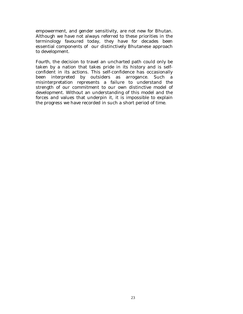empowerment, and gender sensitivity, are not new for Bhutan. Although we have not always referred to these priorities in the terminology favoured today, they have for decades been essential components of our distinctively Bhutanese approach to development.

*Fourth*, the decision to travel an uncharted path could only be taken by a nation that takes pride in its history and is selfconfident in its actions. This self-confidence has occasionally been interpreted by outsiders as arrogance. Such a misinterpretation represents a failure to understand the strength of our commitment to our own distinctive model of development. Without an understanding of this model and the forces and values that underpin it, it is impossible to explain the progress we have recorded in such a short period of time.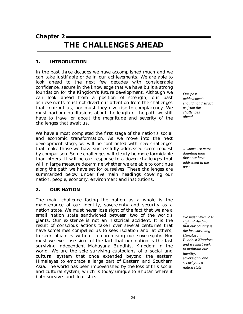*Chapter 2* 

### **THE CHALLENGES AHEAD**

### **1. INTRODUCTION**

In the past three decades we have accomplished much and we can take justifiable pride in our achievements. We are able to look ahead to the next few decades with considerable confidence, secure in the knowledge that we have built a strong foundation for the Kingdom's future development. Although we can look ahead from a position of strength, our past achievements must not divert our attention from the challenges that confront us, nor must they give rise to complacency. We must harbour no illusions about the length of the path we still have to travel or about the magnitude and severity of the challenges that await us.

We have almost completed the first stage of the nation's social and economic transformation. As we move into the next development stage, we will be confronted with new challenges that make those we have successfully addressed seem modest by comparison. Some challenges will clearly be more formidable than others. It will be our response to a dozen challenges that will in large measure determine whether we are able to continue along the path we have set for ourselves. These challenges are summarized below under five main headings covering our nation, people, economy, environment and institutions.

### **2. OUR NATION**

The main challenge facing the nation as a whole is the maintenance of our identity, sovereignty and security as a nation state. We must never lose sight of the fact that we are a small nation state sandwiched between two of the world's giants. Our existence is not an historical accident. It is the result of conscious actions taken over several centuries that have sometimes compelled us to seek isolation and, at others, to seek alliances without compromising our sovereignty. Nor must we ever lose sight of the fact that our nation is the last surviving independent Mahayana Buddhist Kingdom in the world. We are the sole surviving custodians of a social and cultural system that once extended beyond the eastern Himalayas to embrace a large part of Eastern and Southern Asia. The world has been impoverished by the loss of this social and cultural system, which is today unique to Bhutan where it both survives and flourishes.

*Our past achievements should not distract us from the challenges ahead…* 

*… some are more daunting than those we have addressed in the past.* 

*We must never lose sight of the fact that our country is the last surviving Himalayan Buddhist Kingdom and we must seek to maintain our identity, sovereignty and security as a nation state.*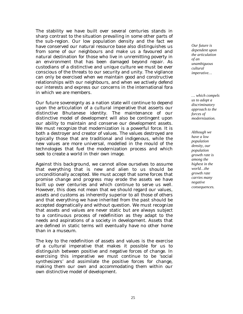The stability we have built over several centuries stands in sharp contrast to the situation prevailing in some other parts of the sub-region. Our low population density and the fact we have conserved our natural resource base also distinguishes us from some of our neighbours and make us a favoured and natural destination for those who live in unremitting poverty in an environment that has been damaged beyond repair. As custodians of a distinctive and unique culture we must be ever conscious of the threats to our security and unity. The vigilance can only be exercised when we maintain good and constructive relationships with our neighbours, and when we actively defend our interests and express our concerns in the international fora in which we are members.

Our future sovereignty as a nation state will continue to depend upon the articulation of a cultural imperative that asserts our distinctive Bhutanese identity. The maintenance of our distinctive model of development will also be contingent upon our ability to maintain and conserve our development assets. We must recognize that modernization is a powerful force. It is both a destroyer and creator of values. The values destroyed are typically those that are traditional and indigenous, while the new values are more universal, modelled in the mould of the technologies that fuel the modernization process and which seek to create a world in their own image.

Against this background, we cannot allow ourselves to assume that everything that is new and alien to us should be unconditionally accepted. We must accept that some forces that promise change and progress may erode the assets we have built up over centuries and which continue to serve us well. However, this does not mean that we should regard our values, assets and customs as inherently superior to all those of others and that everything we have inherited from the past should be accepted dogmatically and without question. We must recognize that assets and values are never static but are always subject to a continuous process of redefinition as they adapt to the needs and aspirations of a society in development. Assets that are defined in static terms will eventually have no other home than in a museum.

The key to the redefinition of assets and values is the exercise of a cultural imperative that makes it possible for us to distinguish between positive and negative forces of change. In exercising this imperative we must continue to be 'social synthesizers' and assimilate the positive forces for change, making them our own and accommodating them within our own distinctive model of development.

*Our future is dependent upon the articulation of an unambiguous cultural imperative…* 

*… which compels us to adopt a discriminatory approach to the forces of modernization.* 

*Although we have a low population density, our population growth rate is among the highest in the world…the growth rate carries many negative consequences.*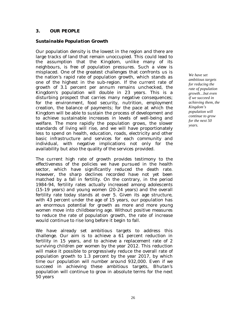### **3. OUR PEOPLE**

### *Sustainable Population Growth*

Our population density is the lowest in the region and there are large tracks of land that remain unoccupied. This could lead to the assumption that the Kingdom, unlike many of its neighbours, is free of population pressures. Such a view is misplaced. One of the greatest challenges that confronts us is the nation's rapid rate of population growth, which stands as one of the highest in the sub-region. If the current rate of growth of 3.1 percent per annum remains unchecked, the Kingdom's population will double in 23 years. This is a disturbing prospect that carries many negative consequences; for the environment, food security, nutrition, employment creation, the balance of payments; for the pace at which the Kingdom will be able to sustain the process of development and to achieve sustainable increases in levels of well-being and welfare. The more rapidly the population grows, the slower standards of living will rise, and we will have proportionately less to spend on health, education, roads, electricity and other basic infrastructure and services for each community and individual, with negative implications not only for the availability but also the quality of the services provided.

The current high rate of growth provides testimony to the effectiveness of the policies we have pursued in the health sector, which have significantly reduced the death rate. However, the sharp declines recorded have not yet been matched by a fall in fertility. On the contrary, in the period 1984-94, fertility rates actually increased among adolescents (15-19 years) and young women (20-24 years) and the overall fertility rate today stands at over 5. Given its age structure, with 43 percent under the age of 15 years, our population has an enormous potential for growth as more and more young women move into childbearing age. Without positive measures to reduce the rate of population growth, the rate of increase would continue to rise long before it begin to fall.

We have already set ambitious targets to address this challenge. Our aim is to achieve a 61 percent reduction in fertility in 15 years, and to achieve a replacement rate of 2 surviving children per women by the year 2012. This reduction will make it possible to progressively reduce the overall rate of population growth to 1.3 percent by the year 2017, by which time our population will number around 932,000. Even if we succeed in achieving these ambitious targets, Bhutan's population will continue to grow in absolute terms for the next 50 years

*We have set ambitious targets for reducing the rate of population growth…but even if we succeed in achieving them, the Kingdom's population will continue to grow for the next 50 years.*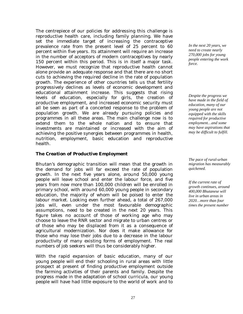The centrepiece of our policies for addressing this challenge is reproductive health care, including family planning. We have set the immediate target of increasing the contraceptive prevalence rate from the present level of 25 percent to 60 percent within five years. Its attainment will require an increase in the number of acceptors of modern contraceptives by nearly 150 percent within this period. This is in itself a major task. However, we must recognize that reproductive health cannot alone provide an adequate response and that there are no short cuts to achieving the required decline in the rate of population growth. The experience of other countries tells us that fertility progressively declines as levels of economic development and educational attainment increase. This suggests that rising levels of education, especially for girls, the creation of productive employment, and increased economic security must all be seen as part of a concerted response to the problem of population growth. We are already pursuing policies and programmes in all these areas. The main challenge now is to extend them to the whole nation and to ensure that investments are maintained or increased with the aim of achieving the positive synergies between programmes in health, nutrition, employment, basic education and reproductive health.

### *The Creation of Productive Employment*

Bhutan's demographic transition will mean that the growth in the demand for jobs will far exceed the rate of population growth. In the next five years alone, around 50,000 young people will leave school and enter the labour force, and five years from now more than 100,000 children will be enrolled in primary school, with around 60,000 young people in secondary education, the majority of whom will be poised to enter the labour market. Looking even further ahead, a total of 267,000 jobs will, even under the most favourable demographic assumptions, need to be created in the next 20 years. This figure takes no account of those of working age who may choose to leave the RNR sector and migrate to urban centres or of those who may be displaced from it as a consequence of agricultural modernization. Nor does it make allowance for those who may lose their jobs due to a decrease in the labour productivity of many existing forms of employment. The real numbers of job seekers will thus be considerably higher.

With the rapid expansion of basic education, many of our young people will end their schooling in rural areas with little prospect at present of finding productive employment outside the farming activities of their parents and family. Despite the progress made in the adaptation of school curricula, our young people will have had little exposure to the world of work and to

*In the next 20 years, we need to create nearly 270,000 jobs for young people entering the work force.* 

*Despite the progress we have made in the field of education, many of our young people are not equipped with the skills required for productive employment…and some may have aspirations that may be difficult to fulfill.* 

*The pace of rural-urban migration has measurably quickened.* 

*If the current rate of growth continues, around 400,000 Bhutanese will live in urban areas in 2020…more than four times the present number*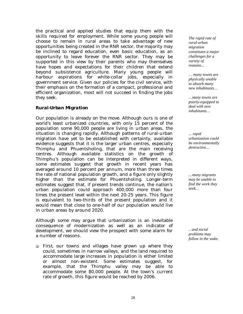the practical and applied studies that equip them with the skills required for employment. While some young people will choose to remain in rural areas to take advantage of new opportunities being created in the RNR sector, the majority may be inclined to regard education, even basic education, as an opportunity to leave forever the RNR sector. They may be supported in this view by their parents who may themselves have hopes and expectations for their children that extend beyond subsistence agriculture. Many young people will harbour aspirations for white-collar jobs, especially in government service. Given our policies for the civil service, with their emphasis on the formation of a compact, professional and efficient organization, most will not succeed in finding the jobs they seek.

### *Rural-Urban Migration*

Our population is already on the move. Although ours is one of world's least urbanized countries, with only 15 percent of the population some 90,000 people are living in urban areas, the situation is changing rapidly. Although patterns of rural-urban migration have yet to be established with certainty, available evidence suggests that it is the larger urban centres, especially Thimphu and Phuentsholing, that are the main receiving centres. Although available statistics on the growth of Thimphu's population can be interpreted in different ways, some estimates suggest that growth in recent years has averaged around 10 percent per annum, more than three times the rate of national population growth, and a figure only slightly higher than the estimate for Phuentsholing. Longer-term estimates suggest that, if present trends continue, the nation's urban population could approach 400,000 more than four times the present level within the next 20-25 years. This figure is equivalent to two-thirds of the present population and it would mean that close to one-half of our population would live in urban areas by around 2020.

Although some may argue that urbanization is an inevitable consequence of modernization as well as an indicator of development, we should view the prospect with some alarm for a number of reasons.

! *First,* our towns and villages have grown up where they could, sometimes in narrow valleys, and the land required to accommodate large increases in population is either limited or almost non-existent. Some estimates suggest, for example, that the Thimphu valley may be able to accommodate some 80,000 people. At the town's current rate of growth, this figure would be reached by 2006.

*The rapid rate of rural-urban migration constitutes a major challenges for a variety of reasons...* 

*… many towns are physically unable to absorb many new inhabitants…* 

*…many towns are poorly-equipped to deal with new inhabitants…* 

*... rapid urbanization could be environmentally destructive…* 

*…many migrants may be unable to find the work they seek…* 

*.. and social problems may follow in the wake.*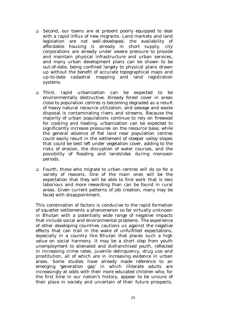- ! *Second*, our towns are at present poorly equipped to deal with a rapid influx of new migrants. Land markets and land legislation are not well-developed, the availability of affordable housing is already in short supply, city corporations are already under severe pressure to provide and maintain physical infrastructure and urban services, and many urban development plans can be shown to be out-of-date, being confined largely to physical plans drawn up without the benefit of accurate topographical maps and up-to-date cadastral mapping and land registration systems.
- ! *Third*, rapid urbanization can be expected to be environmentally destructive. Already forest cover in areas close to population centres is becoming degraded as a result of heavy natural resource utilization, and sewage and waste disposal is contaminating rivers and streams. Because the majority of urban populations continue to rely on firewood for cooking and heating, urbanization can be expected to significantly increase pressures on the resource base, while the general absence of flat land near population centres could easily result in the settlement of steeper valley slopes that could be best left under vegetation cover, adding to the risks of erosion, the disruption of water courses, and the possibility of flooding and landslides during monsoon periods.
- ! *Fourth*, those who migrate to urban centres will do so for a variety of reasons. One of the main ones will be the expectation that they will be able to find work that is less laborious and more rewarding than can be found in rural areas. Given current patterns of job creation, many may be faced with disappointment.

This combination of factors is conducive to the rapid formation of squatter settlements a phenomenon so far virtually unknown in Bhutan with a potentially wide range of negative impacts that include social and environmental problems. The experience of other developing countries cautions us against the negative effects that can trail in the wake of unfulfilled expectations, especially in a country like Bhutan that places such a high value on social harmony. It may be a short step from youth unemployment to alienated and disfranchised youth, reflected in increasing crime rates, juvenile delinquency, drug use and prostitution, all of which are in increasing evidence in urban areas. Some studies have already made reference to an emerging 'generation gap' in which illiterate adults are increasingly at odds with their more educated children who, for the first time in our nation's history, appear to be unsure of their place in society and uncertain of their future prospects.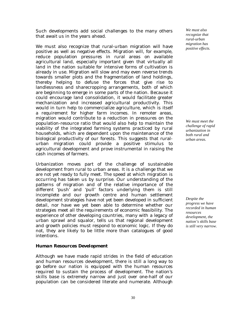Such developments add social challenges to the many others that await us in the years ahead.

We must also recognize that rural-urban migration will have positive as well as negative effects. Migration will, for example, reduce population pressures in rural areas on available agricultural land, especially important given that virtually all land in the nation suitable for intensive forms of cultivation is already in use. Migration will slow and may even reverse trends towards smaller plots and the fragmentation of land holdings, thereby helping to defuse the forces that give rise to landlessness and sharecropping arrangements, both of which are beginning to emerge in some parts of the nation. Because it could encourage land consolidation, it would facilitate greater mechanization and increased agricultural productivity. This would in turn help to commercialize agriculture, which is itself a requirement for higher farm incomes. In remoter areas, migration would contribute to a reduction in pressures on the population-resource ratio that would also help to maintain the viability of the integrated farming systems practiced by rural households, which are dependent upon the maintenance of the biological productivity of our forests. This suggests that ruralurban migration could provide a positive stimulus to agricultural development and prove instrumental in raising the cash incomes of farmers.

Urbanization moves part of the challenge of sustainable development from rural to urban areas. It is a challenge that we are not yet ready to fully meet. The speed at which migration is occurring has taken us by surprise. Our understanding of the patterns of migration and of the relative importance of the different 'push' and 'pull' factors underlying them is still incomplete and our growth centre and human settlement development strategies have not yet been developed in sufficient detail, nor have we yet been able to determine whether our strategies meet all the requirements of economic feasibility. The experience of other developing countries, many with a legacy of urban sprawl and squalor, tells us that regional development and growth policies must respond to economic logic. If they do not, they are likely to be little more than catalogues of good intentions.

### *Human Resources Development*

Although we have made rapid strides in the field of education and human resources development, there is still a long way to go before our nation is equipped with the human resources required to sustain the process of development. The nation's skills base is extremely narrow and just over one-half of our population can be considered literate and numerate. Although

*We must also recognize that rural-urban migration has positive effects.* 

*We must meet the challenge of rapid urbanization in both rural and urban areas.* 

*Despite the progress we have recorded in human resources development, the nation's skills base is still very narrow.*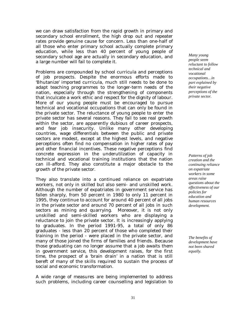we can draw satisfaction from the rapid growth in primary and secondary school enrollment, the high drop out and repeater rates provide genuine cause for concern. Less than one-half of all those who enter primary school actually complete primary education, while less than 40 percent of young people of secondary school age are actually in secondary education, and a large number will fail to complete it.

Problems are compounded by school curricula and perceptions of job prospects. Despite the enormous efforts made to 'Bhutanize' imported curricula, much still needs to be done to adapt teaching programmes to the longer-term needs of the nation, especially through the strengthening of components that inculcate a work ethic and respect for the dignity of labour. More of our young people must be encouraged to pursue technical and vocational occupations that can only be found in the private sector. The reluctance of young people to enter the private sector has several reasons. They fail to see real growth within the sector, are apparently dubious of career prospects, and fear job insecurity. Unlike many other developing countries, wage differentials between the public and private sectors are modest, except at the highest levels, and negative perceptions often find no compensation in higher rates of pay and other financial incentives. These negative perceptions find concrete expression in the underutilzation of capacity in technical and vocational training institutions that the nation can ill-afford. They also constitute a major obstacle to the growth of the private sector.

They also translate into a continued reliance on expatriate workers, not only in skilled but also semi- and unskilled work. Although the number of expatriates in government service has fallen sharply, from 50 percent in 1980 to only 11 percent in 1995, they continue to account for around 40 percent of all jobs in the private sector and around 70 percent of all jobs in such sectors as mining and quarrying. Moreover, it is not only unskilled and semi-skilled workers who are displaying a reluctance to join the private sector. It is increasingly applying to graduates. In the period 1991-95, a total of only 86 graduates - less than 20 percent of those who completed their training in the period - were placed in the private sector, and many of those joined the firms of families and friends. Because those graduating can no longer assume that a job awaits them in government service, this development raises, for the first time, the prospect of a 'brain drain' in a nation that is still bereft of many of the skills required to sustain the process of social and economic transformation.

A wide range of measures are being implemented to address such problems, including career counselling and legislation to

*Many young people seem reluctant to follow technical and vocational occupations…in part explained by their negative perceptions of the private sector.* 

*Patterns of job creation and the continuing reliance on expatriate workers in some areas raise questions about the effectiveness of our policies for education and human resources development.* 

*The benefits of development have not been shared equally.*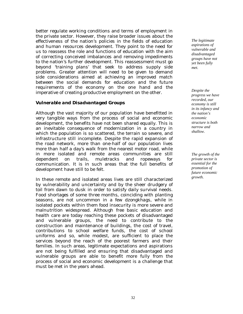better regulate working conditions and terms of employment in the private sector. However, they raise broader issues about the effectiveness of the nation's policies in the fields of education and human resources development. They point to the need for us to reassess the role and functions of education with the aim of correcting conceived imbalances and removing impediments to the nation's further development. This reassessment must go beyond 'training plans' that seek to address supply side problems. Greater attention will need to be given to demand side considerations aimed at achieving an improved match between the social demands for education and the future requirements of the economy on the one hand and the imperative of creating productive employment on the other.

### *Vulnerable and Disadvantaged Groups*

Although the vast majority of our population have benefitted in very tangible ways from the process of social and economic development, the benefits have not been shared equally. This is an inevitable consequence of modernization in a country in which the population is so scattered, the terrain so severe, and infrastructure still incomplete. Despite the rapid expansion of the road network, more than one-half of our population lives more than half a day's walk from the nearest motor road, while in more isolated and remote areas communities are still dependent on trails, muletracks and ropeways for communication. It is in such areas that the full benefits of development have still to be felt.

In these remote and isolated areas lives are still characterized by vulnerability and uncertainty and by the sheer drudgery of toil from dawn to dusk in order to satisfy daily survival needs. Food shortages of some three months, coinciding with planting seasons, are not uncommon in a few *dzongkhags*, while in isolated pockets within them food insecurity is more severe and malnutrition widespread. Although free basic education and health care are today reaching these pockets of disadvantaged and vulnerable groups, the need to contribute to the construction and maintenance of buildings, the cost of travel, contributions to school welfare funds, the cost of school uniforms and so, while modest, are sufficient to place the services beyond the reach of the poorest farmers and their families. In such areas, legitimate expectations and aspirations are not being fulfilled and ensuring that disadvantaged and vulnerable groups are able to benefit more fully from the process of social and economic development is a challenge that must be met in the years ahead.

*The legitimate aspirations of vulnerable and disadvantaged groups have not yet been fully met.* 

*Despite the progress we have recorded, our economy is still in its infancy and the nation's economic structure is both narrow and shallow.* 

*The growth of the private sector is essential for the promotion of future economic growth.*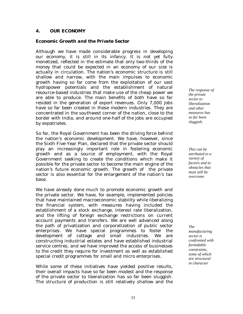### **4. OUR ECONOMY**

### *Economic Growth and the Private Sector*

Although we have made considerable progress in developing our economy, it is still in its infancy. It is not yet fully monetized, reflected in the estimate that only two-thirds of the money that could be expected in an economy of our size is actually in circulation. The nation's economic structure is still shallow and narrow, with the main impulses to economic growth having so far come from the exploitation of our vast hydropower potentials and the establishment of natural resource-based industries that make use of the cheap power we are able to produce. The main benefits of both have so far resided in the generation of export revenues. Only 7,000 jobs have so far been created in these modern industries. They are concentrated in the southwest corner of the nation, close to the border with India, and around one-half of the jobs are occupied by expatriates.

So far, the Royal Government has been the driving force behind the nation's economic development. We have, however, since the Sixth Five-Year Plan, declared that the private sector should play an increasingly important role in fostering economic growth and as a source of employment, with the Royal Government seeking to create the conditions which make it possible for the private sector to become the main engine of the nation's future economic growth. The growth of the private sector is also essential for the enlargement of the nation's tax base.

We have already done much to promote economic growth and the private sector. We have, for example, implemented policies that have maintained macroeconomic stability while liberalizing the financial system, with measures having included the establishment of a stock exchange, interest rate liberalization, and the lifting of foreign exchange restrictions on current account payments and transfers. We are well advanced along the path of privatization and corporatization of public sector enterprises. We have special programmes to foster the development of cottage and small industries. We are constructing industrial estates and have established industrial service centres, and we have improved the access of businesses to the credit they require for investment as well as established special credit programmes for small and micro enterprises.

While some of these initiatives have yielded positive results, their overall impacts have so far been modest and the response of the private sector to liberalization has so far been sluggish. The structure of production is still relatively shallow and the

*The response of the private sector to liberalization and other measures has so far been sluggish.* 

*This can be attributed to a variety of factors and to obstacles that must still be overcome* 

*The manufacturing sector is confronted with formidable constraints, some of which are structural in character*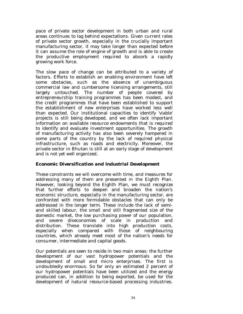pace of private sector development in both urban and rural areas continues to lag behind expectations. Given current rates of private sector growth, especially in the crucially important manufacturing sector, it may take longer than expected before it can assume the role of engine of growth and is able to create the productive employment required to absorb a rapidly growing work force.

The slow pace of change can be attributed to a variety of factors. Efforts to establish an enabling environment have left some obstacles, such as the absence of unambiguous commercial law and cumbersome licensing arrangements, still largely untouched. The number of people covered by entrepreneurship training programmes has been modest, and the credit programmes that have been established to support the establishment of new enterprises have worked less well than expected. Our institutional capacities to identify 'viable' projects is still being developed, and we often lack important information on available resource endowments that is required to identify and evaluate investment opportunities. The growth of manufacturing activity has also been severely hampered in some parts of the country by the lack of required physical infrastructure, such as roads and electricity. Moreover, the private sector in Bhutan is still at an early stage of development and is not yet well organized.

### *Economic Diversification and Industrial Development*

These constraints we will overcome with time, and measures for addressing many of them are presented in the Eighth Plan. However, looking beyond the Eighth Plan, we must recognize that further efforts to deepen and broaden the nation's economic structure, especially in the manufacturing sector, are confronted with more formidable obstacles that can only be addressed in the longer term. These include the lack of semiand skilled labour, the small and still fragmented size of the domestic market, the low purchasing power of our population, and severe diseconomies of scale in production and distribution. These translate into high production costs, especially when compared with those of neighbouring countries, which already meet most of the nation's needs for consumer, intermediate and capital goods.

Our potentials are seen to reside in two main areas: the further development of our vast hydropower potentials and the development of small and micro enterprises. The first is undoubtedly enormous. So far only an estimated 2 percent of our hydropower potentials have been utilized and the energy produced can, in addition to being exported, be used for the development of natural resource-based processing industries.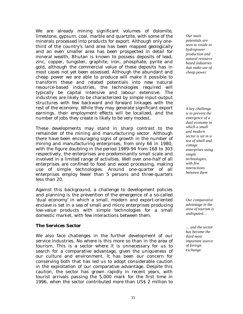We are already mining significant volumes of dolomite, limestone, gypsum, coal, marble and quartzite, with some of the minerals processed into products for export. Although only onethird of the country's land area has been mapped geologically and an even smaller area has been prospected in detail for mineral wealth, Bhutan is known to possess deposits of lead, zinc, copper, tungsten, graphite, iron, phosphate, pyrite and gold, although the commercial value of these deposits has in most cases not yet been assessed. Although the abundant and cheap power we are able to produce will make it possible to transform these and related potentials into new natural resource-based industries, the technologies required will typically be capital intensive and labour extensive. The industries are likely to be characterized by simple input-output structures with few backward and forward linkages with the rest of the economy. While they may generate significant export earnings, their employment effects will be localized, and the number of jobs they create is likely to be very modest.

These developments may stand in sharp contrast to the remainder of the mining and manufacturing sector. Although there have been encouraging signs of growth in the number of mining and manufacturing enterprises, from only 66 in 1980, with the figure doubling in the period 1989-94 from 168 to 303 respectively, the enterprises are predominantly small scale and involved in a limited range of activities. Well over one-half of all enterprises are confined to food and wood processing, making use of simple technologies. Around one-quarter of all enterprises employ fewer than 5 persons and three-quarters less than 20.

Against this background, a challenge to development policies and planning is the prevention of the emergence of a so-called 'dual economy' in which a small, modern and export-oriented enclave is set in a sea of small and micro enterprises producing low-value products with simple technologies for a small domestic market, with few interactions between them.

### *The Services Sector*

We also face challenges in the further development of our service industries. No where is this more so than in the area of tourism. This is a sector where it is unnecessary for us to search for a comparative advantage, given the uniqueness of our culture and environment. It has been our concern for conserving both that has led us to adopt considerable caution in the exploitation of our comparative advantage. Despite this caution, the sector has grown rapidly in recent years, with tourist arrivals passing the 5,000 mark for the first time in 1996, when the sector contributed more than US\$ 2 million to

*Our main potentials are seen to reside in hydropower production and natural resource based industries that make use of cheap power.* 

*A key challenge is to prevent the emergence of a dual economy in which a small and modern sector is set in a sea of small and cottage enterprises using simple technologies, with few interactions between them* 

*Our comparative advantage in the area of tourism is undisputed…* 

*… and the sector has become the third most important source of foreign exchange.*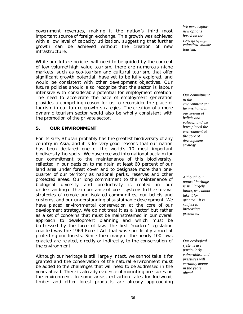government revenues, making it the nation's third most important source of foreign exchange. This growth was achieved with a low level of capacity utilization, suggesting that further growth can be achieved without the creation of new infrastructure.

While our future policies will need to be guided by the concept of low volume/high value tourism, there are numerous niche markets, such as eco-tourism and cultural tourism, that offer significant growth potential, have yet to be fully explored, and would be consistent with other development objectives. Our future policies should also recognize that the sector is labour intensive with considerable potential for employment creation. The need to accelerate the pace of employment generation provides a compelling reason for us to reconsider the place of tourism in our future growth strategies. The creation of a more dynamic tourism sector would also be wholly consistent with the promotion of the private sector.

### **5. OUR ENVIRONMENT**

For its size, Bhutan probably has the greatest biodiversity of any country in Asia, and it is for very good reasons that our nation has been declared one of the world's 10 most important biodiversity 'hotspots'. We have received international acclaim for our commitment to the maintenance of this biodiversity, reflected in our decision to maintain at least 60 percent of our land area under forest cover and to designate more than onequarter of our territory as national parks, reserves and other protected areas. Our long commitment to the maintenance of biological diversity and productivity is rooted in our understanding of the importance of forest systems to the survival strategies of remote and isolated communities, our beliefs and customs, and our understanding of sustainable development. We have placed environmental conservation at the core of our development strategy. We do not treat it as a 'sector' but rather as a set of concerns that must be mainstreamed in our overall approach to development planning and which must be buttressed by the force of law. The first 'modern' legislation enacted was the 1969 Forest Act that was specifically aimed at protecting our forests. Since then many of the nearly 100 laws enacted are related, directly or indirectly, to the conservation of the environment.

Although our heritage is still largely intact, we cannot take it for granted and the conservation of the natural environment must be added to the challenges that will need to be addressed in the years ahead. There is already evidence of mounting pressures on the environment. In some areas, extraction rates for fuelwood, timber and other forest products are already approaching

*We must explore new options based on the concept of high value/low volume tourism.* 

*Our commitment to the environment can be attributed to our system of beliefs and values…and we have placed the environment at the core of development strategy.* 

*Although our natural heritage is still largely intact, we cannot take it for granted…it is subject to increasing pressures.* 

*Our ecological systems are particularly vulnerable…and pressures will certainly mount in the years ahead.*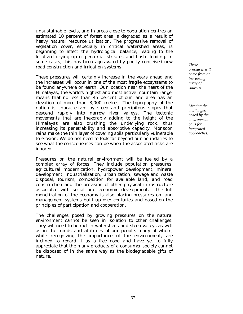unsustainable levels, and in areas close to population centres an estimated 10 percent of forest area is degraded as a result of heavy natural resource utilization. The progressive removal of vegetation cover, especially in critical watershed areas, is beginning to affect the hydrological balance, leading to the localized drying up of perennial streams and flash flooding. In some cases, this has been aggravated by poorly conceived new road construction and irrigation systems.

These pressures will certainly increase in the years ahead and the increases will occur in one of the most fragile ecosystems to be found anywhere on earth. Our location near the heart of the Himalayas, the world's highest and most active mountain range, means that no less than 45 percent of our land area has an elevation of more than 3,000 metres. The topography of the nation is characterized by steep and precipitous slopes that descend rapidly into narrow river valleys. The tectonic movements that are inexorably adding to the height of the Himalayas are also crushing the underlying rock, thus increasing its penetrability and absorptive capacity. Monsoon rains make the thin layer of covering soils particularly vulnerable to erosion. We do not need to look far beyond our boundaries to see what the consequences can be when the associated risks are ignored.

Pressures on the natural environment will be fuelled by a complex array of forces. They include population pressures, agricultural modernization, hydropower development, mineral development, industrialization, urbanization, sewage and waste disposal, tourism, competition for available land, and road construction and the provision of other physical infrastructure associated with social and economic development. The full monetization of the economy is also placing pressures on land management systems built up over centuries and based on the principles of participation and cooperation.

The challenges posed by growing pressures on the natural environment cannot be seen in isolation to other challenges. They will need to be met in watersheds and steep valleys as well as in the minds and attitudes of our people, many of whom, while recognizing the importance of the environment, are inclined to regard it as a free good and have yet to fully appreciate that the many products of a consumer society cannot be disposed of in the same way as the biodegradable gifts of nature.

*These pressures will come from an increasing array of sources* 

*Meeting the challenges posed by the environment calls for integrated approaches.*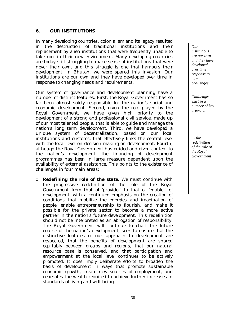#### **6. OUR INSTITUTIONS**

In many developing countries, colonialism and its legacy resulted in the destruction of traditional institutions and their replacement by alien institutions that were frequently unable to take root in their new environment. Many developing countries are today still struggling to make sense of institutions that were never their own, and this struggle is one that hampers their development. In Bhutan, we were spared this invasion. Our institutions are our own and they have developed over time in response to changing needs and requirements.

Our system of governance and development planning have a number of distinct features. First, the Royal Government has so far been almost solely responsible for the nation's social and economic development. Second, given the role played by the Royal Government, we have given high priority to the development of a strong and professional civil service, made up of our most talented people, that is able to guide and manage the nation's long term development. Third, we have developed a unique system of decentralization, based on our local institutions and customs, that effectively links the central level with the local level on decision-making on development. Fourth, although the Royal Government has guided and given content to the nation's development, the financing of development programmes has been in large measure dependent upon the availability of external assistance. This points to the existence of challenges in four main areas:

! *Redefining the role of the state*. We must continue with the progressive redefinition of the role of the Royal Government from that of 'provider' to that of 'enabler' of development, with a continued emphasis on the creation of conditions that mobilize the energies and imagination of people, enable entrepreneurship to flourish, and make it possible for the private sector to become a more active partner in the nation's future development. This redefinition should not be interpreted as an abrogation of responsibility. The Royal Government will continue to chart the future course of the nation's development, seek to ensure that the distinctive features of our approach to development are respected, that the benefits of development are shared equitably between groups and regions, that our natural resource base is conserved, and that participation and empowerment at the local level continues to be actively promoted. It does imply deliberate efforts to broaden the basis of development in ways that promote sustainable economic growth, create new sources of employment, and generates the wealth required to achieve further increases in standards of living and well-being.

*Our institutions are our own and they have developed over time in response to new challenges.* 

*Challenges exist in a number of key areas….* 

*… the redefinition of the role of the Royal Government*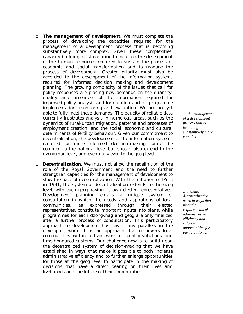- ! *The management of development*. We must complete the process of developing the capacities required for the management of a development process that is becoming substantively more complex. Given these complexities, capacity building must continue to focus on the development of the human resources required to sustain the process of economic and social transformation and to manage the process of development. Greater priority must also be accorded to the development of the information systems required for informed decision making and development planning. The growing complexity of the issues that call for policy responses are placing new demands on the quantity, quality and timeliness of the information required for improved policy analysis and formulation and for programme implementation, monitoring and evaluation. We are not yet able to fully meet these demands. The paucity of reliable data currently frustrates analysis in numerous areas, such as the dynamics of rural-urban migration, patterns and processes of employment creation, and the social, economic and cultural determinants of fertility behaviour. Given our commitment to decentralization, the development of the information systems required for more informed decision-making cannot be confined to the national level but should also extend to the *dzongkhag* level, and eventually even to the *geog* level.
- ! *Decentralization*. We must not allow the redefinition of the role of the Royal Government and the need to further strengthen capacities for the management of development to slow the pace of decentralization. With the initiation of DYTs in 1991, the system of decentralization extends to the *geog* level, with each g*eog* having its own elected representatives. Development planning entails a unique system of consultation in which the needs and aspirations of local communities, as expressed through their elected representatives, constitute important inputs into plans, while programmes for each *dzongkhag* and g*eog* are only finalized after a further process of consultation. This participatory approach to development has few if any parallels in the developing world. It is an approach that empowers local communities within a framework of local institutions and time-honoured customs. Our challenge now is to build upon the decentralized system of decision-making that we have established in ways that make it possible to both increase administrative efficiency and to further enlarge opportunities for those at the *geog* level to participate in the making of decisions that have a direct bearing on their lives and livelihoods and the future of their communities.

*… the management of a development process that is becoming substantively more complex…* 

*… making decentralization work in ways that meet the requirements of administrative efficiency and enlarge opportunities for participation…*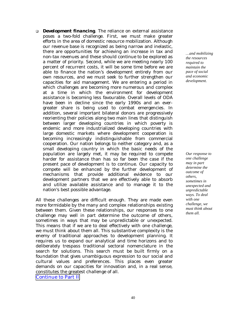! *Development financing*. The reliance on external assistance poses a two-fold challenge. First, we must make greater efforts in the area of domestic resource mobilization. Although our revenue base is recognized as being narrow and inelastic, there are opportunities for achieving an increase in tax and non-tax revenues and these should continue to be explored as a matter of priority. Second, while we are meeting nearly 100 percent of recurrent costs, it will be some time before we are able to finance the nation's development entirely from our own resources, and we must seek to further strengthen our capacities for aid management. We are entering a period in which challenges are becoming more numerous and complex at a time in which the environment for development assistance is becoming less favourable. Overall levels of ODA have been in decline since the early 1990s and an evergreater share is being used to combat emergencies. In addition, several important bilateral donors are progressively reorienting their policies along two main lines that distinguish between larger developing countries in which poverty is endemic and more industrialized developing countries with large domestic markets where development cooperation is becoming increasingly indistinguishable from commercial cooperation. Our nation belongs to neither category and, as a small developing country in which the basic needs of the population are largely met, it may be required to compete harder for assistance than has so far been the case if the present pace of development is to continue. Our capacity to compete will be enhanced by the further development of mechanisms that provide additional evidence to our development partners that we are effectively able to absorb and utilize available assistance and to manage it to the nation's best possible advantage.

All these challenges are difficult enough. They are made even more formidable by the many and complex relationships existing between them. Given these relationships, our responses to one challenge may well in part determine the outcome of others, sometimes in ways that may be unpredictable or unexpected. This means that if we are to deal effectively with one challenge, we must think about them all. This substantive complexity is the enemy of traditional approaches to development planning. It requires us to expand our analytical and time horizons and to deliberately trespass traditional sectoral nomenclature in the search for solutions. This search must be built firmly on a foundation that gives unambiguous expression to our social and cultural values and preferences. This places even greater demands on our capacities for innovation and, in a real sense, constitutes the greatest challenge of all.

Continue to Part II

*…and mobilizing the resources required to maintain the pace of social and economic development.* 

*Our response to one challenge may in part determine the outcome of others, sometimes in unexpected and unpredictable ways. To deal with one challenge, we must think about them all.*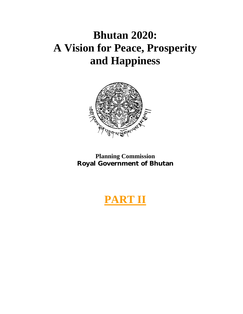# **Bhutan 2020: A Vision for Peace, Prosperity and Happiness**



**Planning Commission Royal Government of Bhutan** 

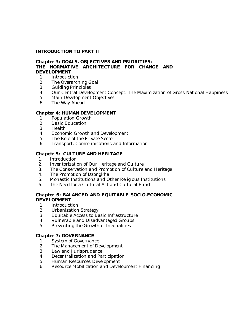### **INTRODUCTION TO PART II**

# *Chapter 3***: GOALS, OBJECTIVES AND PRIORITIES: THE NORMATIVE ARCHITECTURE FOR CHANGE AND DEVELOPMENT**

- 1. Introduction
- 2. The Overarching Goal
- 3. Guiding Principles
- 4. Our Central Development Concept: The Maximization of Gross National Happiness
- 5. Main Development Objectives
- 6. The Way Ahead

#### *Chapter 4***: HUMAN DEVELOPMENT**

- 1. Population Growth
- 2. Basic Education
- 3. Health
- 4. Economic Growth and Development
- 5. The Role of the Private Sector.
- 6. Transport, Communications and Information

#### *Chapetr 5***: CULTURE AND HERITAGE**

- 1. Introduction
- 2. Inventorization of Our Heritage and Culture
- 3. The Conservation and Promotion of Culture and Heritage
- 4. The Promotion of Dzongkha
- 5. Monastic Institutions and Other Religious Institutions
- 6. The Need for a Cultural Act and Cultural Fund

#### *Chapter 6***: BALANCED AND EQUITABLE SOCIO-ECONOMIC DEVELOPMENT**

- 1. Introduction
- 2. Urbanization Strategy
- 3. Equitable Access to Basic Infrastructure
- 4. Vulnerable and Disadvantaged Groups
- 5. Preventing the Growth of Inequalities

#### *Chapter 7***: GOVERNANCE**

- 1. System of Governance
- 2. The Management of Development
- 3. Law and Jurisprudence
- 4. Decentralization and Participation
- 5. Human Resources Development
- 6. Resource Mobilization and Development Financing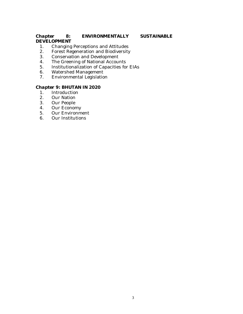# *Chapter 8***: ENVIRONMENTALLY SUSTAINABLE DEVELOPMENT**

- 1. Changing Perceptions and Attitudes
- 2. Forest Regeneration and Biodiversity
- 3. Conservation and Development
- 4. The Greening of National Accounts
- 5. Institutionalization of Capacities for EIAs<br>6. Watershed Management
- 6. Watershed Management<br>7. Environmental Legislatio
- Environmental Legislation

# *Chapter 9***: BHUTAN IN 2020**

- 1. Introduction
- 2. Our Nation
- 3. Our People
- 4. Our Economy
- 5. Our Environment<br>6. Our Institutions
- 6. Our Institutions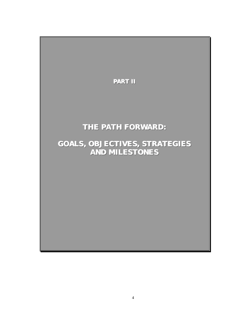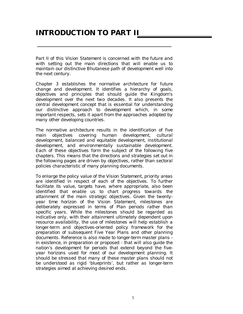# **INTRODUCTION TO PART II**

*Part II of this Vision Statement is concerned with the future and with setting out the main directions that will enable us to maintain our distinctive Bhutanese path of development well into the next century.* 

*Chapter 3 establishes the normative architecture for future change and development. It identifies a hierarchy of goals, objectives and principles that should guide the Kingdom's development over the next two decades. It also presents the central development concept that is essential for understanding our distinctive approach to development which, in some important respects, sets it apart from the approaches adopted by many other developing countries.* 

*The normative architecture results in the identification of five main objectives covering human development, cultural development, balanced and equitable development, institutional development, and environmentally sustainable development. Each of these objectives form the subject of the following five chapters. This means that the directions and strategies set out in the following pages are driven by objectives, rather than sectoral policies characteristic of many planning documents.* 

*To enlarge the policy value of the Vision Statement, priority areas are identified in respect of each of the objectives. To further facilitate its value, targets have, where appropriate, also been identified that enable us to chart progress towards the attainment of the main strategic objectives. Given the twentyyear time horizon of the Vision Statement, milestones are deliberately expressed in terms of Plan periods rather than specific years. While the milestones should be regarded as indicative only, with their attainment ultimately dependent upon resource availability, the use of milestones will help establish a longer-term and objectives-oriented policy framework for the preparation of subsequent Five Year Plans and other planning documents. Reference is also made to longer-term master plans in existence, in preparation or proposed - that will also guide the nation's development for periods that extend beyond the fiveyear horizons used for most of our development planning. It should be stressed that many of these master plans should not be understood as rigid 'blueprints', but rather as longer-term strategies aimed at achieving desired ends.*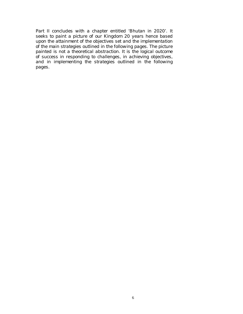*Part II concludes with a chapter entitled 'Bhutan in 2020'. It seeks to paint a picture of our Kingdom 20 years hence based upon the attainment of the objectives set and the implementation of the main strategies outlined in the following pages. The picture painted is not a theoretical abstraction. It is the logical outcome of success in responding to challenges, in achieving objectives, and in implementing the strategies outlined in the following pages.*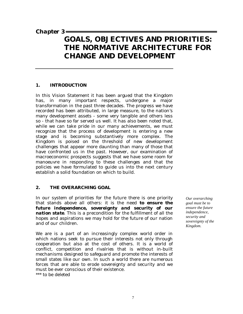# *Chapter 3*

# **GOALS, OBJECTIVES AND PRIORITIES: THE NORMATIVE ARCHITECTURE FOR CHANGE AND DEVELOPMENT**

#### **1. INTRODUCTION**

In this Vision Statement it has been argued that the Kingdom has, in many important respects, undergone a major transformation in the past three decades. The progress we have recorded has been attributed, in large measure, to the nation's many development assets - some very tangible and others less so - that have so far served us well. It has also been noted that, while we can take pride in our many achievements, we must recognize that the process of development is entering a new stage and is becoming substantively more complex. The Kingdom is poised on the threshold of new development challenges that appear more daunting than many of those that have confronted us in the past. However, our examination of macroeconomic prospects suggests that we have some room for manoeuvre in responding to these challenges and that the policies we have formulated to guide us into the next century establish a solid foundation on which to build.

# **2. THE OVERARCHING GOAL**

In our system of priorities for the future there is one priority that stands above all others: it is the need *to ensure the future independence, sovereignty and security of our nation state*. This is a precondition for the fulfillment of all the hopes and aspirations we may hold for the future of our nation and of our children.

We are is a part of an increasingly complex world order in which nations seek to pursue their interests not only through cooperation but also at the cost of others. It is a world of conflict, competition and rivalries that is without in-built mechanisms designed to safeguard and promote the interests of small states like our own. In such a world there are numerous forces that are able to erode sovereignty and security and we must be ever conscious of their existence.

\*\*\* to be deleted

*Our overarching goal must be to ensure the future independence, security and sovereignty of the Kingdom.*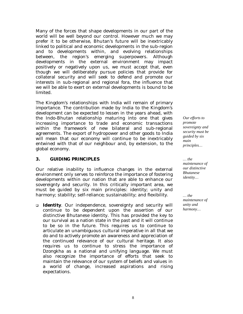Many of the forces that shape developments in our part of the world will be well beyond our control. However much we may prefer it to be otherwise, Bhutan's future will be inextricably linked to political and economic developments in the sub-region and to developments within, and evolving relationships between, the region's emerging superpowers. Although developments in the external environment may impact positively or negatively upon us, we must accept that, even though we will deliberately pursue policies that provide for collateral security and will seek to defend and promote our interests in sub-regional and regional fora, the influence that we will be able to exert on external developments is bound to be limited.

The Kingdom's relationships with India will remain of primary importance. The contribution made by India to the Kingdom's development can be expected to lessen in the years ahead, with the Indo-Bhutan relationship maturing into one that gives increasing importance to trade and economic transactions within the framework of new bilateral and sub-regional agreements. The export of hydropower and other goods to India will mean that our economy will continue to be inextricably entwined with that of our neighbour and, by extension, to the global economy.

# **3. GUIDING PRINCIPLES**

Our relative inability to influence changes in the external environment only serves to reinforce the importance of fostering developments within our nation that are able to enhance our sovereignty and security. In this critically important area, we must be guided by six main principles: identity; unity and harmony; stability; self-reliance; sustainability; and flexibility.

! *Identity.* Our independence, sovereignty and security will continue to be dependent upon the assertion of our distinctive Bhutanese identity. This has provided the key to our survival as a nation state in the past and it will continue to be so in the future. This requires us to continue to articulate an unambiguous cultural imperative in all that we do and to actively promote an awareness and appreciation of the continued relevance of our cultural heritage. It also requires us to continue to stress the importance of *Dzongkha* as a national and unifying language. We must also recognize the importance of efforts that seek to maintain the relevance of our system of beliefs and values in a world of change, increased aspirations and rising expectations.

*Our efforts to promote sovereignty and security must be guided by six main principles…* 

*… the maintenance of our distinctive Bhutanese identity…* 

*… the maintenance of unity and harmony…*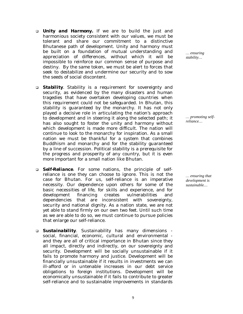- ! *Unity and Harmony***.** If we are to build the just and harmonious society consistent with our values, we must be tolerant and share our commitment to a distinctive Bhutanese path of development. Unity and harmony must be built on a foundation of mutual understanding and appreciation of differences, without which it will be impossible to reinforce our common sense of purpose and destiny. By the same token, we must be alert to forces that seek to destabilize and undermine our security and to sow the seeds of social discontent.
- ! *Stability*. Stability is a requirement for sovereignty and security, as evidenced by the many disasters and human tragedies that have overtaken developing countries when this requirement could not be safeguarded. In Bhutan, this stability is guaranteed by the monarchy. It has not only played a decisive role in articulating the nation's approach to development and in steering it along the selected path; it has also sought to foster the unity and harmony without which development is made more difficult. The nation will continue to look to the monarchy for inspiration. As a small nation we must be thankful for a system that combines Buddhism and monarchy and for the stability guaranteed by a line of succession. Political stability is a prerequisite for the progress and prosperity of any country, but it is even more important for a small nation like Bhutan.
- ! *Self-Reliance*. For some nations, the principle of selfreliance is one they can choose to ignore. This is not the case for Bhutan. For us, self-reliance is an imperative necessity. Our dependence upon others for some of the basic necessities of life, for skills and experience, and for development financing creates vulnerabilities and dependencies that are inconsistent with sovereignty, security and national dignity. As a nation state, we are not yet able to stand firmly on our own two feet. Until such time as we are able to do so, we must continue to pursue policies that enlarge our self-reliance.
- ! *Sustainability*. Sustainability has many dimensions social, financial, economic, cultural and environmental and they are all of critical importance in Bhutan since they all impact, directly and indirectly, on our sovereignty and security. Development will be socially unsustainable if it fails to promote harmony and justice. Development will be financially unsustainable if it results in investments we can ill-afford or in untenable increases in our debt service obligations to foreign institutions. Development will be economically unsustainable if it fails to contribute to greater self-reliance and to sustainable improvements in standards

*… ensuring stability…* 

*… promoting selfreliance…* 

*… ensuring that development is sustainable…*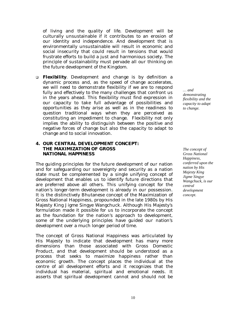of living and the quality of life. Development will be culturally unsustainable if it contributes to an erosion of our identity and independence. And development that is environmentally unsustainable will result in economic and social insecurity that could result in tensions that would frustrate efforts to build a just and harmonious society. The principle of sustainability must pervade all our thinking on the future development of the Kingdom.

! *Flexibility*. Development and change is by definition a dynamic process and, as the speed of change accelerates, we will need to demonstrate flexibility if we are to respond fully and effectively to the many challenges that confront us in the years ahead. This flexibility must find expression in our capacity to take full advantage of possibilities and opportunities as they arise as well as in the readiness to question traditional ways when they are perceived as constituting an impediment to change. Flexibility not only implies the ability to distinguish between the positive and negative forces of change but also the capacity to adapt to change and to social innovation.

#### **4. OUR CENTRAL DEVELOPMENT CONCEPT: THE MAXIMIZATION OF GROSS NATIONAL HAPPINESS**

The guiding principles for the future development of our nation and for safeguarding our sovereignty and security as a nation state must be complemented by a single unifying concept of development that enables us to identify future directions that are preferred above all others. This unifying concept for the nation's longer-term development is already in our possession. It is the distinctively Bhutanese concept of the Maximization of Gross National Happiness, propounded in the late 1980s by His Majesty King Jigme Singye Wangchuck. Although His Majesty's formulation made it possible for us to incorporate the concept as the foundation for the nation's approach to development, some of the underlying principles have guided our nation's development over a much longer period of time.

The concept of Gross National Happiness was articulated by His Majesty to indicate that development has many more dimensions than those associated with Gross Domestic Product, and that development should be understood as a process that seeks to maximize happiness rather than economic growth. The concept places the individual at the centre of all development efforts and it recognizes that the individual has material, spiritual and emotional needs. It asserts that spiritual development cannot and should not be

*… and demonstrating flexibility and the capacity to adapt to change.* 

*The concept of Gross National Happiness, conferred upon the nation by His Majesty King Jigme Singye Wangchuck, is our central development concept.*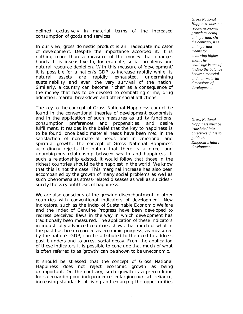defined exclusively in material terms of the increased consumption of goods and services.

In our view, gross domestic product is an inadequate indicator of development. Despite the importance accorded it, it is nothing more than a measure of the money that changes hands. It is insensitive to, for example, social problems and natural resource depletion. With this measure of 'development' it is possible for a nation's GDP to increase rapidly while its natural assets are rapidly exhausted, undermining sustainability and even the very survival of the nation. Similarly, a country can become 'richer' as a consequence of the money that has to be devoted to combatting crime, drug addiction, marital breakdown and other social afflictions.

The key to the concept of Gross National Happiness cannot be found in the conventional theories of development economists and in the application of such measures as utility functions, consumption preferences and propensities, and desire fulfillment. It resides in the belief that the key to happiness is to be found, once basic material needs have been met, in the satisfaction of non-material needs and in emotional and spiritual growth. The concept of Gross National Happiness accordingly rejects the notion that there is a direct and unambiguous relationship between wealth and happiness. If such a relationship existed, it would follow that those in the richest countries should be the happiest in the world. We know that this is not the case. This marginal increase has also been accompanied by the growth of many social problems as well as such phenomena as stress-related diseases as well as suicides surely the very antithesis of happiness.

We are also conscious of the growing disenchantment in other countries with conventional indicators of development. New indicators, such as the Index of Sustainable Economic Welfare and the Index of Genuine Progress have been developed to redress perceived flaws in the way in which development has traditionally been measured. The application of these indicators in industrially advanced countries shows that much of what in the past has been regarded as economic progress, as measured by the nation's GDP, can be attributed to the need to address past blunders and to arrest social decay. From the application of these indicators it is possible to conclude that much of what is often referred to as 'growth' can be shown to be uneconomic.

It should be stressed that the concept of Gross National Happiness does not reject economic growth as being unimportant. On the contrary, such growth is a precondition for safeguarding our independence, enlarging our self-reliance, increasing standards of living and enlarging the opportunities

*Gross National Happiness does not regard economic growth as being unimportant. On the contrary, it is an important means for achieving higher ends. The challenge is one of finding the balance between material and non-material dimensions of development.* 

*Gross National Happiness must be translated into objectives if it is to guide the Kingdom's future development*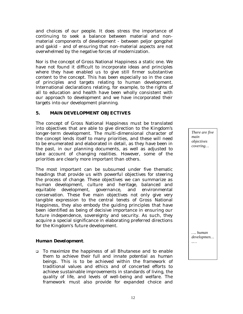and choices of our people. It does stress the importance of continuing to seek a balance between material and nonmaterial components of development - between *peljor gongphel* and *gakid* - and of ensuring that non-material aspects are not overwhelmed by the negative forces of modernization.

Nor is the concept of Gross National Happiness a static one. We have not found it difficult to incorporate ideas and principles where they have enabled us to give still firmer substantive content to the concept. This has been especially so in the case of principles and targets relating to human development. International declarations relating, for example, to the rights of all to education and health have been wholly consistent with our approach to development and we have incorporated their targets into our development planning.

#### **5. MAIN DEVELOPMENT OBJECTIVES**

The concept of Gross National Happiness must be translated into objectives that are able to give direction to the Kingdom's longer-term development. The multi-dimensional character of the concept lends itself to many priorities, and these will need to be enumerated and elaborated in detail, as they have been in the past, in our planning documents, as well as adjusted to take account of changing realities. However, some of the priorities are clearly more important than others.

The most important can be subsumed under five thematic headings that provide us with powerful objectives for steering the process of change. These objectives we can summarize as human development, culture and heritage, balanced and equitable development, governance, and environmental conservation. These five main objectives not only give very tangible expression to the central tenets of Gross National Happiness, they also embody the guiding principles that have been identified as being of decisive importance in ensuring our future independence, sovereignty and security. As such, they acquire a special significance in elaborating preferred directions for the Kingdom's future development.

#### *Human Development*.

! *To maximize the happiness of all Bhutanese and to enable them to achieve their full and innate potential as human beings*. This is to be achieved within the framework of traditional values and ethics and of concerted efforts to achieve sustainable improvements in standards of living, the quality of life, and levels of well-being and welfare. The framework must also provide for expanded choice and

*There are five main objectives covering…* 

*…. human developmen… ..…*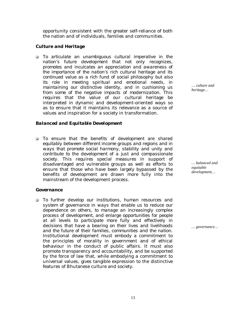opportunity consistent with the greater self-reliance of both the nation and of individuals, families and communities.

# *Culture and Heritage*

! *To articulate an unambiguous cultural imperative in the nation's future development that not only recognizes, promotes and inculcates an appreciation and awareness of the importance of the nation's rich cultural heritage and its continued value as a rich fund of social philosophy but also its role in meeting spiritual and emotional needs, in maintaining our distinctive identity, and in cushioning us from some of the negative impacts of modernization*. This requires that the value of our cultural heritage be interpreted in dynamic and development-oriented ways so as to ensure that it maintains its relevance as a source of values and inspiration for a society in transformation.

# *Balanced and Equitable Development*

! *To ensure that the benefits of development are shared equitably between different income groups and regions and in ways that promote social harmony, stability and unity and contribute to the development of a just and compassionate society.* This requires special measures in support of disadvantaged and vulnerable groups as well as efforts to ensure that those who have been largely bypassed by the benefits of development are drawn more fully into the mainstream of the development process.

# *Governance*

! *To further develop our institutions, human resources and system of governance in ways that enable us to reduce our dependence on others, to manage an increasingly complex process of development, and enlarge opportunities for people at all levels to participate more fully and effectively in decisions that have a bearing on their lives and livelihoods and the future of their families, communities and the nation*. Institutional development must embody a commitment to the principles of morality in government and of ethical behaviour in the conduct of public affairs. It must also promote transparency and accountability, and be supported by the force of law that, while embodying a commitment to universal values, gives tangible expression to the distinctive features of Bhutanese culture and society.

*… culture and heritage…* 

*… balanced and equitable development…* 

*… governance…*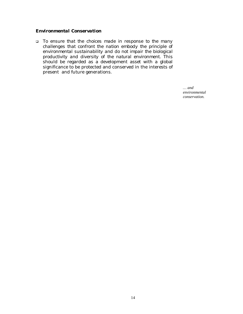# *Environmental Conservation*

! *To ensure that the choices made in response to the many challenges that confront the nation embody the principle of environmental sustainability and do not impair the biological productivity and diversity of the natural environment*. This should be regarded as a development asset with a global significance to be protected and conserved in the interests of present and future generations.

> *… and environmental conservation.*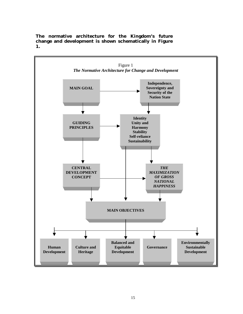

**The normative architecture for the Kingdom's future change and development is shown schematically in Figure 1.**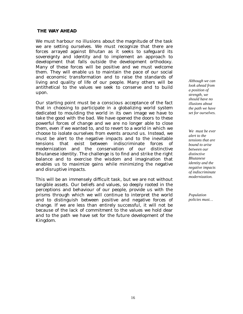#### **THE WAY AHEAD**

We must harbour no illusions about the magnitude of the task we are setting ourselves. We must recognize that there are forces arrayed against Bhutan as it seeks to safeguard its sovereignty and identity and to implement an approach to development that falls outside the development orthodoxy. Many of these forces will be positive and we must welcome them. They will enable us to maintain the pace of our social and economic transformation and to raise the standards of living and quality of life of our people. Many others will be antithetical to the values we seek to conserve and to build upon.

Our starting point must be a conscious acceptance of the fact that in choosing to participate in a globalizing world system dedicated to moulding the world in its own image we have to take the good with the bad. We have opened the doors to these powerful forces of change and we are no longer able to close them, even if we wanted to, and to revert to a world in which we choose to isolate ourselves from events around us. Instead, we must be alert to the negative impacts and to the inevitable tensions that exist between indiscriminate forces of modernization and the conservation of our distinctive Bhutanese identity. The challenge is to find and strike the right balance and to exercise the wisdom and imagination that enables us to maximize gains while minimizing the negative and disruptive impacts.

This will be an immensely difficult task, but we are not without tangible assets. Our beliefs and values, so deeply rooted in the perceptions and behaviour of our people, provide us with the prisms through which we will continue to interpret the world and to distinguish between positive and negative forces of change. If we are less than entirely successful, it will not be because of the lack of commitment to the values we hold dear and to the path we have set for the future development of the Kingdom.

*Although we can look ahead from a position of strength, we should have no illusions about the path we have set for ourselves.* 

*We must be ever alert to the tensions that are bound to arise between our distinctive Bhutanese identity and the negative impacts of indiscriminate modernization.* 

*Population policies must…*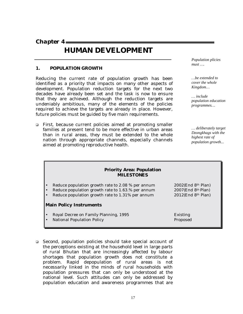*Chapter 4* 

# **HUMAN DEVELOPMENT**

#### **1. POPULATION GROWTH**

Reducing the current rate of population growth has been identified as a priority that impacts on many other aspects of development. Population reduction targets for the next two decades have already been set and the task is now to ensure that they are achieved. Although the reduction targets are undeniably ambitious, many of the elements of the policies required to achieve the targets are already in place. However, future policies must be guided by five main requirements.

! *First*, because current policies aimed at promoting smaller families at present tend to be more effective in urban areas than in rural areas, they must be extended to the whole nation through appropriate channels, especially channels aimed at promoting reproductive health.

*Population plicies must ….* 

*…be extended to cover the whole Kingdom…* 

*… include population education programmes…* 

*… deliberately target Dzongkhags with the highest rate of population growth...*

| <b>Priority Area: Population</b><br><b>MILESTONES</b> |                                   |  |  |
|-------------------------------------------------------|-----------------------------------|--|--|
| Reduce population growth rate to 2.08 % per annum     | $2002$ (End 8 <sup>th</sup> Plan) |  |  |
| Reduce population growth rate to 1.63.% per annum     | $2007$ (End $8th$ Plan)           |  |  |
| Reduce population growth rate to 1.31% per annum      | $2012$ (End 8 <sup>th</sup> Plan) |  |  |
| <b>Main Policy Instruments</b>                        |                                   |  |  |
| Royal Decree on Family Planning, 1995                 | Existing                          |  |  |
| <b>National Population Policy</b>                     | Proposed                          |  |  |

! *Second*, population policies should take special account of the perceptions existing at the household level in large parts of rural Bhutan that are increasingly affected by labour shortages that population growth does not constitute a problem. Rapid depopulation of rural areas is not necessarily linked in the minds of rural households with population pressures that can only be understood at the national level. Such attitudes can only be addressed by population education and awareness programmes that are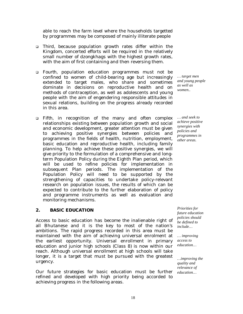able to reach the farm level where the households targetted by programmes may be composed of mainly illiterate people

- ! *Third,* because population growth rates differ within the Kingdom, concerted efforts will be required in the relatively small number of *dzongkhags* with the highest growth rates, with the aim of first containing and then reversing them.
- ! *Fourth*, population education programmes must not be confined to women of child-bearing age but increasingly extended to target males, who share and sometimes dominate in decisions on reproductive health and on methods of contraception, as well as adolescents and young people with the aim of engendering responsible attitudes in sexual relations, building on the progress already recorded in this area.
- ! *Fifth*, in recognition of the many and often complex relationships existing between population growth and social and economic development, greater attention must be given to achieving positive synergies between policies and programmes in the fields of health, nutrition, employment, basic education and reproductive health, including family planning. To help achieve these positive synergies, we will give priority to the formulation of a comprehensive and longterm Population Policy during the Eighth Plan period, which will be used to refine policies for implementation in subsequent Plan periods. The implementation of the Population Policy will need to be supported by the strengthening of capacities to undertake policy-relevant research on population issues, the results of which can be expected to contribute to the further elaboration of policy and programme instruments as well as evaluation and monitoring mechanisms.

# **2. BASIC EDUCATION**

Access to basic education has become the inalienable right of all Bhutanese and it is the key to most of the nation's ambitions. The rapid progress recorded in this area must be maintained with the aim of achieving universal enrolment at the earliest opportunity. Universal enrollment in primary education and junior high schools (Class 8) is now within our reach. Although universal enrollment at high schools will take longer, it is a target that must be pursued with the greatest urgency.

Our future strategies for basic education must be further refined and developed with high priority being accorded to achieving progress in the following areas.

*… target men and young people as well as women..* 

*… and seek to achieve positive synergies with policies and programmes in other areas.* 

*Priorities for future education policies should be defined to include…* 

*… improving access to education…* 

*…improving the quality and relevance of education…*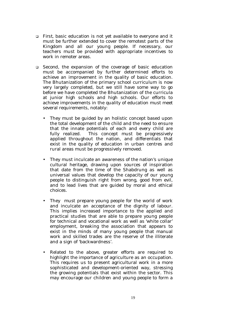- ! *First*, basic education is not yet available to everyone and it must be further extended to cover the remotest parts of the Kingdom and all our young people. If necessary, our teachers must be provided with appropriate incentives to work in remoter areas.
- ! *Second*, the expansion of the coverage of basic education must be accompanied by further determined efforts to achieve an improvement in the quality of basic education. The Bhutanization of the primary school curriculum is now very largely completed, but we still have some way to go before we have completed the Bhutanization of the curricula at junior high schools and high schools. Our efforts to achieve improvements in the quality of education must meet several requirements, notably:
	- They must be guided by an holistic concept based upon the total development of the child and the need to ensure that the innate potentials of each and every child are fully realized. This concept must be progressively applied throughout the nation, and differentials that exist in the quality of education in urban centres and rural areas must be progressively removed.
	- They must inculcate an awareness of the nation's unique cultural heritage, drawing upon sources of inspiration that date from the time of the Shabdrung as well as universal values that develop the capacity of our young people to distinguish right from wrong, good from evil, and to lead lives that are guided by moral and ethical choices.
	- They must prepare young people for the world of work and inculcate an acceptance of the dignity of labour. This implies increased importance to the applied and practical studies that are able to prepare young people for technical and vocational work as well as 'white collar' employment, breaking the association that appears to exist in the minds of many young people that manual work and skilled trades are the reserve of the illiterate and a sign of 'backwardness'.
	- Related to the above, greater efforts are required to highlight the importance of agriculture as an occupation. This requires us to present agricultural work in a more sophisticated and development-oriented way, stressing the growing potentials that exist within the sector. This may encourage our children and young people to form a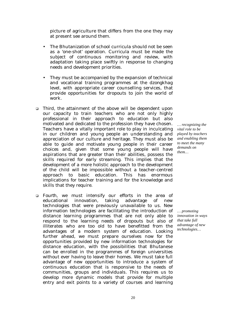picture of agriculture that differs from the one they may at present see around them.

- The Bhutanization of school curricula should not be seen as a 'one-shot' operation. Curricula must be made the subject of continuous monitoring and review, with adaptation taking place swiftly in response to changing needs and development priorities.
- They must be accompanied by the expansion of technical and vocational training programmes at the *dzongkhag* level, with appropriate career counselling services, that provide opportunities for dropouts to join the world of work.
- ! *Third,* the attainment of the above will be dependent upon our capacity to train teachers who are not only highly professional in their approach to education but also motivated and dedicated to the profession they have chosen. Teachers have a vitally important role to play in inculcating in our children and young people an understanding and appreciation of our culture and heritage. They must also be able to guide and motivate young people in their career choices and, given that some young people will have aspirations that are greater than their abilities, possess the skills required for early streaming. This implies that the development of a more holistic approach to the development of the child will be impossible without a teacher-centred approach to basic education. This has enormous implications for teacher training and for the knowledge and skills that they require.
- ! *Fourth*, we must intensify our efforts in the area of educational innovation, taking advantage of new technologies that were previously unavailable to us. New information technologies are facilitating the introduction of distance learning programmes that are not only able to respond to the learning needs of dropouts but also of illiterates who are too old to have benefitted from the advantages of a modern system of education. Looking further ahead, we must prepare ourselves now for the opportunities provided by new information technologies for distance education, with the possibilities that Bhutanese can be enrolled in the programmes of foreign universities without ever having to leave their homes. We must take full advantage of new opportunities to introduce a system of continuous education that is responsive to the needs of communities, groups and individuals. This requires us to develop more dynamic models that provide for multiple entry and exit points to a variety of courses and learning

*… recognizing the vital role to be played by teachers and enabling them to meet the many demands on them…* 

*… promoting innovation in ways that take full advantage of new technologies…*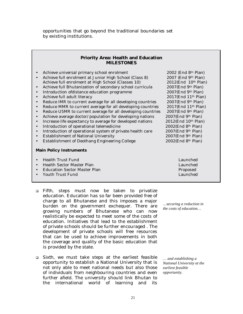opportunities that go beyond the traditional boundaries set by existing institutions.

#### **Priority Area: Health and Education MILESTONES**

- 
- Achieve universal primary school enrolment 2002 (End 8<sup>th</sup> Plan)<br>Achieve full enrolment at Junior High School (Class 8) 2007 (End 9<sup>th</sup> Plan) Achieve full enrolment at Junior High School (Class 8) Achieve full enrolment at High School (Classes 10) 2012(End 10th Plan)
- Achieve full Bhutanization of secondary school curricula 2007(End 9th Plan)
- Introduction of<br>distance education programme 2007(End 9<sup>th</sup> Plan) Achieve full adult literacy 2017<br>(End 11<sup>th</sup> Plan)
- Achieve full adult literacy
- Reduce IMR to current average for all developing countries 2007(End 9th Plan)
- Reduce MMR to current average for all developing countries 2017(End 11<sup>th</sup> Plan)<br>• Reduce U5MR to current average for all developing countries 2007(End 9<sup>th</sup> Plan)
- Reduce U5MR to current average for all developing countries
- Achieve average doctor/population for developing nations 2007(End 9th Plan)
- Increase life expectancy to average for developed nations 2012(End 10<sup>th</sup> Plan)
- Introduction of operational telemedicine 2002(End 8th Plan)
- Introduction of operational system of private health care 2007(End 9th Plan)
- Establishment of National University 2007(End 9th Plan)
- Establishment of Deothang Engineering College 2002(End 8th Plan)

#### **Main Policy Instruments**

- Health Trust Fund Launched • Health Sector Master Plan Launched • Education Sector Master Plan **Proposed** • Youth Trust Fund Launched
- ! *Fifth*, steps must now be taken to privatize education. Education has so far been provided free of charge to all Bhutanese and this imposes a major burden on the government exchequer. There are growing numbers of Bhutanese who can now realistically be expected to meet some of the costs of education. Initiatives that lead to the establishment of private schools should be further encouraged . The development of private schools will free resources that can be used to achieve improvements in both the coverage and quality of the basic education that is provided by the state.
- ! *Sixth*, we must take steps at the earliest feasible opportunity to establish a National University that is not only able to meet national needs but also those of individuals from neighbouring countries and even further afield. The university should link Bhutan to the international world of learning and its

*…securing a reduction in the costs of education…* 

*… and establishing a National University at the earliest feasible opportunity.*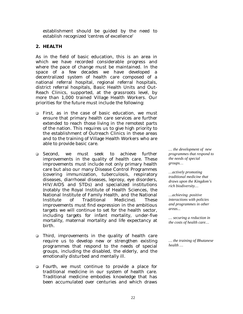establishment should be guided by the need to establish recognized 'centres of excellence'

# **2. HEALTH**

As in the field of basic education, this is an area in which we have recorded considerable progress and where the pace of change must be maintained. In the space of a few decades we have developed a decentralized system of health care composed of a national referral hospital, regional referral hospitals, district referral hospitals, Basic Health Units and Out-Reach Clinics, supported, at the grassroots level, by more than 1,000 trained Village Health Workers. Our priorities for the future must include the following:

- ! *First*, as in the case of basic education, we must ensure that primary health care services are further extended to reach those living in the remotest parts of the nation. This requires us to give high priority to the establishment of Outreach Clinics in these areas and to the training of Village Health Workers who are able to provide basic care.
- ! *Second*, we must seek to achieve further improvements in the quality of health care. These improvements must include not only primary health care but also our many Disease Control Programmes (covering immunization, tuberculosis, respiratory diseases, diarrhoeal diseases, leprosy, eye disorders, HIV/AIDS and STDs) and specialized institutions (notably the Royal Institute of Health Sciences, the National Institute of Family Health, and the National Institute of Traditional Medicine). These improvements must find expression in the ambitious targets we will continue to set for the health sector, including targets for infant mortality, under-five mortality, maternal mortality and life expectancy at birth.
- ! *Third*, improvements in the quality of health care require us to develop new or strengthen existing programmes that respond to the needs of special groups, including the disabled, the elderly, and the emotionally disturbed and mentally ill.
- ! *Fourth*, we must continue to provide a place for traditional medicine in our system of health care. Traditional medicine embodies knowledge that has been accumulated over centuries and which draws

*… the development of new programmes that respond to the needs of special groups…* 

*…actively promoting traditional medicine that draws upon the Kingdom's rich biodiversity…* 

*…achieving positive interactions with policies and programmes in other areas...* 

*… securing a reduction in the costs of health care…* 

*… the training of Bhutanese health …*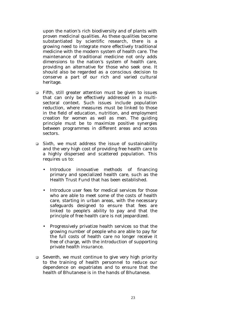upon the nation's rich biodiversity and of plants with proven medicinal qualities. As these qualities become substantiated by scientific research, there is a growing need to integrate more effectively traditional medicine with the modern system of health care. The maintenance of traditional medicine not only adds dimensions to the nation's system of health care, providing an alternative for those who seek one. It should also be regarded as a conscious decision to conserve a part of our rich and varied cultural heritage.

- ! *Fifth*, still greater attention must be given to issues that can only be effectively addressed in a multisectoral context. Such issues include population reduction, where measures must be linked to those in the field of education, nutrition, and employment creation for women as well as men. The guiding principle must be to maximize positive synergies between programmes in different areas and across sectors.
- ! *Sixth*, we must address the issue of sustainability and the very high cost of providing free health care to a highly dispersed and scattered population. This requires us to:
	- Introduce innovative methods of financing primary and specialized health care, such as the Health Trust Fund that has been established.
	- Introduce user fees for medical services for those who are able to meet some of the costs of health care, starting in urban areas, with the necessary safeguards designed to ensure that fees are linked to people's ability to pay and that the principle of free health care is not jeopardized.
	- Progressively privatize health services so that the growing number of people who are able to pay for the full costs of health care no longer receive it free of charge, with the introduction of supporting private health insurance.
- ! *Seventh*, we must continue to give very high priority to the training of health personnel to reduce our dependence on expatriates and to ensure that the health of Bhutanese is in the hands of Bhutanese.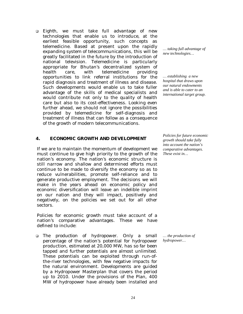! *Eighth*, we must take full advantage of new technologies that enable us to introduce, at the earliest feasible opportunity, such concepts as telemedicine. Based at present upon the rapidly expanding system of telecommunications, this will be greatly facilitated in the future by the introduction of national television. Telemedicine is particularly appropriate for Bhutan's decentralized system of health care, with telemedicine providing opportunities to link referral institutions for the rapid diagnosis and treatment of illness and disease. Such developments would enable us to take fuller advantage of the skills of medical specialists and would contribute not only to the quality of health care but also to its cost-effectiveness. Looking even further ahead, we should not ignore the possibilities provided by telemedicine for self-diagnosis and treatment of illness that can follow as a consequence of the growth of modern telecommunications.

#### **4. ECONOMIC GROWTH AND DEVELOPMENT**

If we are to maintain the momentum of development we must continue to give high priority to the growth of the nation's economy. The nation's economic structure is still narrow and shallow and determined efforts must continue to be made to diversify the economy so as to reduce vulnerabilities, promote self-reliance and to generate productive employment. The decisions we will make in the years ahead on economic policy and economic diversification will leave an indelible imprint on our nation and they will impact, positively and negatively, on the policies we set out for all other sectors.

Policies for economic growth must take account of a nation's comparative advantages. These we have defined to include:

! *The production of hydropower*. Only a small percentage of the nation's potential for hydropower production, estimated at 20,000 MW, has so far been tapped and further potentials are almost unlimited. These potentials can be exploited through run-ofthe-river technologies, with few negative impacts for the natural environment. Developments are guided by a Hydropower Masterplan that covers the period up to 2010. Under the provisions of the Plan, 400 MW of hydropower have already been installed and

*… taking full advantage of new technologies…* 

*… establishing a new hospital that draws upon our natural endowments and is able to cater to an international target group.* 

*Policies for future economic growth should take fully into account the nation's comparative advantages. These exist in…* 

*… the production of hydropower…*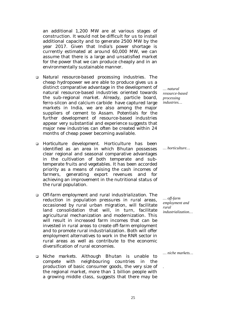an additional 1,200 MW are at various stages of construction. It would not be difficult for us to install additional capacity and to generate 2500 MW by the year 2017. Given that India's power shortage is currently estimated at around 60,000 MW, we can assume that there is a large and unsatisfied market for the power that we can produce cheaply and in an environmentally sustainable manner.

- ! *Natural resource-based processing industries*. The cheap hydropower we are able to produce gives us a distinct comparative advantage in the development of natural resource-based industries oriented towards the sub-regional market. Already, particle board, ferro-silcon and calcium carbide have captured large markets in India, we are also among the major suppliers of cement to Assam. Potentials for the further development of resource-based industries appear very substantial and experience suggests that major new industries can often be created within 24 months of cheap power becoming available.
- ! *Horticulture development*. Horticulture has been identified as an area in which Bhutan possesses clear regional and seasonal comparative advantages in the cultivation of both temperate and subtemperate fruits and vegetables. It has been accorded priority as a means of raising the cash incomes of farmers, generating export revenues and for achieving an improvement in the nutritional status of the rural population.
- ! *Off-farm employment and rural industrialization*. The reduction in population pressures in rural areas, occasioned by rural urban migration, will facilitate land consolidation that will, in turn, facilitate agricultural mechanization and modernization. This will result in increased farm incomes that can be invested in rural areas to create off-farm employment and to promote rural industrialization. Both will offer employment alternatives to work in the RNR sector in rural areas as well as contribute to the economic diversification of rural economies.
- ! *Niche markets*. Although Bhutan is unable to compete with neighbouring countries in the production of basic consumer goods, the very size of the regional market, more than 1 billion people with a growing middle class, suggests that there may be

*… natural resource-based processing industries…* 

*… horticulture…* 

*… off-farm employment and rural industrialization…* 

*… niche markets…* 

*.*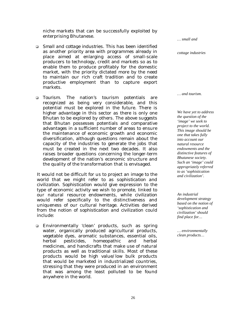niche markets that can be successfully exploited by enterprising Bhutanese.

- ! *Small and cottage industries*. This has been identified as another priority area with programmes already in place aimed at enlarging access of small-scale producers to technology, credit and markets so as to enable them to produce profitably for the domestic market, with the priority dictated more by the need to maintain our rich craft tradition and to create productive employment than to capture export markets.
- ! *Tourism*. The nation's tourism potentials are recognized as being very considerable, and this potential must be explored in the future. There is higher advantage in this sector as there is only one Bhutan to be explored by others. The above suggests that Bhutan possesses potentials and comparative advantages in a sufficient number of areas to ensure the maintenance of economic growth and economic diversification, although questions remain about the capacity of the industries to generate the jobs that must be created in the next two decades. It also raises broader questions concerning the longer-term development of the nation's economic structure and the quality of the transformation that is envisaged.

It would not be difficult for us to project an image to the world that we might refer to as *sophistication and civilization*. *Sophistication* would give expression to the type of economic activity we wish to promote, linked to our natural resource endowments, while *civilization* would refer specifically to the distinctiveness and uniqueness of our cultural heritage. Activities derived from the notion of *sophistication and civilization* could include:

! Environmentally 'clean' products, such as spring water, organically produced agricultural products, vegetable dyes, aromatic substances, essential oils, herbal pesticides, homeopathic and herbal medicines, and handicrafts that make use of natural products as well as traditional skills. Most of these products would be high value/low bulk products that would be marketed in industrialized countries, stressing that they were produced in an environment that was among the least polluted to be found anywhere in the world.

*… and tourism. We have yet to address the question of the 'image' we seek to project to the world. This image should be one that takes fully into account our natural resource endowments and the distinctive features of Bhutanese society.* 

*… small and* 

*cottage industries* 

*Such an 'image' could appropriately referred to as 'sophistication and civilization'.* 

*An industrial development strategy based on the notion of 'sophistication and civilization' should find place for…* 

*… environmentally clean products…*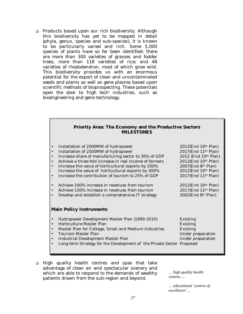□ Products based upon our rich biodiversity. Although this biodiversity has yet to be mapped in detail (phyla, genus, species and sub-species), it is known to be particularly varied and rich. Some 5,000 species of plants have so far been identified; there are more than 300 varieties of grasses and fodder trees; more than 118 varieties of rice; and 48 varieties of rhododendron, most of which grow wild. This biodiversity provides us with an enormous potential for the export of clean and uncontaminated seeds and plants as well as gene plasma based upon scientific methods of bioprospecting. These potentials open the door to 'high tech' industries, such as bioengineering and gene technology.

| <b>Priority Area: The Economy and the Productive Sectors</b> |  |  |
|--------------------------------------------------------------|--|--|
| <b>MILESTONES</b>                                            |  |  |

| $\bullet$                      | Installation of 2000MW of hydropower                                  | $2012$ (End $10th$ Plan)          |  |
|--------------------------------|-----------------------------------------------------------------------|-----------------------------------|--|
| $\bullet$                      | Installation of 2500MW of hydropower                                  | 2017(End 11 <sup>th</sup> Plan)   |  |
|                                | Increase share of manufacturing sector to 30% of GDP                  | 2012 (End 10th Plan)              |  |
| $\bullet$                      | Achieve a three-fold increase in real income of farmers               | 2012(End 10th Plan)               |  |
|                                | Increase the value of horticultural exports by 200%                   | $2007$ (End 8 <sup>th</sup> Plan) |  |
|                                | Increase the value of horticultural exports by 300%                   | 2012(End 10th Plan)               |  |
|                                | Increase the contribution of tourism to 25% of GDP                    | 2017(End 11 <sup>th</sup> Plan)   |  |
|                                |                                                                       |                                   |  |
|                                | Achieve 100% increase in revenues from tourism                        | $2012$ (End $10th$ Plan)          |  |
|                                | Achieve 150% increase in revenues from tourism                        | $2017$ (End $11th$ Plan)          |  |
|                                | Develop and establish a comprehensive IT strategy                     | $2002$ (End 8 <sup>th</sup> Plan) |  |
|                                |                                                                       |                                   |  |
| <b>Main Policy Instruments</b> |                                                                       |                                   |  |
|                                |                                                                       |                                   |  |
|                                | Hydropower Development Master Plan (1990-2010)                        | Existing                          |  |
|                                | Horticulture Master Plan                                              | <b>Existing</b>                   |  |
|                                | Master Plan for Cottage, Small and Medium Industries                  | Existing                          |  |
|                                | Tourism Master Plan                                                   | Under preparation                 |  |
|                                | Industrial Development Master Plan                                    | Under preparation                 |  |
|                                | Long-term Strategy for the Development of the Private Sector Proposed |                                   |  |
|                                |                                                                       |                                   |  |

! High quality health centres and spas that take advantage of clean air and spectacular scenery and which are able to respond to the demands of wealthy patients drawn from the sub-region and beyond.

*… high quality health centres….* 

*… educational 'centres of excellence'…*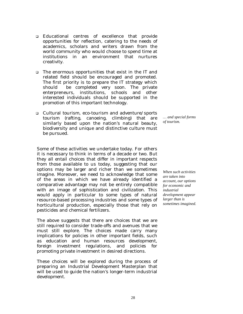- ! Educational centres of excellence that provide opportunities for reflection, catering to the needs of academics, scholars and writers drawn from the world community who would choose to spend time at institutions in an environment that nurtures creativity.
- □ The enormous opportunities that exist in the IT and related field should be encouraged and promoted. The first priority is to prepare the IT strategy which should be completed very soon. The private enterpreneurs, institutions, schools and other interested individuals should be supported in the promotion of this important technology.
- ! Cultural tourism, eco-tourism and adventure/sports tourism (rafting, canoeing, climbing) that are similarly based upon the nation's natural beauty, biodiversity and unique and distinctive culture must be pursued.

*… and special forms of tourism.* 

Some of these activities we undertake today. For others it is necessary to think in terms of a decade or two. But they all entail choices that differ in important respects from those available to us today, suggesting that our options may be larger and richer than we sometimes imagine. Moreover, we need to acknowledge that some of the areas in which we have already identified a comparative advantage may not be entirely compatible with an image of *sophistication and civilization*. This would apply in particular to some types of natural resource-based processing industries and some types of horticultural production, especially those that rely on pesticides and chemical fertilizers.

The above suggests that there are choices that we are still required to consider trade-offs and avenues that we must still explore. The choices made carry many implications for policies in other important fields, such as education and human resources development, foreign investment regulations, and policies for promoting private investment in desired directions.

These choices will be explored during the process of preparing an Industrial Development Masterplan that will be used to guide the nation's longer-term industrial development.

*When such activities are taken into account, our options for economic and industrial development appear larger than is sometimes imagined.*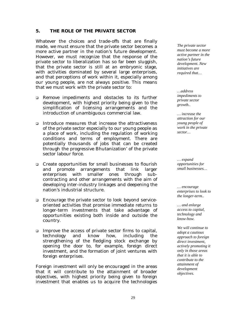#### **5. THE ROLE OF THE PRIVATE SECTOR**

Whatever the choices and trade-offs that are finally made, we must ensure that the private sector becomes a more active partner in the nation's future development. However, we must recognize that the response of the private sector to liberalization has so far been sluggish, that the private sector is still at an embryonic stage, with activities dominated by several large enterprises, and that perceptions of work within it, especially among our young people, are not always positive. This means that we must work with the private sector to:

- ! Remove impediments and obstacles to its further development, with highest priority being given to the simplification of licensing arrangements and the introduction of unambiguous commercial law.
- ! Introduce measures that increase the attractiveness of the private sector especially to our young people as a place of work, including the regulation of working conditions and terms of employment. There are potentially thousands of jobs that can be created through the progressive Bhutanization' of the private sector labour force.
- ! Create opportunities for small businesses to flourish and promote arrangements that link larger enterprises with smaller ones through subcontracting and other arrangements with the aim of developing inter-industry linkages and deepening the nation's industrial structure.
- □ Encourage the private sector to look beyond serviceoriented activities that promise immediate returns to longer-term investments that take advantage of opportunities existing both inside and outside the country.
- □ Improve the access of private sector firms to capital, technology and know how, including the strengthening of the fledgling stock exchange by opening the door to, for example, foreign direct investment, and the formation of joint ventures with foreign enterprises.

Foreign investment will only be encouraged in the areas that it will contribute to the attainment of broader objectives, with highest priority being given to foreign investment that enables us to acquire the technologies

*The private sector must become a more active partner in the nation's future development. New initiatives are required that…* 

*…address impediments to private sector growth..* 

*… increase the attraction for our young people of work in the private sector…* 

*… expand opportunities for small businesses…* 

*… encourage enterprises to look to the longer-term..* 

*… and enlarge access to capital, technology and know-how.* 

*We will continue to adopt a cautious approach to foreign direct investment, actively promoting it only in those areas that it is able to contribute to the attainment of development objectives.*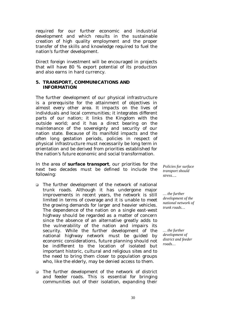required for our further economic and industrial development and which results in the sustainable creation of high quality employment and the proper transfer of the skills and knowledge required to fuel the nation's further development.

Direct foreign investment will be encouraged in projects that will have 80 % export potential of its production and also earns in hard currency.

#### **5. TRANSPORT, COMMUNICATIONS AND INFORMATION**

The further development of our physical infrastructure is a prerequisite for the attainment of objectives in almost every other area. It impacts on the lives of individuals and local communities; it integrates different parts of our nation; it links the Kingdom with the outside world; and it has a direct bearing on the maintenance of the sovereignty and security of our nation state. Because of its manifold impacts and the often long gestation periods, policies in respect of physical infrastructure must necessarily be long term in orientation and be derived from priorities established for the nation's future economic and social transformation.

In the area of *surface transport*, our priorities for the next two decades must be defined to include the following:

- □ The further development of the network of national trunk roads. Although it has undergone major improvements in recent years, the network is still limited in terms of coverage and it is unable to meet the growing demands for larger and heavier vehicles. The dependence of the nation on a single east-west highway should be regarded as a matter of concern since the absence of an alternative greatly adds to the vulnerability of the nation and impairs its security. While the further development of the national highway network must be guided by economic considerations, future planning should not be indifferent to the location of isolated but important historic, cultural and religious sites and to the need to bring them closer to population groups who, like the elderly, may be denied access to them.
- □ The further development of the network of district and feeder roads. This is essential for bringing communities out of their isolation, expanding their

*Policies for surface transport should stress….* 

*… the further development of the national network of trunk roads…* 

*… the further development of district and feeder roads…*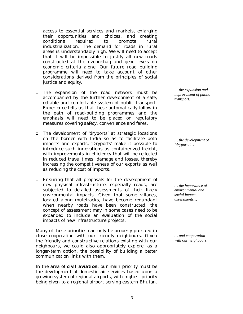access to essential services and markets, enlarging their opportunities and choices, and creating conditions required to promote rural industrialization. The demand for roads in rural areas is understandably high. We will need to accept that it will be impossible to justify all new roads constructed at the *dzongkhag* and *geog* levels on economic criteria alone. Our future road building programme will need to take account of other considerations derived from the principles of social justice and equity.

- ! The expansion of the road network must be accompanied by the further development of a safe, reliable and comfortable system of public transport. Experience tells us that these automatically follow in the path of road-building programmes and the emphasis will need to be placed on regulatory measures covering safety, convenience and fares.
- □ The development of 'dryports' at strategic locations on the border with India so as to facilitate both imports and exports. 'Dryports' make it possible to introduce such innovations as containerized freight, with improvements in efficiency that will be reflected in reduced travel times, damage and losses, thereby increasing the competitiveness of our exports as well as reducing the cost of imports.
- ! Ensuring that all proposals for the development of new physical infrastructure, especially roads, are subjected to detailed assessments of their likely environmental impacts. Given that some villages, located along muletracks, have become redundant when nearby roads have been constructed, the concept of assessment may in some cases need to be expanded to include an evaluation of the social impacts of new infrastructure projects.

Many of these priorities can only be properly pursued in close cooperation with our friendly neighbours. Given the friendly and constructive relations existing with our neighbours, we could also appropriately explore, as a longer-term option, the possibility of building a better communication links with them.

In the area of *civil aviation*, our main priority must be the development of domestic air services based upon a growing system of regional airports, with highest priority being given to a regional airport serving eastern Bhutan.

*… the expansion and improvement of public transport…* 

*… the development of 'dryports'…* 

*… the importance of environmental and social impact assessments…* 

*… and cooperation with our neighbours.*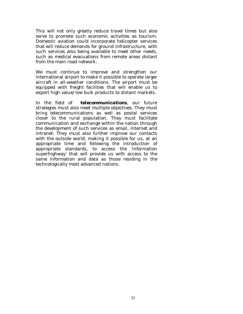This will not only greatly reduce travel times but also serve to promote such economic activities as tourism. Domestic aviation could incorporate helicopter services that will reduce demands for ground infrastructure, with such services also being available to meet other needs, such as medical evacuations from remote areas distant from the main road network.

We must continue to improve and strengthen our international airport to make it possible to operate larger aircraft in all-weather conditions. The airport must be equipped with freight facilities that will enable us to export high value/low bulk products to distant markets.

In the field of *telecommunications*, our future strategies must also meet multiple objectives. They must bring telecommunications as well as postal services closer to the rural population. They must facilitate communication and exchange within the nation through the development of such services as email, internet and intranet. They must also further improve our contacts with the outside world, making it possible for us, at an appropriate time and following the introduction of appropriate standards, to access the 'information superhighway' that will provide us with access to the same information and data as those residing in the technologically most advanced nations.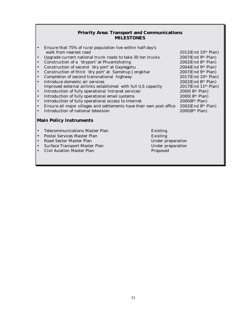## **Priority Area: Transport and Communications MILESTONES**

| $\bullet$ | Ensure that 75% of rural population live within half-day's           |                   |                                   |
|-----------|----------------------------------------------------------------------|-------------------|-----------------------------------|
|           | walk from nearest road                                               |                   | 2012(End 10th Plan)               |
| $\bullet$ | Upgrade current national trunk roads to take 30 ton trucks           |                   | 2007(End 9th Plan)                |
| $\bullet$ | Construction of a 'dryport' at Phuentsholing                         |                   | $2002$ (End 8 <sup>th</sup> Plan) |
| $\bullet$ | Construction of second 'dry port' at Gaylegphu                       |                   | $2004$ (End 9th Plan)             |
| $\bullet$ | Construction of third 'dry port' at Samdrup Jongkhar                 |                   | $2007$ (End 9th Plan)             |
| $\bullet$ | Completion of second transnational highway                           |                   | 2017(End 10th Plan)               |
| $\bullet$ | Introduce domestic air services                                      |                   | $2002$ (End 8 <sup>th</sup> Plan) |
|           | Improved external airlinks established with full ILS capacity        |                   | 2017(End 11th Plan)               |
| $\bullet$ | Introduction of fully operational 'intranet services'                |                   | 2000(8th Plan)                    |
| $\bullet$ | Introduction of fully operational email systems                      |                   | 2000(8th Plan)                    |
| $\bullet$ | Introduction of fully operational access to Internet                 |                   | 2000(8th Plan)                    |
| $\bullet$ | Ensure all major villages and settlements have their own post office |                   | $2002$ (End 8 <sup>th</sup> Plan) |
| $\bullet$ | Introduction of national television                                  |                   | 2000(8th Plan)                    |
|           |                                                                      |                   |                                   |
|           | <b>Main Policy Instruments</b>                                       |                   |                                   |
|           |                                                                      |                   |                                   |
| $\bullet$ | Telecommunications Master Plan                                       | Existing          |                                   |
| $\bullet$ | Postal Services Master Plan                                          | <b>Existing</b>   |                                   |
| $\bullet$ | Road Sector Master Plan                                              | Under preparation |                                   |
| $\bullet$ | <b>Surface Transport Master Plan</b>                                 | Under preparation |                                   |
| $\bullet$ | Civil Aviation Master Plan                                           | Proposed          |                                   |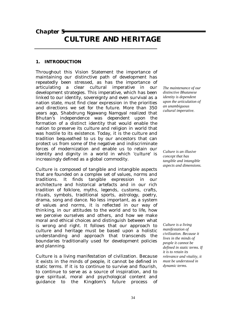*Chapter 5* 

# **CULTURE AND HERITAGE**

# **1. INTRODUCTION**

Throughout this Vision Statement the importance of maintaining our distinctive path of development has repeatedly been stressed, as has the importance of articulating a clear cultural imperative in our development strategies. This imperative, which has been linked to our identity, sovereignty and even survival as a nation state, must find clear expression in the priorities and directions we set for the future. More than 350 years ago, Shabdrung Ngawang Namgyal realized that Bhutan's independence was dependent upon the formation of a distinct identity that would enable the nation to preserve its culture and religion in world that was hostile to its existence. Today, it is the culture and tradition bequeathed to us by our ancestors that can protect us from some of the negative and indiscriminate forces of modernization and enable us to retain our identity and dignity in a world in which 'culture' is increasingly defined as a global commodity.

Culture is composed of tangible and intangible aspects that are founded on a complex set of values, norms and traditions. It finds tangible expression in our architecture and historical artefacts and in our rich tradition of folklore, myths, legends, customs, crafts, rituals, symbols, traditional sports, astrology, poetry, drama, song and dance. No less important, as a system of values and norms, it is reflected in our way of thinking, in our attitudes to the world and to life, how we perceive ourselves and others, and how we make moral and ethical choices and distinguish between what is wrong and right. It follows that our approach to culture and heritage must be based upon a holistic understanding and approach that transcends the boundaries traditionally used for development policies and planning.

Culture is a living manifestation of civilization. Because it exists in the minds of people, it cannot be defined in static terms. If it is to continue to survive and flourish, to continue to serve as a source of inspiration, and to give spiritual, moral and psychological content and guidance to the Kingdom's future process of *The maintenance of our distinctive Bhutanese identity is dependent upon the articulation of an unambiguous cultural imperative.* 

*Culture is an illusive concept that has tangible and intangible aspects and dimensions.* 

*Culture is a living manifestation of civilization. Because it lives in the minds of people it cannot be defined in static terms. If it is to retain its relevance and vitality, it must be understood in dynamic terms.*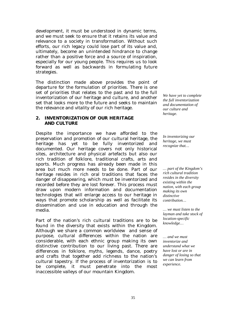development, it must be understood in dynamic terms, and we must seek to ensure that it retains its value and relevance to a society in transformation. Without such efforts, our rich legacy could lose part of its value and, ultimately, become an unintended hindrance to change rather than a positive force and a source of inspiration, especially for our young people. This requires us to look forward as well as backwards in formulating future strategies.

The distinction made above provides the point of departure for the formulation of priorities. There is one set of priorities that relates to the past and to the full inventorization of our heritage and culture, and another set that looks more to the future and seeks to maintain the relevance and vitality of our rich heritage.

## **2. INVENTORIZATION OF OUR HERITAGE AND CULTURE**

Despite the importance we have afforded to the preservation and promotion of our cultural heritage, the heritage has yet to be fully inventorized and documented. Our heritage covers not only historical sites, architecture and physical artefacts but also our rich tradition of folklore, traditional crafts, arts and sports. Much progress has already been made in this area but much more needs to be done. Part of our heritage resides in rich oral traditions that faces the danger of disappearing, which must be inventorized and recorded before they are lost forever. This process must draw upon modern information and documentation technologies that will enlarge access to our heritage in ways that promote scholarship as well as facilitate its dissemination and use in education and through the media.

Part of the nation's rich cultural traditions are to be found in the diversity that exists within the Kingdom. Although we share a common worldview and sense of purpose, cultural differences within the nation are considerable, with each ethnic group making its own distinctive contribution to our living past. There are differences in folklore, myths, legends, dance, poetry and crafts that together add richness to the nation's cultural tapestry. If the process of inventorization is to be complete, it must penetrate into the most inaccessible valleys of our mountain Kingdom.

*We have yet to complete the full inventorization and documentation of our culture and heritage.* 

*In inventorizing our heritage, we must recognize that…* 

*… part of the Kingdom's rich cultural tradition resides in the diversity existing within the nation, with each group making its own distinctive contribution…* 

*… we must listen to the layman and take stock of location-specific knowledge…* 

*… and we must inventorize and understand what we have lost or are in danger of losing so that we can learn from experience.*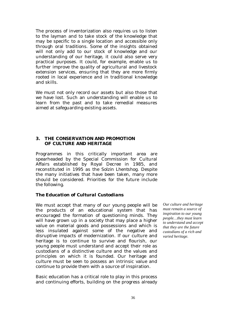The process of inventorization also requires us to listen to the layman and to take stock of the knowledge that may be specific to a single location and accessible only through oral traditions. Some of the insights obtained will not only add to our stock of knowledge and our understanding of our heritage, it could also serve very practical purposes. It could, for example, enable us to further improve the quality of agricultural and livestock extension services, ensuring that they are more firmly rooted in local experience and in traditional knowledge and skills.

We must not only record our assets but also those that we have lost. Such an understanding will enable us to learn from the past and to take remedial measures aimed at safeguarding existing assets.

## **3. THE CONSERVATION AND PROMOTION OF CULTURE AND HERITAGE**

Programmes in this critically important area are spearheaded by the Special Commission for Cultural Affairs established by Royal Decree in 1985, and reconstituted in 1995 as the *Solzin Lhentshog*. Despite the many initiatives that have been taken, many more should be considered. Priorities for the future include the following.

# *The Education of Cultural Custodians*

We must accept that many of our young people will be the products of an educational system that has encouraged the formation of questioning minds. They will have grown up in a society that may place a higher value on material goods and possessions and which is less insulated against some of the negative and disruptive impacts of modernization. If our culture and heritage is to continue to survive and flourish, our young people must understand and accept their role as custodians of a distinctive culture and the values and principles on which it is founded. Our heritage and culture must be seen to possess an intrinsic value and continue to provide them with a source of inspiration.

Basic education has a critical role to play in this process and continuing efforts, building on the progress already *Our culture and heritage must remain a source of inspiration to our young people…they must learn to understand and accept that they are the future custodians of a rich and varied heritage.*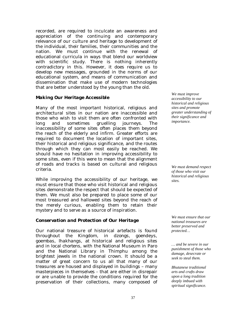recorded, are required to inculcate an awareness and appreciation of the continuing and contemporary relevance of our culture and heritage to development of the individual, their families, their communities and the nation. We must continue with the renewal of educational curricula in ways that blend our worldview with scientific study. There is nothing inherently contradictory in this. However, it does require us to develop new messages, grounded in the norms of our educational system, and means of communication and dissemination that make use of modern technologies that are better understood by the young than the old.

## *Making Our Heritage Accessible*

Many of the most important historical, religious and architectural sites in our nation are inaccessible and those who wish to visit them are often confronted with long and sometimes gruelling journeys. The inaccessibility of some sites often places them beyond the reach of the elderly and infirm. Greater efforts are required to document the location of important sites, their historical and religious significance, and the routes through which they can most easily be reached. We should have no hesitation in improving accessibility to some sites, even if this were to mean that the alignment of roads and tracks is based on cultural and religious criteria.

While improving the accessibility of our heritage, we must ensure that those who visit historical and religious sites demonstrate the respect that should be expected of them. We must also be prepared to place some of our most treasured and hallowed sites beyond the reach of the merely curious, enabling them to retain their mystery and to serve as a source of inspiration.

# *Conservation and Protection of Our Heritage*

Our national treasure of historical artefacts is found throughout the Kingdom, in *dzongs*, *goendeys*, *goembas*, *lhakhangs*, at historical and religious sites and in local *chortens*, with the National Museum in Paro and the National Library in Thimphu among the brightest jewels in the national crown. It should be a matter of great concern to us all that many of our treasures are housed and displayed in buildings – many masterpieces in themselves - that are either in disrepair or are unable to provide the conditions required for the preservation of their collections, many composed of

*We must improve accessibility to our historical and religious sites and promote greater understanding of their significance and importance.* 

*We must demand respect of those who visit our historical and religious sites.* 

*We must ensure that our national treasures are better preserved and protected…* 

*… and be severe in our punishment of those who damage, desecrate or seek to steal them.* 

*Bhutanese traditional arts and crafts draw upon a long tradition deeply imbued with spiritual significance.*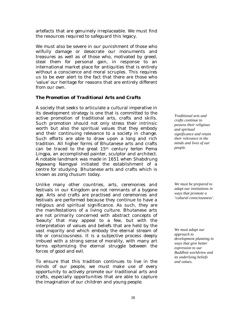artefacts that are genuinely irreplaceable. We must find the resources required to safeguard this legacy.

We must also be severe in our punishment of those who wilfully damage or desecrate our monuments and treasures as well as of those who, motivated by greed, steal them for personal gain, in response to an international market place for antiquities that is entirely without a conscience and moral scruples. This requires us to be ever alert to the fact that there are those who 'value' our heritage for reasons that are entirely different from our own.

# *The Promotion of Traditional Arts and Crafts*

A society that seeks to articulate a cultural imperative in its development strategy is one that is committed to the active promotion of traditional arts, crafts and skills. Such promotion should not only stress their intrinsic worth but also the spiritual values that they embody and their continuing relevance to a society in change. Such efforts are able to draw upon a long and rich tradition. All higher forms of Bhutanese arts and crafts can be traced to the great 15th century *terton* Pema Lingpa, an accomplished painter, sculptor and architect. A notable landmark was made in 1651 when Shabdrung Ngawang Namgyal initiated the establishment of a centre for studying Bhutanese arts and crafts which is known as *zorig chusum* today*.*

Unlike many other countries, arts, ceremonies and festivals in our Kingdom are not remnants of a bygone age. Arts and crafts are practised and ceremonies and festivals are performed because they continue to have a religious and spiritual significance. As such, they are the manifestations of a living culture. Bhutanese arts are not primarily concerned with abstract concepts of 'beauty' that may appeal to a few, but with the interpretation of values and beliefs that are held by the vast majority and which embody the eternal stream of life or consciousness. It is a subjective process deeply imbued with a strong sense of morality, with many art forms epitomizing the eternal struggle between the forces of good and evil.

To ensure that this tradition continues to live in the minds of our people, we must make use of every opportunity to actively promote our traditional arts and crafts, especially opportunities that are able to capture the imagination of our children and young people.

*Traditional arts and crafts continue to possess their religious and spiritual significance and retain their relevance in the minds and lives of our people.* 

*We must be prepared to adapt our institutions in ways that promote a 'cultural consciousness'.*

*We must adapt our approach to development planning in ways that give better expression to our Buddhist worldview and its underlying beliefs and values.*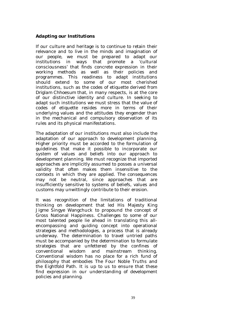# *Adapting our Institutions*

If our culture and heritage is to continue to retain their relevance and to live in the minds and imagination of our people, we must be prepared to adapt our institutions in ways that promote a 'cultural consciousness' that finds concrete expression in their working methods as well as their policies and programmes. This readiness to adapt institutions should extend to some of our most cherished institutions, such as the codes of etiquette derived from *Driglam Chhoesum* that, in many respects, is at the core of our distinctive identity and culture. In seeking to adapt such institutions we must stress that the value of codes of etiquette resides more in terms of their underlying values and the attitudes they engender than in the mechanical and compulsory observation of its rules and its physical manifestations.

The adaptation of our institutions must also include the adaptation of our approach to development planning. Higher priority must be accorded to the formulation of guidelines that make it possible to incorporate our system of values and beliefs into our approach to development planning. We must recognize that imported approaches are implicitly assumed to posses a universal validity that often makes them insensitive to the contexts in which they are applied. The consequences may not be neutral, since approaches that are insufficiently sensitive to systems of beliefs, values and customs may unwittingly contribute to their erosion.

It was recognition of the limitations of traditional thinking on development that led His Majesty King Jigme Singye Wangchuck to propound the concept of Gross National Happiness. Challenges to some of our most talented people lie ahead in translating this allencompassing and guiding concept into operational strategies and methodologies, a process that is already underway. The determination to travel untried paths must be accompanied by the determination to formulate strategies that are unfettered by the confines of conventional wisdom and mainstream thinking. Conventional wisdom has no place for a rich fund of philosophy that embodies The Four Noble Truths and the Eightfold Path. It is up to us to ensure that these find expression in our understanding of development policies and planning.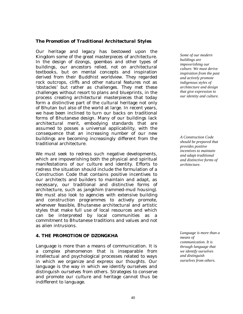## *The Promotion of Traditional Architectural Styles*

Our heritage and legacy has bestowed upon the Kingdom some of the great masterpieces of architecture. In the design of *dzongs*, *goembas* and other types of buildings, our ancestors relied, not on architectural textbooks, but on mental concepts and inspiration derived from their Buddhist worldview. They regarded rock outcrops, cliffs and other natural features not as 'obstacles' but rather as challenges. They met these challenges without resort to plans and blueprints, in the process creating architectural masterpieces that today form a distinctive part of the cultural heritage not only of Bhutan but also of the world at large. In recent years, we have been inclined to turn our backs on traditional forms of Bhutanese design. Many of our buildings lack architectural merit, embodying standards that are assumed to posses a universal applicability, with the consequence that an increasing number of our new buildings are becoming increasingly different from the traditional architecture.

We must seek to redress such negative developments, which are impoverishing both the physical and spiritual manifestations of our culture and identity. Efforts to redress the situation should include the formulation of a Construction Code that contains positive incentives to our architects and builders to maintain and adapt, as necessary, our traditional and distinctive forms of architecture, such as *jangkhim* (rammed-mud housing). We must also look to agencies with extensive building and construction programmes to actively promote, whenever feasible, Bhutanese architectural and artistic styles that make full use of local resources and which can be interpreted by local communities as a commitment to Bhutanese traditions and values and not as alien intrusions.

## **4. THE PROMOTION OF DZONGKHA**

Language is more than a means of communication. It is a complex phenomenon that is inseparable from intellectual and psychological processes related to ways in which we organize and express our thoughts. Our language is the way in which we identify ourselves and distinguish ourselves from others. Strategies to conserve and promote our culture and heritage cannot thus be indifferent to language.

*Some of our modern buildings are impoverishing our culture. We must derive inspiration from the past and actively promote indigenous styles of architecture and design that give expression to our identity and culture.* 

*A Construction Code should be prepared that provides positive incentives to maintain and adapt traditional and distinctive forms of architecture.* 

*Language is more than a means of communication. It is through language that we identify ourselves and distinguish ourselves from others.*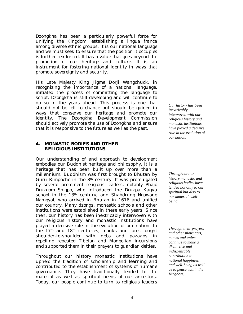*Dzongkha* has been a particularly powerful force for unifying the Kingdom, establishing a *lingua franca* among diverse ethnic groups. It is our national language and we must seek to ensure that the position it occupies is further reinforced. It has a value that goes beyond the promotion of our heritage and culture. It is an instrument for fostering national identity in ways that promote sovereignty and security.

His Late Majesty King Jigme Dorji Wangchuck, in recognizing the importance of a national language, initiated the process of committing the language to script. *Dzongkha* is still developing and will continue to do so in the years ahead. This process is one that should not be left to chance but should be guided in ways that conserve our heritage and promote our identity. The *Dzongkha* Development Commission should actively promote the use of *Dzongkh*a and ensure that it is responsive to the future as well as the past.

## **4. MONASTIC BODIES AND OTHER RELIGIOUS INSTITUTIONS**

Our understanding of and approach to development embodies our Buddhist heritage and philosophy. It is a heritage that has been built up over more than a millennium. Buddhism was first brought to Bhutan by Guru Rimpoche in the  $8<sup>th</sup>$  century. It was promulgated by several prominent religious leaders, notably *Phajo Drukgom Shigpo*, who introduced the *Drukpa Kagyu* school in the 13th century, and Shabdrung Ngawang Namgyal, who arrived in Bhutan in 1616 and unified our country. Many *dzongs*, monastic schools and other institutions were established in these early years. Since then, our history has been inextricably interwoven with our religious history and monastic institutions have played a decisive role in the evolution of our nation. In the 17th and 18th centuries, monks and lams fought shoulder-to-shoulder with *debs* and *pazaaps* in repelling repeated Tibetan and Mongolian incursions and supported them in their prayers to guardian deities.

Throughout our history monastic institutions have upheld the tradition of scholarship and learning and contributed to the establishment of systems of humane governance. They have traditionally tended to the material as well as spiritual needs of our ancestors. Today, our people continue to turn to religious leaders *Our history has been inextricably interwoven with our religious history and monastic institutions have played a decisive role in the evolution of our nation.* 

*Throughout our history monastic and religious bodies have tended not only to our spiritual but also to our material wellbeing.* 

*Through their prayers and other pious acts, monks and anims continue to make a distinctive and indispensable contribution to national happiness and well-being as well as to peace within the Kingdom.*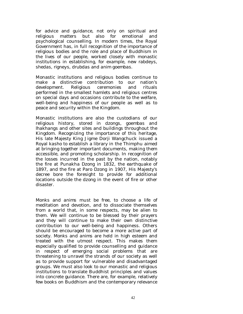for advice and guidance, not only on spiritual and religious matters but also for emotional and psychological counselling. In modern times, the Royal Government has, in full recognition of the importance of religious bodies and the role and place of Buddhism in the lives of our people, worked closely with monastic institutions in establishing, for example, new *rabdeys*, *shedas*, *rigneys*, *drubdas* and *anim goembas*.

Monastic institutions and religious bodies continue to make a distinctive contribution to our nation's development. Religious ceremonies and rituals performed in the smallest hamlets and religious centres on special days and occasions contribute to the welfare, well-being and happiness of our people as well as to peace and security within the Kingdom.

Monastic institutions are also the custodians of our religious history, stored in *dzongs*, *goembas* and *lhakhangs* and other sites and buildings throughout the Kingdom. Recognizing the importance of this heritage, His late Majesty King Jigme Dorji Wangchuck issued a Royal *kasho* to establish a library in the Thimphu aimed at bringing together important documents, making them accessible, and promoting scholarship. In recognition of the losses incurred in the past by the nation, notably the fire at Punakha *Dzong* in 1832, the earthquake of 1897, and the fire at Paro *Dzong* in 1907, His Majesty's decree bore the foresight to provide for additional locations outside the *dzong* in the event of fire or other disaster.

*Monks* and *anims* must be free, to choose a life of meditation and devotion, and to dissociate themselves from a world that, in some respects, may be alien to them. We will continue to be blessed by their prayers and they will continue to make their own distinctive contribution to our well-being and happiness. Others should be encouraged to become a more active part of society. *Monks* and *anims* are held in high esteem and treated with the utmost respect. This makes them especially qualified to provide counselling and guidance in respect of emerging social problems that are threatening to unravel the strands of our society as well as to provide support for vulnerable and disadvantaged groups. We must also look to our monastic and religious institutions to translate Buddhist principles and values into concrete guidance. There are, for example, relatively few books on Buddhism and the contemporary relevance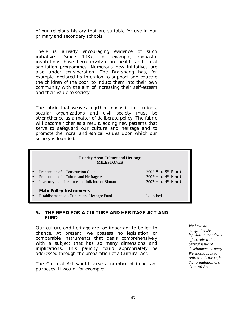of our religious history that are suitable for use in our primary and secondary schools.

There is already encouraging evidence of such initiatives. Since 1987, for example, monastic institutions have been involved in health and rural sanitation programmes. Numerous new initiatives are also under consideration. The *Dratshang* has, for example, declared its intention to support and educate the children of the poor, to induct them into their own community with the aim of increasing their self-esteem and their value to society.

The fabric that weaves together monastic institutions, secular organizations and civil society must be strengthened as a matter of deliberate policy. The fabric will become richer as a result, adding new patterns that serve to safeguard our culture and heritage and to promote the moral and ethical values upon which our society is founded.

#### **Priority Area: Culture and Heritage MILESTONES**

• Preparation of a Construction Code 2002(End 8th Plan)

- Preparation of a Culture and Heritage Act 2002(End 8th Plan)
- Inventorying of culture and folk lore of Bhutan 2007(End 9th Plan)

#### **Main Policy Instruments**

• Establishment of a Culture and Heritage Fund Launched

## **5. THE NEED FOR A CULTURE AND HERITAGE ACT AND FUND**

Our culture and heritage are too important to be left to chance. At present, we possess no legislation or comparable instruments that deals comprehensively with a subject that has so many dimensions and implications. This paucity could appropriately be addressed through the preparation of a Cultural Act.

The Cultural Act would serve a number of important purposes. It would, for example:

*We have no comprehensive legislation that deals effectively with a central issue of development strategy. We should seek to redress this through the formulation of a Cultural Act.*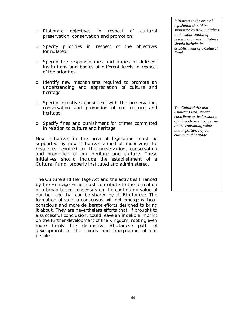- ! Elaborate objectives in respect of cultural preservation, conservation and promotion;
- ! Specify priorities in respect of the objectives formulated;
- ! Specify the responsibilities and duties of different institutions and bodies at different levels in respect of the priorities;
- ! Identify new mechanisms required to promote an understanding and appreciation of culture and heritage;
- □ Specify incentives consistent with the preservation, conservation and promotion of our culture and heritage;
- □ Specify fines and punishment for crimes committed in relation to culture and heritage

New initiatives in the area of legislation must be supported by new initiatives aimed at mobilizing the resources required for the preservation, conservation and promotion of our heritage and culture. These initiatives should include the establishment of a Cultural Fund, properly instituted and administered.

The Culture and Heritage Act and the activities financed by the Heritage Fund must contribute to the formation of a broad-based consensus on the continuing value of our heritage that can be shared by all Bhutanese. The formation of such a consensus will not emerge without conscious and more deliberate efforts designed to bring it about. They are nevertheless efforts that, if brought to a successful conclusion, could leave an indelible imprint on the further development of the Kingdom, rooting even more firmly the distinctive Bhutanese path of development in the minds and imagination of our people.

*Initiatives in the area of legislation should be supported by new initiatives in the mobilization of resources…these initiatives should include the establishment of a Cultural Fund.* 

*The Cultural Act and Cultural Fund should contribute to the formation of a broad-based consensus on the continuing values and importance of our culture and heritage*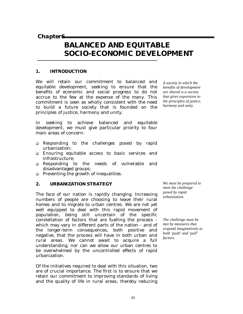*Chapter6* 

# **BALANCED AND EQUITABLE SOCIO-ECONOMIC DEVELOPMENT**

# **1. INTRODUCTION**

We will retain our commitment to balanced and equitable development, seeking to ensure that the benefits of economic and social progress to do not accrue to the few at the expense of the many. This commitment is seen as wholly consistent with the need to build a future society that is founded on the principles of justice, harmony and unity.

*A society in which the benefits of development are shared is a society that gives expression to the principles of justice, harmony and unity.* 

In seeking to achieve balanced and equitable development, we must give particular priority to four main areas of concern:

- ! Responding to the challenges posed by rapid urbanization;
- ! Ensuring equitable access to basic services and infrastructure;
- ! Responding to the needs of vulnerable and disadvantaged groups;
- □ Preventing the growth of inequalities.

# **2. URBANIZATION STRATEGY**

The face of our nation is rapidly changing. Increasing numbers of people are choosing to leave their rural homes and to migrate to urban centres. We are not yet well equipped to deal with this rapid movement of population, being still uncertain of the specific constellation of factors that are fuelling the process which may vary in different parts of the nation - and of the longer-term consequences, both positive and negative, that the process will have in both urban and rural areas. We cannot await to acquire a full understanding, nor can we allow our urban centres to be overwhelmed by the uncontrolled effects of rapid urbanization.

Of the initiatives required to deal with this situation, two are of crucial importance. The first is to ensure that we retain our commitment to improving standards of living and the quality of life in rural areas, thereby reducing *We must be prepared to meet the challenge posed by rapid urbanization.* 

*The challenge must be met by measures that respond imaginatively to both 'push' and 'pull' factors.*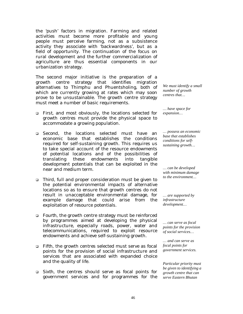the 'push' factors in migration. Farming and related activities must become more profitable and young people must perceive farming, not as a subsistence activity they associate with 'backwardness', but as a field of opportunity. The continuation of the focus on rural development and the further commercialization of agriculture are thus essential components in our urbanization strategy.

The second major initiative is the preparation of a growth centre strategy that identifies migration alternatives to Thimphu and Phuentsholing, both of which are currently growing at rates which may soon prove to be unsustainable. The growth centre strategy must meet a number of basic requirements.

- ! *First*, and most obviously, the locations selected for growth centres must provide the physical space to accommodate a growing population.
- ! *Second*, the locations selected must have an economic base that establishes the conditions required for self-sustaining growth. This requires us to take special account of the resource endowments of potential locations and of the possibilities of translating these endowments into tangible development potentials that can be exploited in the near and medium term.
- ! *Third*, full and proper consideration must be given to the potential environmental impacts of alternative locations so as to ensure that growth centres do not result in unacceptable environmental damage, for example damage that could arise from the exploitation of resource potentials.
- ! *Fourth*, the growth centre strategy must be reinforced by programmes aimed at developing the physical infrastructure, especially roads, power, water and telecommunications, required to exploit resource endowments and achieve self-sustaining growth.
- ! *Fifth*, the growth centres selected must serve as focal points for the provision of social infrastructure and services that are associated with expanded choice and the quality of life.
- ! *Sixth*, the centres should serve as focal points for government services and for programmes for the

*We must identify a small number of growth centres that…* 

*… have space for expansion…* 

*… possess an economic base that establishes conditions for selfsustaining growth…* 

*… can be developed with minimum damage to the environment…* 

*… are supported by infrastructure development…* 

*… can serve as focal points for the provision of social services…* 

*… and can serve as focal points for government services.* 

*Particular priority must be given to identifying a growth centre that can serve Eastern Bhutan*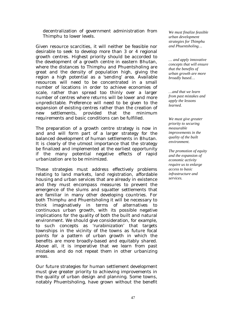decentralization of government administration from Thimphu to lower levels.

Given resource scarcities, it will neither be feasible nor desirable to seek to develop more than 3 or 4 regional growth centres. Highest priority should be accorded to the development of a growth centre in eastern Bhutan, where the distances to Thimphu and Phuentsholing are great and the density of population high, giving the region a high potential as a 'sending' area. Available resources will need to be concentrated in a small number of locations in order to achieve economies of scale, rather than spread too thinly over a larger number of centres where returns will be lower and more unpredictable. Preference will need to be given to the expansion of existing centres rather than the creation of new settlements, provided that the minimum requirements and basic conditions can be fulfilled.

The preparation of a growth centre strategy is now in and and will form part of a larger strategy for the balanced development of human settlements in Bhutan. It is clearly of the utmost importance that the strategy be finalized and implemented at the earliest opportunity if the many potential negative effects of rapid urbanization are to be minimized.

These strategies must address effectively problems relating to land markets, land registration, affordable housing and urban services that are already in existence and they must encompass measures to prevent the emergence of the slums and squatter settlements that are familiar in many other developing countries. For both Thimphu and Phuentsholing it will be necessary to think imaginatively in terms of alternatives to continuous urban growth, with its possible negative implications for the quality of both the built and natural environment. We should give consideration, for example, to such concepts as *'rurabinization'* that targets townships in the vicinity of the towns as future focal points for a pattern of urban growth in which the benefits are more broadly-based and equitably shared. Above all, it is imperative that we learn from past mistakes and do not repeat them in other urbanizing areas.

Our future strategies for human settlement development must give greater priority to achieving improvements in the quality of urban design and planning. Some towns, notably Phuentsholing, have grown without the benefit

*We must finalize feasible urban development strategies for Thimphu and Phuentsholing…* 

*… and apply innovative concepts that will ensure that the benefits of urban growth are more broadly based…* 

*…and that we learn from past mistakes and apply the lessons learned.* 

*We must give greater priority to securing measurable improvements in the quality of the built environment.* 

*The promotion of equity and the expansion of economic activity require us to enlarge access to basic infrastructure and services.*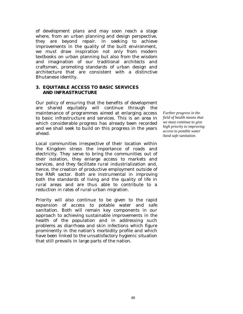of development plans and may soon reach a stage where, from an urban planning and design perspective, they are beyond repair. In seeking to achieve improvements in the quality of the built environment, we must draw inspiration not only from modern textbooks on urban planning but also from the wisdom and imagination of our traditional architects and craftsmen, promoting standards of urban design and architecture that are consistent with a distinctive Bhutanese identity.

## **3. EQUITABLE ACCESS TO BASIC SERVICES AND INFRASTRUCTURE**

Our policy of ensuring that the benefits of development are shared equitably will continue through the maintenance of programmes aimed at enlarging access to basic infrastructure and services. This is an area in which considerable progress has already been recorded and we shall seek to build on this progress in the years ahead.

Local communities irrespective of their location within the Kingdom stress the importance of roads and electricity. They serve to bring the communities out of their isolation, they enlarge access to markets and services, and they facilitate rural industrialization and, hence, the creation of productive employment outside of the RNR sector. Both are instrumental in improving both the standards of living and the quality of life in rural areas and are thus able to contribute to a reduction in rates of rural-urban migration.

Priority will also continue to be given to the rapid expansion of access to potable water and safe sanitation. Both will remain key components in our approach to achieving sustainable improvements in the health of the population and in addressing such problems as diarrhoea and skin infections which figure prominently in the nation's morbidity profile and which have been linked to the unsatisfactory hygienic situation that still prevails in large parts of the nation.

*Further progress in the field of health means that we must continue to give high priority to improving access to potable water 0and safe sanitation.*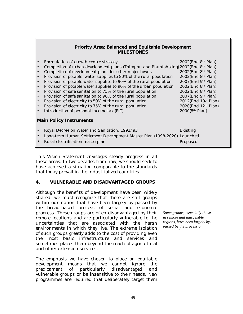# **Priority Area: Balanced and Equitable Development MILESTONES**

| Formulation of growth centre strategy                              | $2002$ (End 8 <sup>th</sup> Plan)                                                                                                                                                                                                              |  |  |  |  |
|--------------------------------------------------------------------|------------------------------------------------------------------------------------------------------------------------------------------------------------------------------------------------------------------------------------------------|--|--|--|--|
|                                                                    |                                                                                                                                                                                                                                                |  |  |  |  |
| Completion of development plans for other major towns              | 2002(End 8th Plan)                                                                                                                                                                                                                             |  |  |  |  |
| Provision of potable water supplies to 80% of the rural population | 2002(End 8th Plan)                                                                                                                                                                                                                             |  |  |  |  |
| Provision of potable water supplies to 90% of the rural population | $2007$ (End 9 <sup>th</sup> Plan)                                                                                                                                                                                                              |  |  |  |  |
| Provision of potable water supplies to 90% of the urban population | $2002$ (End 8 <sup>th</sup> Plan)                                                                                                                                                                                                              |  |  |  |  |
| Provision of safe sanitation to 75% of the rural population        | $2002$ (End 8 <sup>th</sup> Plan)                                                                                                                                                                                                              |  |  |  |  |
| Provision of safe sanitation to 90% of the rural population        | $2007$ (End 9 <sup>th</sup> Plan)                                                                                                                                                                                                              |  |  |  |  |
| Provision of electricity to 50% of the rural population            | $2012$ (End $10th$ Plan)                                                                                                                                                                                                                       |  |  |  |  |
| Provision of electricity to 75% of the rural population            | 2020(End 12th Plan)                                                                                                                                                                                                                            |  |  |  |  |
| Introduction of personal income tax (PIT)                          | 2000(8th Plan)                                                                                                                                                                                                                                 |  |  |  |  |
|                                                                    |                                                                                                                                                                                                                                                |  |  |  |  |
| <b>Main Policy Instruments</b>                                     |                                                                                                                                                                                                                                                |  |  |  |  |
|                                                                    |                                                                                                                                                                                                                                                |  |  |  |  |
| Royal Decree on Water and Sanitation, 1992/93                      | <b>Existing</b>                                                                                                                                                                                                                                |  |  |  |  |
|                                                                    |                                                                                                                                                                                                                                                |  |  |  |  |
| Rural electrification masterplan                                   | Proposed                                                                                                                                                                                                                                       |  |  |  |  |
|                                                                    | ه ا<br>Completion of urban development plans (Thimphu and Phuntsholing) 2002(End 8th Plan)<br>ه ا<br>$\bullet$<br>l.<br>l.<br>ه ا<br>ه ا<br>∣•<br>ه ا<br>ه ا<br>ه ا<br>Long-term Human Settlement Development Master Plan (1998-2020) Launched |  |  |  |  |

This Vision Statement envisages steady progress in all these areas. In two decades from now, we should seek to have achieved a situation comparable to the standards that today prevail in the industrialized countries.

# **4. VULNERABLE AND DISADVANTAGED GROUPS**

Although the benefits of development have been widely shared, we must recognize that there are still groups within our nation that have been largely by-passed by the broad-based process of social and economic progress. These groups are often disadvantaged by their remote locations and are particularly vulnerable to the uncertainties that are associated with the harsh environments in which they live. The extreme isolation of such groups greatly adds to the cost of providing even the most basic infrastructure and services and sometimes places them beyond the reach of agricultural and other extension services.

The emphasis we have chosen to place on equitable development means that we cannot ignore the predicament of particularly disadvantaged and vulnerable groups or be insensitive to their needs. New programmes are required that deliberately target them

*Some groups, especially those in remote and inaccesible regions, have been largely bypassed by the process of* 

*l d*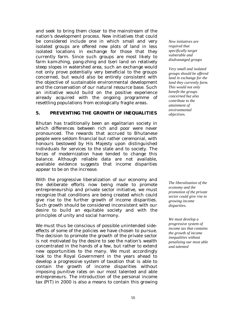and seek to bring them closer to the mainstream of the nation's development process. New initiatives that could be considered include one in which small and very isolated groups are offered new plots of land in less isolated locations in exchange for those that they currently farm. Since such groups are most likely to farm *kam-zhing*, *pang-zhing* and *tseri* land on relatively steep slopes in watershed area, such an exchange would not only prove potentially very beneficial to the groups concerned, but would also be entirely consistent with the objective of sustainable environmental development and the conservation of our natural resource base. Such an initiative would build on the positive experience already acquired with the ongoing programme of resettling populations from ecologically fragile areas.

## **5. PREVENTING THE GROWTH OF INEQUALITIES**

Bhutan has traditionally been an egalitarian society in which differences between rich and poor were never pronounced. The rewards that accrued to Bhutanese people were seldom financial but rather ceremonial, with honours bestowed by His Majesty upon distinguished individuals for services to the state and to society. The forces of modernization have tended to change this balance. Although reliable data are not available, available evidence suggests that income disparities appear to be on the increase.

With the progressive liberalization of our economy and the deliberate efforts now being made to promote entrepreneurship and private sector initiative, we must recognize that conditions are being created which could give rise to the further growth of income disparities. Such growth should be considered inconsistent with our desire to build an equitable society and with the principles of unity and social harmony.

We must thus be conscious of possible unintended sideeffects of some of the policies we have chosen to pursue. The decision to promote the growth of the private sector is not motivated by the desire to see the nation's wealth concentrated in the hands of a few, but rather to extend new opportunities to the many. We must accordingly look to the Royal Government in the years ahead to develop a progressive system of taxation that is able to contain the growth of income disparities without imposing punitive rates on our most talented and able entrepreneurs. The introduction of the personal income tax (PIT) in 2000 is also a means to contain this growing

*New initiatives are required that specifically target vulnerable and disdvanatged groups* 

*Very small and isolated groups should be offered land in exchange for the land they currently farm. This would not only benefit the groups concerned but also contribute to the attainment of environmental objectives.* 

*The liberalization of the economy and the promotion of the private sector could give rise to growing income disparities.* 

*We must develop a progressive system of income tax that contains the growth of income inequalities without penalizing our most able and talented*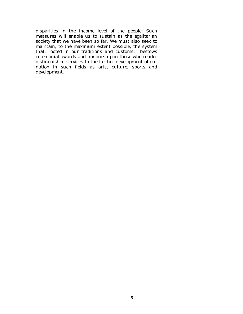disparities in the income level of the people. Such measures will enable us to sustain as the egalitarian society that we have been so far. We must also seek to maintain, to the maximum extent possible, the system that, rooted in our traditions and customs, bestows ceremonial awards and honours upon those who render distinguished services to the further development of our nation in such fields as arts, culture, sports and development.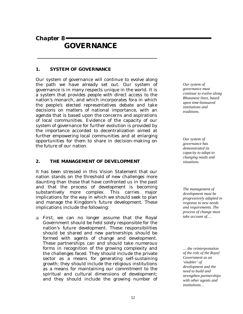*Chapter 8* 

# **GOVERNANCE**

## **1. SYSTEM OF GOVERNANCE**

Our system of governance will continue to evolve along the path we have already set out. Our system of governance is in many respects unique in the world. It is a system that provides people with direct access to the nation's monarch, and which incorporates fora in which the people's elected representatives debate and take decisions on matters of national importance, with an agenda that is based upon the concerns and aspirations of local communities. Evidence of the capacity of our system of governance for further evolution is provided by the importance accorded to decentralization aimed at further empowering local communities and at enlarging opportunities for them to share in decision-making on the future of our nation.

# **2. THE MANAGEMENT OF DEVELOPMENT**

It has been stressed in this Vision Statement that our nation stands on the threshold of new challenges more daunting than those that have confronted us in the past and that the process of development is becoming substantively more complex. This carries major implications for the way in which we should seek to plan and manage the Kingdom's future development. These implications include the following:

! *First*, we can no longer assume that the Royal Government should be held solely responsible for the nation's future development. These responsibilities should be shared and new partnerships should be formed with agents of change and development. These partnerships can and should take numerous forms in recognition of the growing complexity and the challenges faced. They should include the private sector as a means for generating self-sustaining growth; they should include the religious institutions as a means for maintaining our commitment to the spiritual and cultural dimensions of development; and they should include the growing number of

*Our system of governance must continue to evolve along Bhutanese lines, based upon time-honoured institutions and traditions.* 

*Our system of governance has demonstrated its capacity to adapt to changing needs and situations.* 

*The management of development must be progressively adapted in response to new needs and requirements. The process of change must take account of….* 

*… the reinterpretation of the role of the Royal Government as an 'enabler' of development and the need to build and strengthen partnerships with other agents and institutions…*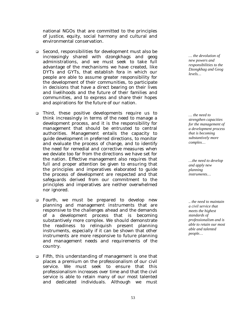national NGOs that are committed to the principles of justice, equity, social harmony and cultural and environmental conservation.

- ! *Second*, responsibilities for development must also be increasingly shared with *dzongkhags* and g*eog* administrations, and we must seek to take full advantage of the mechanisms we have created, like DYTs and GYTs, that establish fora in which our people are able to assume greater responsibility for the development of their communities, to participate in decisions that have a direct bearing on their lives and livelihoods and the future of their families and communities, and to express and share their hopes and aspirations for the future of our nation.
- ! *Third*, these positive developments require us to think increasingly in terms of the need to manage a development process, and it is the responsibility for management that should be entrusted to central authorities. Management entails the capacity to guide development in preferred directions, to monitor and evaluate the process of change, and to identify the need for remedial and corrective measures when we deviate too far from the directions we have set for the nation. Effective management also requires that full and proper attention be given to ensuring that the principles and imperatives elaborated to guide the process of development are respected and that safeguards derived from our commitment to the principles and imperatives are neither overwhelmed nor ignored.
- ! *Fourth,* we must be prepared to develop new planning and management instruments that are responsive to the challenges ahead and the demands of a development process that is becoming substantively more complex. We should demonstrate the readiness to relinquish present planning instruments, especially if it can be shown that other instruments are more responsive to future planning and management needs and requirements of the country.
- ! *Fifth*, this understanding of management is one that places a premium on the professionalism of our civil service. We must seek to ensure that this professionalism increases over time and that the civil service is able to retain many of our most talented and dedicated individuals. Although we must

*… the devolution of new powers and responsibilities to the Dzongkhag and Geog levels…* 

*… the need to strengthen capacities for the management of a development process that is becoming substantively more complex…* 

*…the need to develop and apply new planning instruments…* 

*.. the need to maintain a civil service that meets the highest standards of professionalism and is able to retain our most able and talented people…*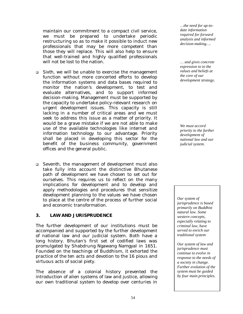maintain our commitment to a compact civil service, we must be prepared to undertake periodic restructuring so as to make it possible to induct new professionals that may be more competent than those they will replace. This will also help to ensure that well-trained and highly qualified professionals will not be lost to the nation.

- ! *Sixth*, we will be unable to exercise the management function without more concerted efforts to develop the information systems and data bases required to monitor the nation's development, to test and evaluate alternatives, and to support informed decision-making. Management must be supported by the capacity to undertake policy-relevant research on urgent development issues. This capacity is still lacking in a number of critical areas and we must seek to address this issue as a matter of priority. It would be a grave mistake if we are not able to make use of the available technologies like internet and information technology to our advantage. Priority shall be placed in developing this sector for the benefit of the business community, government offices and the general public.
- ! *Seventh*, the management of development must also take fully into account the distinctive Bhutanese path of development we have chosen to set out for ourselves. This requires us to reflect on the many implications for development and to develop and apply methodologies and procedures that sensitize development planning to the values we have chosen to place at the centre of the process of further social and economic transformation.

## **3. LAW AND JURISPRUDENCE**

The further development of our institutions must be accompanied and supported by the further development of national law and our judicial system. Both have a long history. Bhutan's first set of codified laws was promulgated by Shabdrung Ngawang Namgyal in 1651. Founded on the teachings of Buddhism, it exhorted the practice of the ten acts and devotion to the 16 pious and virtuous acts of social piety.

The absence of a colonial history prevented the introduction of alien systems of law and justice, allowing our own traditional system to develop over centuries in

*…the need for up-todate information required for forward analysis and informed decision-making….* 

*… and gives concrete expression to to the values and beliefs at the core of our development strategy.* 

*We must accord priority to the further development of national law and our judicial system.* 

*Our system of jurisprudence is based primarily on Buddhist natural law. Some western concepts, especially relating to criminal law, have served to enrich our traditional system* 

*Our system of law and jurisprudence must continue to evolve in response to the needs of a society in change. Further evolution of the system must be guided by four main principles.*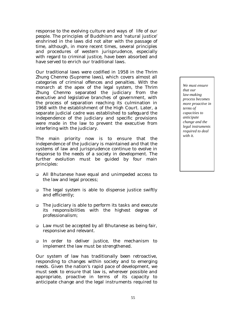response to the evolving culture and ways of life of our people. The principles of Buddhism and 'natural justice' enshrined in the laws did not alter with the passage of time, although, in more recent times, several principles and procedures of western jurisprudence, especially with regard to criminal justice, have been absorbed and have served to enrich our traditional laws.

Our traditional laws were codified in 1958 in the *Thrim Zhung Chenmo* (Supreme laws*)*, which covers almost all categories of criminal offences and penalties. With the monarch at the apex of the legal system, the *Thrim Zhung Chenmo* separated the judiciary from the executive and legislative branches of government, with the process of separation reaching its culmination in 1968 with the establishment of the High Court. Later, a separate judicial cadre was established to safeguard the independence of the judiciary and specific provisions were made in the law to prevent the executive from interfering with the judiciary.

The main priority now is to ensure that the independence of the judiciary is maintained and that the systems of law and jurisprudence continue to evolve in response to the needs of a society in development. The further evolution must be guided by four main principles:

- ! All Bhutanese have equal and unimpeded access to the law and legal process;
- □ The legal system is able to dispense justice swiftly and efficiently;
- □ The judiciary is able to perform its tasks and execute its responsibilities with the highest degree of professionalism;
- □ Law must be accepted by all Bhutanese as being fair, responsive and relevant.
- ! In order to deliver justice, the mechanism to implement the law must be strengthened.

Our system of law has traditionally been retroactive, responding to changes within society and to emerging needs. Given the nation's rapid pace of development, we must seek to ensure that law is, wherever possible and appropriate, proactive in terms of its capacity to anticipate change and the legal instruments required to

*We must ensure that our law-making process becomes more proactive in terms of capacities to anticipate change and the legal instruments required to deal with it.*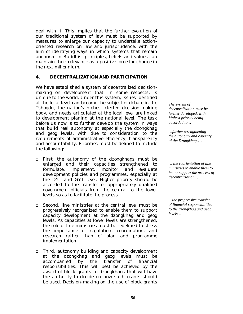deal with it. This implies that the further evolution of our traditional system of law must be supported by measures to enlarge our capacity to undertake actionoriented research on law and jurisprudence, with the aim of identifying ways in which systems that remain anchored in Buddhist principles, beliefs and values can maintain their relevance as a positive force for change in the next millennium.

## **4. DECENTRALIZATION AND PARTICIPATION**

We have established a system of decentralized decisionmaking on development that, in some respects, is unique to the world. Under this system, issues identified at the local level can become the subject of debate in the *Tshogdu*, the nation's highest elected decision-making body, and needs articulated at the local level are linked to development planing at the national level. The task before us now is to further develop the system in ways that build real autonomy at especially the *dzongkhag* and *geog* levels, with due to consideration to the requirements of administrative efficiency, transparency and accountability. Priorities must be defined to include the following:

- ! *First*, the autonomy of the *dzongkhags* must be enlarged and their capacities strengthened to formulate, implement, monitor and evaluate development policies and programmes, especially at the DYT and GYT level. Higher priority should be accorded to the transfer of appropriately qualified government officials from the central to the lower levels so as to facilitate the process.
- ! *Second*, line ministries at the central level must be progressively reorganized to enable them to support capacity development at the *dzongkhag* and *geog* levels. As capacities at lower levels are strengthened, the role of line ministries must be redefined to stress the importance of regulation, coordination, and research rather than of plan and programme implementation.
- ! *Third*, autonomy building and capacity development at the *dzongkhag* and g*eog* levels must be accompanied by the transfer of financial responsibilities. This will best be achieved by the award of block grants to *dzongkhags* that will have the authority to decide on how such grants should be used. Decision-making on the use of block grants

*The system of decentralization must be further developed, with highest priority being accorded to…* 

*…further strengthening the autonomy and capacity of the Dzongkhags…* 

*… the reorientation of line ministries to enable them to better support the process of decentralization…* 

*…the progressive transfer of financial responsibilities to the dzongkhag and geog levels…*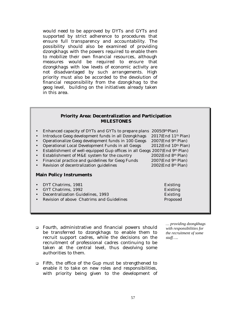would need to be approved by DYTs and GYTs and supported by strict adherence to procedures that ensure full transparency and accountability. The possibility should also be examined of providing *dzongkhags* with the powers required to enable them to mobilize their own financial resources, although measures would be required to ensure that *dzongkhags* with low levels of economic activity are not disadvantaged by such arrangements. High priority must also be accorded to the devolution of financial responsibility from the dzongkhag to the geog level, building on the initiatives already taken in this area.

#### **Priority Area: Decentralization and Participation MILESTONES**

| Enhanced capacity of DYTs and GYTs to prepare plans $2005(9thPlan)$<br>$\bullet$<br>Introduce Geog development funds in all Dzongkhags<br>$\bullet$<br>Operationalize Geog development funds in 100 Geogs<br>Operational Local Development Funds in all Geogs<br>$\bullet$<br>Establishment of well-equipped Gup offices in all Geogs 2007(End 9th Plan)<br>Establishment of M&E system for the country<br>$\bullet$<br>Financial practice and guidelines for Geog Funds<br>$\bullet$<br>Revision of decentralization guidelines<br><b>Main Policy Instruments</b> | $2017$ (End $11th$ Plan)<br>$2007$ (End 9 <sup>th</sup> Plan)<br>$2012$ (End $10th$ Plan)<br>$2002$ (End $8th$ Plan)<br>$2007$ (End 9 <sup>th</sup> Plan)<br>$2002$ (End $8th$ Plan) |
|--------------------------------------------------------------------------------------------------------------------------------------------------------------------------------------------------------------------------------------------------------------------------------------------------------------------------------------------------------------------------------------------------------------------------------------------------------------------------------------------------------------------------------------------------------------------|--------------------------------------------------------------------------------------------------------------------------------------------------------------------------------------|
| DYT Chatrims, 1981<br>$\bullet$<br>GYT Chatrims, 1992<br>$\bullet$<br>Decentralization Guidelines, 1993<br>Revision of above Chatrims and Guidelines                                                                                                                                                                                                                                                                                                                                                                                                               | Existing<br><b>Existing</b><br><b>Existing</b><br>Proposed                                                                                                                           |

- ! *Fourth*, administrative and financial powers should be transferred to *dzongkhags* to enable them to recruit support cadres, while the decisions on the recruitment of professional cadres continuing to be taken at the central level, thus devolving some authorities to them.
- ! *Fifth*, the office of the *Gup* must be strengthened to enable it to take on new roles and responsibilities, with priority being given to the development of

*… providing dzongkhags with responsibilities for the recruitment of some staff…..*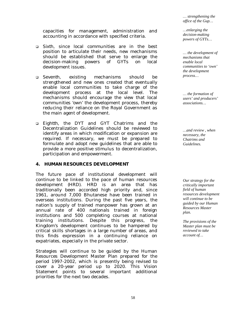*… strengthening the office of the Gup…* 

capacities for management, administration and accounting in accordance with specified criteria.

- ! *Sixth*, since local communities are in the best position to articulate their needs, new mechanisms should be established that serve to enlarge the decision-making powers of GYTs on local development issues.
- ! *Seventh,* existing mechanisms should be strengthened and new ones created that eventually enable local communities to take charge of the development process at the local level. The mechanisms should encourage the view that local communities 'own' the development process, thereby reducing their reliance on the Royal Government as the main agent of development.
- ! *Eightth,* the DYT and GYT Chatrims and the Decentralization Guidelines should be reviewed to identify areas in which modification or expansion are required. If necessary, we must be prepared to formulate and adopt new guidelines that are able to provide a more positive stimulus to decentralization, participation and empowerment.

## **4. HUMAN RESOURCES DEVELOPMENT**

The future pace of institutional development will continue to be linked to the pace of human resources development (HRD). HRD is an area that has traditionally been accorded high priority and, since 1961, around 7,000 Bhutanese have been trained in overseas institutions. During the past five years, the nation's supply of trained manpower has grown at an annual rate of 400 nationals trained in foreign institutions and 500 completing courses at national training institutions. Despite this progress, the Kingdom's development continues to be hampered by critical skills shortages in a large number of areas, and this finds expression in a continuing reliance on expatriates, especially in the private sector.

Strategies will continue to be guided by the Human Resources Development Master Plan prepared for the period 1997-2002, which is presently being revised to cover a 20-year period up to 2020. This Vision Statement points to several important additional priorities for the next two decades.

*…enlarging the decision-making powers of GYTs…* 

*… the development of mechanisms that enable local communities to 'own' the development process…* 

*… the formation of users' and producers' associations…* 

*…and review , when necessary, the Chatrims and Guidelines.* 

*Our strategy for the critically important field of human resources development will continue to be guided by our Human Resources Master plan.* 

*The provisions of the Master plan must be reviewed to take account of…*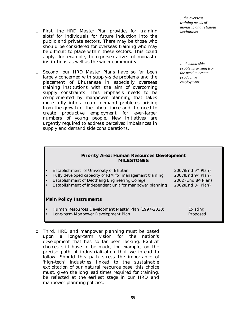- ! *First*, the HRD Master Plan provides for 'training slots' for individuals for future induction into the public and private sectors. There may be those who should be considered for overseas training who may be difficult to place within these sectors. This could apply, for example, to representatives of monastic institutions as well as the wider community.
- ! Second, our HRD Master Plans have so far been largely concerned with supply-side problems and the placement of Bhutanese in especially overseas training institutions with the aim of overcoming supply constraints. This emphasis needs to be complemented by manpower planning that takes more fully into account demand problems arising from the growth of the labour force and the need to create productive employment for ever-larger numbers of young people. New initiatives are urgently required to address perceived imbalances in supply and demand side considerations.

*…the overseas training needs of monastic and religious institutions…* 

*… demand side problems arising from the need to create productive employment….*

#### **Priority Area: Human Resources Development MILESTONES**

| • Establishment of University of Bhutan<br>Fully developed capacity of RIM for management training<br>$\bullet$<br>• Establishment of Deothang Engineering College<br>• Establishment of independent unit for manpower planning | 2007(End 9th Plan)<br>$2007$ (End 9th Plan)<br>2002 (End 8th Plan)<br>$2002$ (End 8 <sup>th</sup> Plan) |
|---------------------------------------------------------------------------------------------------------------------------------------------------------------------------------------------------------------------------------|---------------------------------------------------------------------------------------------------------|
| <b>Main Policy Instruments</b>                                                                                                                                                                                                  |                                                                                                         |
| • Human Resources Development Master Plan (1997-2020)<br>• Long-term Manpower Development Plan                                                                                                                                  | Existing<br>Proposed                                                                                    |

! *Third*, HRD and manpower planning must be based upon a longer-term vision for the nation's development that has so far been lacking. Explicit choices still have to be made, for example, on the precise path of industrialization that we intend to follow. Should this path stress the importance of 'high-tech' industries linked to the sustainable exploitation of our natural resource base, this choice must, given the long lead times required for training, be reflected at the earliest stage in our HRD and manpower planning policies.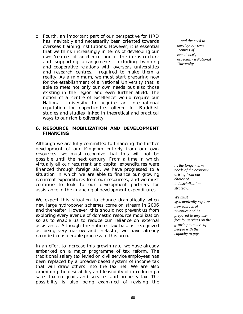! *Fourth*, an important part of our perspective for HRD has inevitably and necessarily been oriented towards overseas training institutions. However, it is essential that we think increasingly in terms of developing our own 'centres of excellence' and of the infrastructure and supporting arrangements, including twinning and cooperative relations with overseas universities and research centres, required to make them a reality. As a minimum, we must start preparing now for the establishment of a National University that is able to meet not only our own needs but also those existing in the region and even further afield. The notion of a 'centre of excellence' would require our National University to acquire an international reputation for opportunities offered for Buddhist studies and studies linked in theoretical and practical ways to our rich biodiversity.

## **6. RESOURCE MOBILIZATION AND DEVELOPMENT FINANCING**

Although we are fully committed to financing the further development of our Kingdom entirely from our own resources, we must recognize that this will not be possible until the next century. From a time in which virtually all our recurrent and capital expenditures were financed through foreign aid, we have progressed to a situation in which we are able to finance our growing recurrent expenditures from our resources, and we must continue to look to our development partners for assistance in the financing of development expenditures.

We expect this situation to change dramatically when new large hydropower schemes come on stream in 2006 and thereafter. However, this should not prevent us from exploring every avenue of domestic resource mobilization so as to enable us to reduce our reliance on external assistance. Although the nation's tax base is recognized as being very narrow and inelastic, we have already recorded considerable progress in this area.

In an effort to increase this growth rate, we have already embarked on a major programme of tax reform. The traditional salary tax levied on civil service employees has been replaced by a broader-based system of income tax that will draw others into the tax net. We are also examining the desirability and feasibility of introducing a sales tax on goods and services and property tax. The possibility is also being examined of revising the

*…and the need to develop our own 'centres of excellence', especially a National University* 

*… the longer-term needs of the economy arising from our choice of industrialization strategy…* 

*We must systematically explore new sources of revenues and be prepared to levy user fees for services on the growing numbers of people with the capacity to pay.*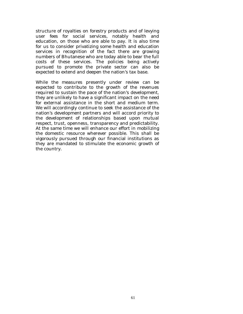structure of royalties on forestry products and of levying user fees for social services, notably health and education, on those who are able to pay. It is also time for us to consider privatizing some health and education services in recognition of the fact there are growing numbers of Bhutanese who are today able to bear the full costs of these services. The policies being actively pursued to promote the private sector can also be expected to extend and deepen the nation's tax base.

While the measures presently under review can be expected to contribute to the growth of the revenues required to sustain the pace of the nation's development, they are unlikely to have a significant impact on the need for external assistance in the short and medium term. We will accordingly continue to seek the assistance of the nation's development partners and will accord priority to the development of relationships based upon mutual respect, trust, openness, transparency and predictability. At the same time we will enhance our effort in mobilizing the domestic resource wherever possible. This shall be vigorously pursued through our financial institutions as they are mandated to stimulate the economic growth of the country.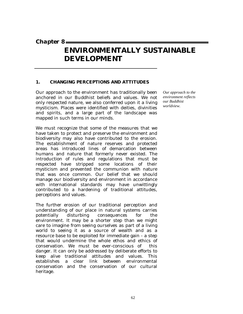*Chapter 8* 

# **ENVIRONMENTALLY SUSTAINABLE DEVELOPMENT**

# **1. CHANGING PERCEPTIONS AND ATTITUDES**

Our approach to the environment has traditionally been anchored in our Buddhist beliefs and values. We not only respected nature, we also conferred upon it a living mysticism. Places were identified with deities, divinities and spirits, and a large part of the landscape was mapped in such terms in our minds.

We must recognize that some of the measures that we have taken to protect and preserve the environment and biodiversity may also have contributed to the erosion. The establishment of nature reserves and protected areas has introduced lines of demarcation between humans and nature that formerly never existed. The introduction of rules and regulations that must be respected have stripped some locations of their mysticism and prevented the communion with nature that was once common. Our belief that we should manage our biodiversity and environment in accordance with international standards may have unwittingly contributed to a hardening of traditional attitudes, perceptions and values.

The further erosion of our traditional perception and understanding of our place in natural systems carries potentially disturbing consequences for the environment. It may be a shorter step than we might care to imagine from seeing ourselves as part of a living world to seeing it as a source of wealth and as a resource base to be exploited for immediate gain - a step that would undermine the whole ethos and ethics of conservation. We must be ever-conscious of this danger. It can only be addressed by deliberate efforts to keep alive traditional attitudes and values. This establishes a clear link between environmental conservation and the conservation of our cultural heritage.

*Our approach to the environment reflects our Buddhist worldview.*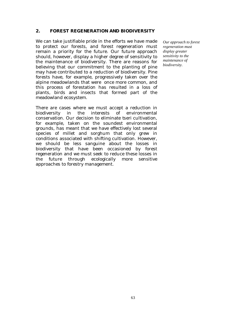## **2. FOREST REGENERATION AND BIODIVERSITY**

We can take justifiable pride in the efforts we have made to protect our forests, and forest regeneration must remain a priority for the future. Our future approach should, however, display a higher degree of sensitivity to the maintenance of biodiversity. There are reasons for believing that our commitment to the planting of pine may have contributed to a reduction of biodiversity. Pine forests have, for example, progressively taken over the alpine meadowlands that were once more common, and this process of forestation has resulted in a loss of plants, birds and insects that formed part of the meadowland ecosystem.

There are cases where we must accept a reduction in biodiversity in the interests of environmental conservation. Our decision to eliminate *tseri* cultivation, for example, taken on the soundest environmental grounds, has meant that we have effectively lost several species of millet and sorghum that only grew in conditions associated with shifting cultivation. However, we should be less sanguine about the losses in biodiversity that have been occasioned by forest regeneration and we must seek to reduce these losses in the future through ecologically more sensitive approaches to forestry management.

*Our approach to forest regeneration must display greater sensitivity to the maintenance of biodiversity.*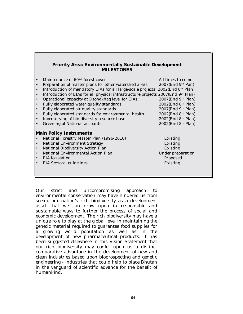## **Priority Area: Environmentally Sustainable Development MILESTONES**

| $\bullet$ | Maintenance of 60% forest cover                                                  | All times to come                 |
|-----------|----------------------------------------------------------------------------------|-----------------------------------|
| $\bullet$ | Preparation of master plans for other watershed areas                            | $2007$ (End 9 <sup>th</sup> Pan)  |
| $\bullet$ | Introduction of mandatory EIAs for all large-scale projects 2002(End 8th Plan)   |                                   |
| $\bullet$ | Introduction of EIAs for all physical infrastructure projects 2007(End 9th Plan) |                                   |
| $\bullet$ | Operational capacity at Dzongkhag level for EIAs                                 | $2007$ (End 9 <sup>th</sup> Plan) |
| $\bullet$ | Fully elaborated water quality standards                                         | $2002$ (End 8 <sup>th</sup> Plan) |
| $\bullet$ | Fully elaborated air quality standards                                           | $2007$ (End 9 <sup>th</sup> Plan) |
| $\bullet$ | Fully elaborated standards for environmental health                              | $2002$ (End 8 <sup>th</sup> Plan) |
| $\bullet$ | Inventorying of bio-diversity resource base                                      | $2002$ (End 8 <sup>th</sup> Plan) |
|           | <b>Greening of National accounts</b>                                             | 2002(End 8th Plan)                |
|           | <b>Main Policy Instruments</b>                                                   |                                   |
|           | National Forestry Master Plan (1996-2010)                                        | Existing                          |
| $\bullet$ | <b>National Environment Strategy</b>                                             | Existing                          |
| $\bullet$ | National Biodiversity Action Plan                                                | <b>Existing</b>                   |
| $\bullet$ | National Environmental Action Plan                                               | Under preparation                 |
| $\bullet$ | EIA legislation                                                                  | Proposed                          |
|           | EIA Sectoral guidelines                                                          | Existing                          |
|           |                                                                                  |                                   |
|           |                                                                                  |                                   |

Our strict and uncompromising approach to environmental conservation may have hindered us from seeing our nation's rich biodiversity as a development asset that we can draw upon in responsible and sustainable ways to further the process of social and economic development. The rich biodiversity may have a unique role to play at the global level in maintaining the genetic material required to guarantee food supplies for a growing world population as well as in the development of new pharmaceutical products. It has been suggested elsewhere in this Vision Statement that our rich biodiversity may confer upon us a distinct comparative advantage in the development of new and clean industries based upon bioprospecting and genetic engineering - industries that could help to place Bhutan in the vanguard of scientific advance for the benefit of humankind.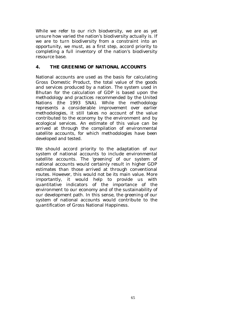While we refer to our rich biodversity, we are as yet unsure how varied the nation's biodiversity actually is. If we are to turn biodiversity from a constraint into an opportunity, we must, as a first step, accord priority to completing a full inventory of the nation's biodiversity resource base.

# **4. THE GREENING OF NATIONAL ACCOUNTS**

National accounts are used as the basis for calculating Gross Domestic Product, the total value of the goods and services produced by a nation. The system used in Bhutan for the calculation of GDP is based upon the methodology and practices recommended by the United Nations (the 1993 SNA). While the methodology represents a considerable improvement over earlier methodologies, it still takes no account of the value contributed to the economy by the environment and by ecological services. An estimate of this value can be arrived at through the compilation of environmental satellite accounts, for which methodologies have been developed and tested.

We should accord priority to the adaptation of our system of national accounts to include environmental satellite accounts. The 'greening' of our system of national accounts would certainly result in higher GDP estimates than those arrived at through conventional routes. However, this would not be its main value. More importantly, it would help to provide us with quantitative indicators of the importance of the environment to our economy and of the sustainability of our development path. In this sense, the greening of our system of national accounts would contribute to the quantification of Gross National Happiness.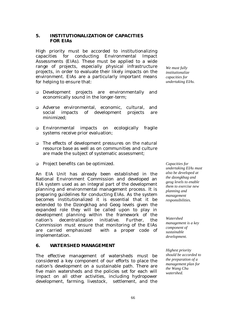## **5. INSTITUTIONALIZATION OF CAPACITIES FOR EIAs**

High priority must be accorded to institutionalizing capacities for conducting Environmental Impact Assessments (EIAs). These must be applied to a wide range of projects, especially physical infrastructure projects, in order to evaluate their likely impacts on the environment. EIAs are a particularly important means for helping to ensure that:

- ! Development projects are environmentally and economically sound in the longer-term;
- ! Adverse environmental, economic, cultural, and social impacts of development projects are minimized;
- ! Environmental impacts on ecologically fragile systems receive prior evaluation;
- □ The effects of development pressures on the natural resource base as well as on communities and culture are made the subject of systematic assessment;
- □ Project benefits can be optimized.

An EIA Unit has already been established in the National Environment Commission and developed an EIA system used as an integral part of the development planning and environmental management process. It is preparing guidelines for conducting EIAs. As the system becomes institutionalized it is essential that it be extended to the *Dzongkhag* and *Geog* levels given the expanded role they will be called upon to play in development planning within the framework of the nation's decentralization initiative. Further, the Commission must ensure that monitoring of the EIAs are carried emphasized with a proper code of implementation.

## **6. WATERSHED MANAGEMENT**

The effective management of watersheds must be considered a key component of our efforts to place the nation's development on a sustainable path. There are five main watersheds and the policies set for each will impact on all other activities, including hydropower development, farming, livestock, settlement, and the

*We must fully institutionalize capacities for undertaking EIAs.* 

*Capacities for undertaking EIAs must also be developed at the dzongkhag and geog levels to enable them to exercise new planning and management responsibilities.* 

*Watershed management is a key component of sustainable development.* 

*Highest priority should be accorded to the preparation of a management plan for the Wang Chu watershed.*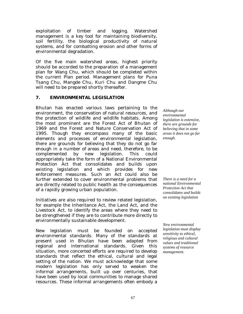exploitation of timber and logging. Watershed management is a key tool for maintaining biodiversity, soil fertility, the biological productivity of natural systems, and for combatting erosion and other forms of environmental degradation.

Of the five main watershed areas, highest priority should be accorded to the preparation of a management plan for Wang Chu, which should be completed within the current Plan period. Management plans for Puna Tsang Chu, Mangde Chu, Kuri Chu and Dangme Chu will need to be prepared shortly thereafter.

## **7. ENVIRONMENTAL LEGISLATION**

Bhutan has enacted various laws pertaining to the environment, the conservation of natural resources, and the protection of wildlife and wildlife habitats. Among the most prominent are the Forest Act of Bhutan of 1969 and the Forest and Nature Conservation Act of 1995. Though they encompass many of the basic elements and processes of environmental legislation, there are grounds for believing that they do not go far enough in a number of areas and need, therefore, to be complemented by new legislation. This could appropriately take the form of a National Environmental Protection Act that consolidates and builds upon existing legislation and which provides for new enforcement measures. Such an Act could also be further extended to cover environmental problems that are directly related to public health as the consequences of a rapidly growing urban population.

Initiatives are also required to review related legislation, for example the Inheritance Act, the Land Act, and the Livestock Act, to identify the areas where they need to be strengthened if they are to contribute more directly to environmentally sustainable development.

New legislation must be founded on accepted environmental standards. Many of the standards at present used in Bhutan have been adapted from regional and international standards. Given this situation, more concerted efforts are required to develop standards that reflect the ethical, cultural and legal setting of the nation. We must acknowledge that some modern legislation has only served to weaken the informal arrangements, built up over centuries, that have been used by local communities to manage shared resources. These informal arrangements often embody a

*Although our environmental legislation is extensive, there are grounds for believing that in some areas it does not go far enough.* 

*There is a need for a national Environmental Protection Act that consolidates and builds on existing legislation* 

*New environmental legislation must display sensitivity to ethical, religious and cultural values and traditional systems of resource management.*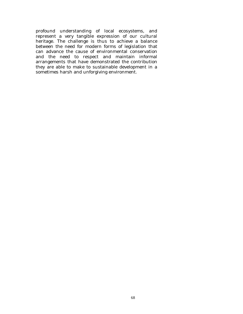profound understanding of local ecosystems, and represent a very tangible expression of our cultural heritage. The challenge is thus to achieve a balance between the need for modern forms of legislation that can advance the cause of environmental conservation and the need to respect and maintain informal arrangements that have demonstrated the contribution they are able to make to sustainable development in a sometimes harsh and unforgiving environment.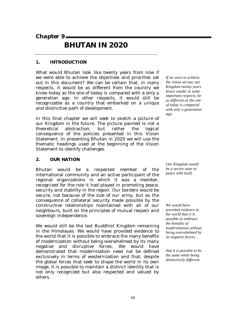*Chapter 9* 

# **BHUTAN IN 2020**

# **1. INTRODUCTION**

What would Bhutan look like twenty years from now if we were able to achieve the objectives and priorities set out in this document? We can be certain that, in many respects, it would be as different from the country we know today as the one of today is compared with a only a generation ago. In other respects, it would still be recognizable as a country that embarked on a unique and distinctive path of development.

In this final chapter we will seek to sketch a picture of our Kingdom in the future. The picture painted is not a theoretical abstraction, but rather the logical consequence of the policies presented in this Vision Statement. In presenting Bhutan in 2020 we will use the thematic headings used at the beginning of the Vision Statement to identify challenges.

#### **2. OUR NATION**

Bhutan would be a respected member of the international community and an active participant of the regional organizations in which it was a member, recognized for the role it had played in promoting peace, security and stability in the region. Our borders would be secure, not because of the size of our army, but as the consequence of collateral security made possible by the constructive relationships maintained with all of our neighbours, built on the principles of mutual respect and sovereign independence.

We would still be the last Buddhist Kingdom remaining in the Himalayas. We would have provided evidence to the world that it is possible to embrace the many benefits of modernization without being overwhelmed by its many negative and disruptive forces. We would have demonstrated that modernization need not be defined exclusively in terms of westernization and that, despite the global forces that seek to shape the world in its own image, it is possible to maintain a distinct identity that is not only recognized but also respected and valued by others.

*If we were to achieve the vision set out, our Kingdom twenty years hence would, in some important respects, be as different as the one of today is compared with only a generation ago.* 

*Our Kingdom would be a secure state at peace with itself.* 

*We would have provided evidence to the world that it is possible to embrace the benefits of modernization without being overwhelmed by its negative forces…* 

*that it is possible to be the same while being distinctively different.*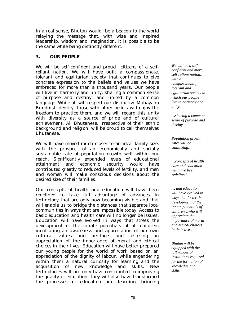In a real sense, Bhutan would be a beacon to the world relaying the message that, with wise and inspired leadership, wisdom and imagination, it is possible to be the same while being distinctly different.

# **3. OUR PEOPLE**

We will be self-confident and proud citizens of a selfreliant nation. We will have built a compassionate, tolerant and egalitarian society that continues to give concrete expression to the beliefs and values we have embraced for more than a thousand years. Our people will live in harmony and unity, sharing a common sense of purpose and destiny, and united by a common language. While all will respect our distinctive Mahayana Buddhist identity, those with other beliefs will enjoy the freedom to practice them, and we will regard this unity with diversity as a source of pride and of cultural achievement. All Bhutanese, irrespective of their ethnic background and religion, will be proud to call themselves Bhutanese.

We will have moved much closer to an ideal family size, with the prospect of an economically and socially sustainable rate of population growth well within our reach. Significantly expanded levels of educational attainment and economic security would have contributed greatly to reduced levels of fertility, and men and women will make conscious decisions about the desired size of their families.

Our concepts of health and education will have been redefined to take full advantage of advances in technology that are only now becoming visible and that will enable us to bridge the distances that separate local communities in ways that are impossible today. Access to basic education and health care will no longer be issues. Education will have evolved in ways that stress the development of the innate potentials of all children, inculcating an awareness and appreciation of our own cultural values and heritage, and fostering an appreciation of the importance of moral and ethical choices in their lives. Education will have better prepared our young people for the world of work based on an appreciation of the dignity of labour, while engendering within them a natural curiosity for learning and the acquisition of new knowledge and skills. New technologies will not only have contributed to improving the quality of education, they will also have transformed the processes of education and learning, bringing

*We will be a selfconfident and more self-reliant nation… with a compassionate, tolerant and egalitarian society in which our people live in harmony and unity..* 

*…sharing a common sense of purpose and destiny.* 

*Population growth rates will be stabilizing….* 

*…concepts of health care and education will have been redefined…* 

*… and education will have evolved in ways that foster the development of the innate potentials of children…who will appreciate the importance of moral and ethical choices in their lives.* 

*Bhutan will be equipped with the full ranges of institutions required for the formation of knowledge and skills.*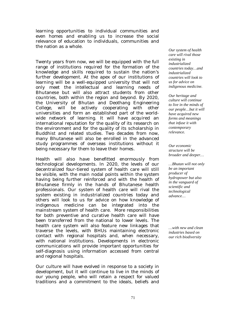learning opportunities to individual communities and even homes and enabling us to increase the social relevance of education to individuals, communities and the nation as a whole.

Twenty years from now, we will be equipped with the full range of institutions required for the formation of the knowledge and skills required to sustain the nation's further development. At the apex of our institutions of learning will be a well-equipped university that will not only meet the intellectual and learning needs of Bhutanese but will also attract students from other countries, both within the region and beyond. By 2020, the University of Bhutan and Deothang Engineering College, will be actively cooperating with other universities and form an established part of the worldwide network of learning. It will have acquired an international reputation for the quality of its research on the environment and for the quality of its scholarship in Buddhist and related studies. Two decades from now, many Bhutanese will also be enrolled in the advanced study programmes of overseas institutions without it being necessary for them to leave their homes.

Health will also have benefitted enormously from technological developments. In 2020, the levels of our decentralized four-tiered system of health care will still be visible, with the main nodal points within the system having being further reinforced and with the health of Bhutanese firmly in the hands of Bhutanese health professionals. Our system of health care will rival the system existing in industrialized countries today and others will look to us for advice on how knowledge of indigenous medicine can be integrated into the mainstream system of health care. More responsibilities for both preventive and curative health care will have been transferred from the national to lower levels. The health care system will also feature new linkages that traverse the levels, with BHUs maintaining electronic contact with regional hospitals and, when necessary, with national institutions. Developments in electronic communications will provide important opportunities for self-diagnosis using information accessed from central and regional hospitals.

Our culture will have evolved in response to a society in development, but it will continue to live in the minds of our young people, who will retain a respect for valued traditions and a commitment to the ideals, beliefs and

*Our system of health care will rival those existing in industrialized countries today…and industrialized countries will look to us for advice on indigenous medicine.* 

*Our heritage and culture will continue to live in the minds of our people…but it will have acquired new forms and meanings that infuse it with contemporary relevance.* 

*Our economic structure will be broader and deeper…*

*…Bhutan will not only be an important producer of hydropower but also in the vanguard of scientific and technological advance…* 

*…with new and clean industries based on our rich biodiversity*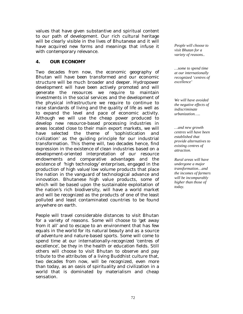values that have given substantive and spiritual content to our path of development. Our rich cultural heritage will be clearly visible in the lives of Bhutanese and it will have acquired new forms and meanings that infuse it with contemporary relevance.

#### **4. OUR ECONOMY**

Two decades from now, the economic geography of Bhutan will have been transformed and our economic structure will be much broader and deeper. Hydropower development will have been actively promoted and will generate the resources we require to maintain investments in the social services and the development of the physical infrastructure we require to continue to raise standards of living and the quality of life as well as to expand the level and pace of economic activity. Although we will use the cheap power produced to develop new resource-based processing industries in areas located close to their main export markets, we will have selected the theme of 'sophistication and civilization' as the guiding principle for our industrial transformation. This theme will, two decades hence, find expression in the existence of clean industries based on a development-oriented interpretation of our resource endowments and comparative advantages and the existence of 'high technology' enterprises, engaged in the production of high value/low volume products that place the nation in the vanguard of technological advance and innovation. Bhutanese high value products, some of which will be based upon the sustainable exploitation of the nation's rich biodiversity, will have a world market and will be recognized as the products of one of the least polluted and least contaminated countries to be found anywhere on earth.

People will travel considerable distances to visit Bhutan for a variety of reasons. Some will choose to 'get away from it all' and to escape to an environment that has few equals in the world for its natural beauty and as a source of adventure and nature-based sports. Some will come to spend time at our internationally-recognized 'centres of excellence', be they in the health or education fields. Still others will choose to visit Bhutan to observe and pay tribute to the attributes of a living Buddhist culture that, two decades from now, will be recognized, even more than today, as an oasis of spirituality and civilization in a world that is dominated by materialism and cheap sensation.

*People will choose to visit Bhutan for a variety of reasons..* 

*…some to spend time at our internationally recognized 'centres of excellence'* 

*We will have avoided the negative effects of indiscriminate urbanization…..* 

*…and new growth centres will have been established that provide alternatives to existing centres of attraction.* 

*Rural areas will have undergone a major transformation…and the incomes of farmers will be incomparably higher than those of today.*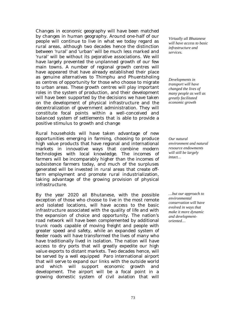Changes in economic geography will have been matched by changes in human geography. Around one-half of our people will continue to live in what we today regard as rural areas, although two decades hence the distinction between 'rural' and 'urban' will be much less marked and 'rural' will be without its pejorative associations. We will have largely prevented the unplanned growth of our few main towns. A number of regional growth centres will have appeared that have already established their place as genuine alternatives to Thimphu and Phuentsholing as centres of opportunity for those who choose to migrate to urban areas. These growth centres will play important roles in the system of production, and their development will have been supported by the decisions we have taken on the development of physical infrastructure and the decentralization of government administration. They will constitute focal points within a well-conceived and balanced system of settlements that is able to provide a positive stimulus to growth and change

Rural households will have taken advantage of new opportunities emerging in farming, choosing to produce high value products that have regional and international markets in innovative ways that combine modern technologies with local knowledge. The incomes of farmers will be incomparably higher than the incomes of subsistence farmers today, and much of the surpluses generated will be invested in rural areas that create offfarm employment and promote rural industrialization, taking advantage of the growing provision of physical infrastructure.

By the year 2020 all Bhutanese, with the possible exception of those who choose to live in the most remote and isolated locations, will have access to the basic infrastructure associated with the quality of life and with the expansion of choice and opportunity. The nation's road network will have been complemented by additional trunk roads capable of moving freight and people with greater speed and safety, while an expanded system of feeder roads will have transformed the lives of many who have traditionally lived in isolation. The nation will have access to dry ports that will greatly expedite our high value exports to distant markets. Two decades hence, will be served by a well equipped Paro international airport that will serve to expand our links with the outside world and which will support economic growth and development. The airport will be a focal point in a growing domestic system of civil aviation that will

*Virtually all Bhutanese will have access to basic infrastructure and services.* 

*Developments in transport will have changed the lives of many people as well as greatly facilitated economic growth* 

*Our natural environment and natural resource endowments will still be largely intact…* 

*…but our approach to environmental conservation will have evolved in ways that make it more dynamic and developmentoriented…*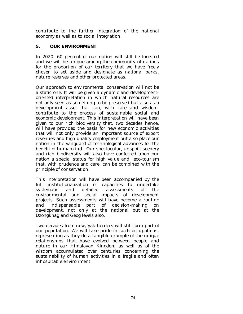contribute to the further integration of the national economy as well as to social integration.

# **5. OUR ENVIRONMENT**

In 2020, 60 percent of our nation will still be forested and we will be unique among the community of nations for the proportion of our territory that we have freely chosen to set aside and designate as national parks, nature reserves and other protected areas.

Our approach to environmental conservation will not be a static one. It will be given a dynamic and developmentoriented interpretation in which natural resources are not only seen as something to be preserved but also as a development asset that can, with care and wisdom, contribute to the process of sustainable social and economic development. This interpretation will have been given to our rich biodiversity that, two decades hence, will have provided the basis for new economic activities that will not only provide an important source of export revenues and high quality employment but also place our nation in the vanguard of technological advances for the benefit of humankind. Our spectacular, unspoilt scenery and rich biodiversity will also have conferred upon our nation a special status for high value and eco-tourism that, with prudence and care, can be combined with the principle of conservation.

This interpretation will have been accompanied by the full institutionalization of capacities to undertake systematic and detailed assessments of the environmental and social impacts of development projects. Such assessments will have become a routine and indispensable part of decision-making on development, not only at the national but at the *Dzongkhag* and *Geog* levels also.

Two decades from now, yak herders will still form part of our population. We will take pride in such occupations, representing as they do a tangible example of the unique relationships that have evolved between people and nature in our Himalayan Kingdom as well as of the wisdom accumulated over centuries concerning the sustainability of human activities in a fragile and often inhospitable environment.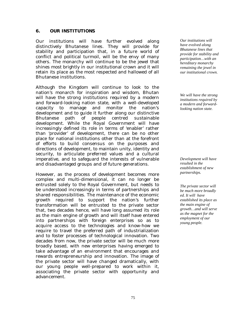#### **6. OUR INSTITUTIONS**

Our institutions will have further evolved along distinctively Bhutanese lines. They will provide for stability and participation that, in a future world of conflict and political turmoil, will be the envy of many others. The monarchy will continue to be the jewel that shines most brightly in our institutional crown and it will retain its place as the most respected and hallowed of all Bhutanese institutions.

Although the Kingdom will continue to look to the nation's monarch for inspiration and wisdom, Bhutan will have the strong institutions required by a modern and forward-looking nation state, with a well-developed capacity to manage and monitor the nation's development and to guide it further along our distinctive Bhutanese path of people centred sustainable development. While the Royal Government will have increasingly defined its role in terms of 'enabler' rather than 'provider' of development, there can be no other place for national institutions other than at the forefront of efforts to build consensus on the purposes and directions of development, to maintain unity, identity and security, to articulate preferred values and a cultural imperative, and to safeguard the interests of vulnerable and disadvantaged groups and of future generations.

However, as the process of development becomes more complex and multi-dimensional, it can no longer be entrusted solely to the Royal Government, but needs to be understood increasingly in terms of partnerships and shared responsibilities. The maintenance of the economic growth required to support the nation's further transformation will be entrusted to the private sector that, two decades hence, will have long assumed its role as the main engine of growth and will itself have entered into partnerships with foreign enterprises so as to acquire access to the technologies and know-how we require to travel the preferred path of industrialization and to foster processes of technological innovation. Two decades from now, the private sector will be much more broadly based, with new enterprises having emerged to take advantage of an environment that encourages and rewards entrepreneurship and innovation. The image of the private sector will have changed dramatically, with our young people well-prepared to work within it, associating the private sector with opportunity and advancement.

*Our institutions will have evolved along Bhutanese lines that provide for stability and participation…with an hereditary monarchy remaining the jewel in our institutional crown.* 

*We will have the strong institutions required by a modern and forwardlooking nation state.* 

*Development will have resulted in the establishment of new partnerships.* 

*The private sector will be much more broadly ed. It will have established its place as the main engine of growth…and will serve as the magnet for the employment of our young people.*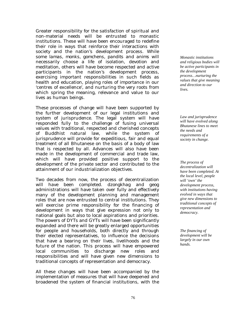Greater responsibility for the satisfaction of spiritual and non-material needs will be entrusted to monastic institutions. These will have been encouraged to redefine their role in ways that reinforce their interactions with society and the nation's development process. While some *lamas, monks, gomchens, pandits* and *anims* will necessarily choose a life of isolation, devotion and meditation, others will have become respected and active participants in the nation's development process, exercising important responsibilities in such fields as health and education, playing roles of importance in our 'centres of excellence', and nurturing the very roots from which spring the meaning, relevance and value to our lives as human beings.

These processes of change will have been supported by the further development of our legal institutions and system of jurisprudence. The legal system will have responded fully to the challenge of fusing universal values with traditional, respected and cherished concepts of Buddhist natural law, while the system of jurisprudence will provide for expeditious, fair and equal treatment of all Bhutanese on the basis of a body of law that is respected by all. Advances will also have been made in the development of commercial and trade law, which will have provided positive support to the development of the private sector and contributed to the attainment of our industrialization objectives.

Two decades from now, the process of decentralization will have been completed. *dzongkhag* and *geog* administrations will have taken over fully and effectively many of the development planning and management roles that are now entrusted to central institutions. They will exercise prime responsibility for the financing of development in ways that give expression not only to national goals but also to local aspirations and priorities. The powers of DYTs and GYTs will have been significantly expanded and there will be greatly enlarged opportunities for people and households, both directly and through their elected representatives, to influence the decisions that have a bearing on their lives, livelihoods and the future of the nation. This process will have empowered local communities to discharge new roles and responsibilities and will have given new dimensions to traditional concepts of representation and democracy.

All these changes will have been accompanied by the implementation of measures that will have deepened and broadened the system of financial institutions, with the

*Monastic institutions and religious bodies will be active participants in the development process…nurturing the values that give meaning and direction to our lives.* 

*Law and jurisprudence will have evolved along Bhutanese lines to meet the needs and requirements of a society in change.* 

*The process of decentralization will have been completed. At the local level, people will 'own' the development process, with institutions having evolved in ways that give new dimensions to traditional concepts of representation and democracy.* 

*The financing of development will be largely in our own hands.*